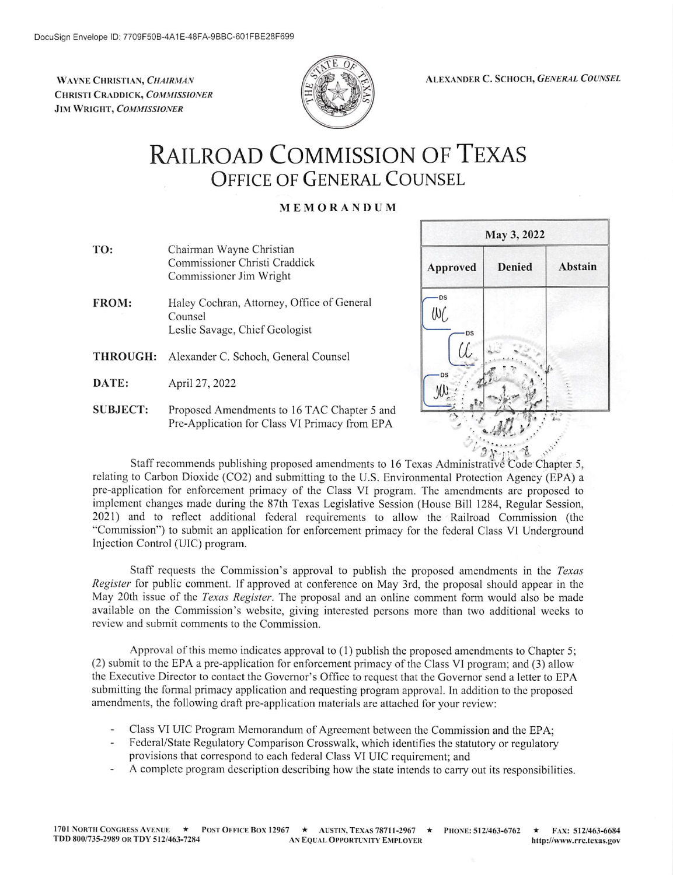WAYNE CHRISTIAN, CHAIRMAN CHRISTI CRADDICK, COMMISSIONER JIM WRIGHT, COMMISSIONER



ALEXANDER C. SCHOCH, GENERAL COUNSEL

# **RAILROAD COMMISSION OF TEXAS OFFICE OF GENERAL COUNSEL**

### MEMORANDUM

- TO: Chairman Wayne Christian Commissioner Christi Craddick Commissioner Jim Wright
- FROM: Haley Cochran, Attorney, Office of General Counsel Leslie Savage, Chief Geologist
- THROUGH: Alexander C. Schoch, General Counsel
- DATE: April 27, 2022

Injection Control (UIC) program.

**SUBJECT:** Proposed Amendments to 16 TAC Chapter 5 and Pre-Application for Class VI Primacy from EPA



3 ð Staff recommends publishing proposed amendments to 16 Texas Administrative Code Chapter 5, relating to Carbon Dioxide (CO2) and submitting to the U.S. Environmental Protection Agency (EPA) a pre-application for enforcement primacy of the Class VI program. The amendments are proposed to implement changes made during the 87th Texas Legislative Session (House Bill 1284, Regular Session, 2021) and to reflect additional federal requirements to allow the Railroad Commission (the "Commission") to submit an application for enforcement primacy for the federal Class VI Underground

Staff requests the Commission's approval to publish the proposed amendments in the Texas Register for public comment. If approved at conference on May 3rd, the proposal should appear in the May 20th issue of the *Texas Register*. The proposal and an online comment form would also be made available on the Commission's website, giving interested persons more than two additional weeks to review and submit comments to the Commission.

Approval of this memo indicates approval to (1) publish the proposed amendments to Chapter 5; (2) submit to the EPA a pre-application for enforcement primacy of the Class VI program; and (3) allow the Executive Director to contact the Governor's Office to request that the Governor send a letter to EPA submitting the formal primacy application and requesting program approval. In addition to the proposed amendments, the following draft pre-application materials are attached for your review:

- Class VI UIC Program Memorandum of Agreement between the Commission and the EPA;
- Federal/State Regulatory Comparison Crosswalk, which identifies the statutory or regulatory provisions that correspond to each federal Class VI UIC requirement; and
- A complete program description describing how the state intends to carry out its responsibilities.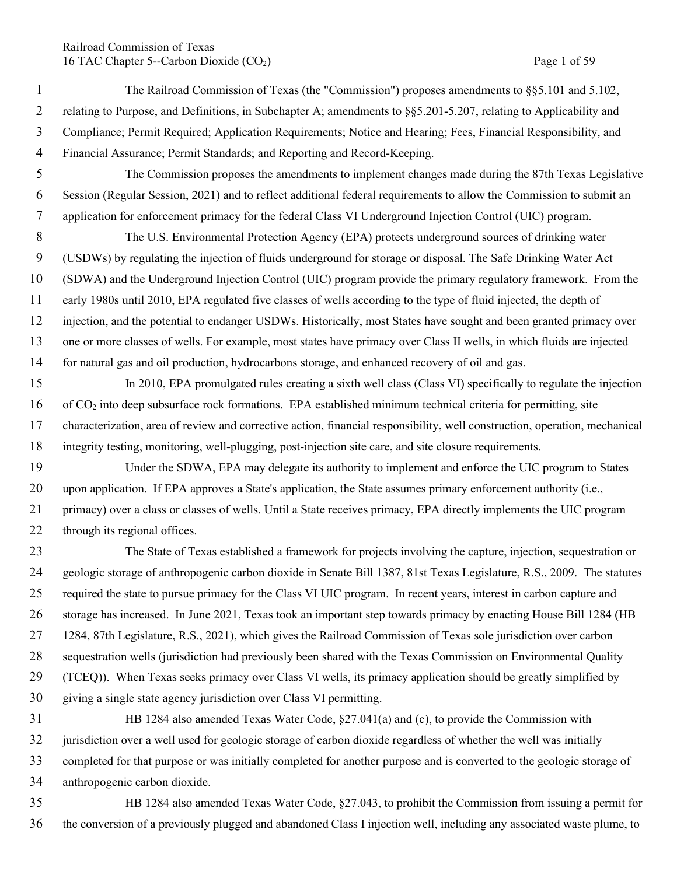## Railroad Commission of Texas 16 TAC Chapter 5--Carbon Dioxide (CO<sub>2</sub>) Page 1 of 59

 The Railroad Commission of Texas (the "Commission") proposes amendments to §§5.101 and 5.102, relating to Purpose, and Definitions, in Subchapter A; amendments to §§5.201-5.207, relating to Applicability and Compliance; Permit Required; Application Requirements; Notice and Hearing; Fees, Financial Responsibility, and Financial Assurance; Permit Standards; and Reporting and Record-Keeping. The Commission proposes the amendments to implement changes made during the 87th Texas Legislative Session (Regular Session, 2021) and to reflect additional federal requirements to allow the Commission to submit an application for enforcement primacy for the federal Class VI Underground Injection Control (UIC) program. The U.S. Environmental Protection Agency (EPA) protects underground sources of drinking water (USDWs) by regulating the injection of fluids underground for storage or disposal. The Safe Drinking Water Act (SDWA) and the Underground Injection Control (UIC) program provide the primary regulatory framework. From the early 1980s until 2010, EPA regulated five classes of wells according to the type of fluid injected, the depth of injection, and the potential to endanger USDWs. Historically, most States have sought and been granted primacy over one or more classes of wells. For example, most states have primacy over Class II wells, in which fluids are injected for natural gas and oil production, hydrocarbons storage, and enhanced recovery of oil and gas. In 2010, EPA promulgated rules creating a sixth well class (Class VI) specifically to regulate the injection of CO2 into deep subsurface rock formations. EPA established minimum technical criteria for permitting, site characterization, area of review and corrective action, financial responsibility, well construction, operation, mechanical integrity testing, monitoring, well-plugging, post-injection site care, and site closure requirements. Under the SDWA, EPA may delegate its authority to implement and enforce the UIC program to States 20 upon application. If EPA approves a State's application, the State assumes primary enforcement authority (i.e., primacy) over a class or classes of wells. Until a State receives primacy, EPA directly implements the UIC program 22 through its regional offices. The State of Texas established a framework for projects involving the capture, injection, sequestration or geologic storage of anthropogenic carbon dioxide in Senate Bill 1387, 81st Texas Legislature, R.S., 2009. The statutes required the state to pursue primacy for the Class VI UIC program. In recent years, interest in carbon capture and storage has increased. In June 2021, Texas took an important step towards primacy by enacting House Bill 1284 (HB

1284, 87th Legislature, R.S., 2021), which gives the Railroad Commission of Texas sole jurisdiction over carbon

 sequestration wells (jurisdiction had previously been shared with the Texas Commission on Environmental Quality (TCEQ)). When Texas seeks primacy over Class VI wells, its primacy application should be greatly simplified by giving a single state agency jurisdiction over Class VI permitting.

- HB 1284 also amended Texas Water Code, §27.041(a) and (c), to provide the Commission with jurisdiction over a well used for geologic storage of carbon dioxide regardless of whether the well was initially completed for that purpose or was initially completed for another purpose and is converted to the geologic storage of anthropogenic carbon dioxide.
- HB 1284 also amended Texas Water Code, §27.043, to prohibit the Commission from issuing a permit for the conversion of a previously plugged and abandoned Class I injection well, including any associated waste plume, to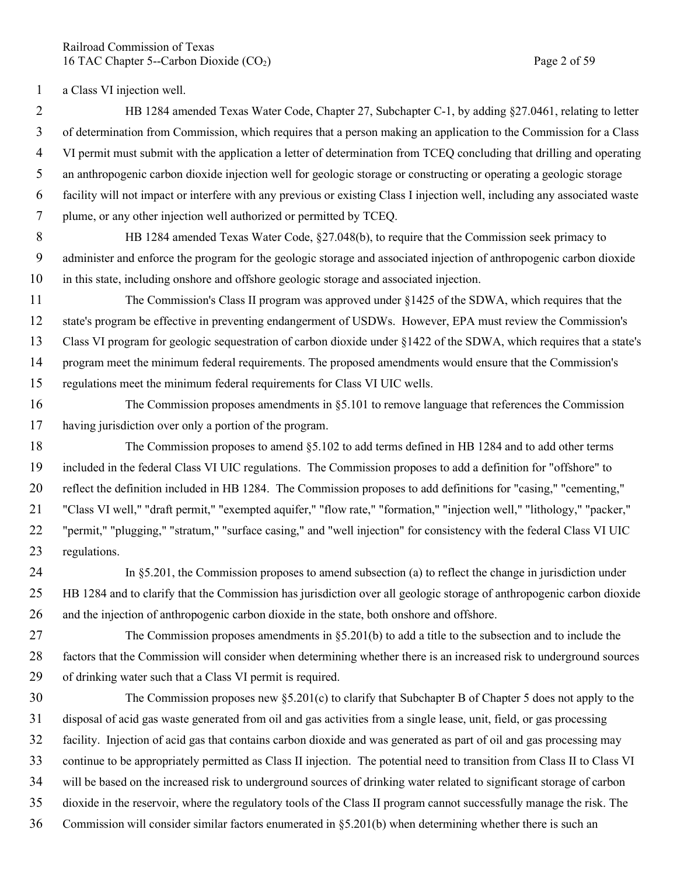Railroad Commission of Texas 16 TAC Chapter 5--Carbon Dioxide (CO<sub>2</sub>) Page 2 of 59

a Class VI injection well.

 HB 1284 amended Texas Water Code, Chapter 27, Subchapter C-1, by adding §27.0461, relating to letter of determination from Commission, which requires that a person making an application to the Commission for a Class VI permit must submit with the application a letter of determination from TCEQ concluding that drilling and operating an anthropogenic carbon dioxide injection well for geologic storage or constructing or operating a geologic storage facility will not impact or interfere with any previous or existing Class I injection well, including any associated waste plume, or any other injection well authorized or permitted by TCEQ.

- 8 HB 1284 amended Texas Water Code, §27.048(b), to require that the Commission seek primacy to administer and enforce the program for the geologic storage and associated injection of anthropogenic carbon dioxide in this state, including onshore and offshore geologic storage and associated injection.
- The Commission's Class II program was approved under §1425 of the SDWA, which requires that the state's program be effective in preventing endangerment of USDWs. However, EPA must review the Commission's Class VI program for geologic sequestration of carbon dioxide under §1422 of the SDWA, which requires that a state's program meet the minimum federal requirements. The proposed amendments would ensure that the Commission's regulations meet the minimum federal requirements for Class VI UIC wells.
- The Commission proposes amendments in §5.101 to remove language that references the Commission having jurisdiction over only a portion of the program.
- The Commission proposes to amend §5.102 to add terms defined in HB 1284 and to add other terms included in the federal Class VI UIC regulations. The Commission proposes to add a definition for "offshore" to reflect the definition included in HB 1284. The Commission proposes to add definitions for "casing," "cementing," "Class VI well," "draft permit," "exempted aquifer," "flow rate," "formation," "injection well," "lithology," "packer," "permit," "plugging," "stratum," "surface casing," and "well injection" for consistency with the federal Class VI UIC regulations.
- In §5.201, the Commission proposes to amend subsection (a) to reflect the change in jurisdiction under HB 1284 and to clarify that the Commission has jurisdiction over all geologic storage of anthropogenic carbon dioxide and the injection of anthropogenic carbon dioxide in the state, both onshore and offshore.
- The Commission proposes amendments in §5.201(b) to add a title to the subsection and to include the factors that the Commission will consider when determining whether there is an increased risk to underground sources of drinking water such that a Class VI permit is required.
- The Commission proposes new §5.201(c) to clarify that Subchapter B of Chapter 5 does not apply to the disposal of acid gas waste generated from oil and gas activities from a single lease, unit, field, or gas processing facility. Injection of acid gas that contains carbon dioxide and was generated as part of oil and gas processing may continue to be appropriately permitted as Class II injection. The potential need to transition from Class II to Class VI will be based on the increased risk to underground sources of drinking water related to significant storage of carbon dioxide in the reservoir, where the regulatory tools of the Class II program cannot successfully manage the risk. The Commission will consider similar factors enumerated in §5.201(b) when determining whether there is such an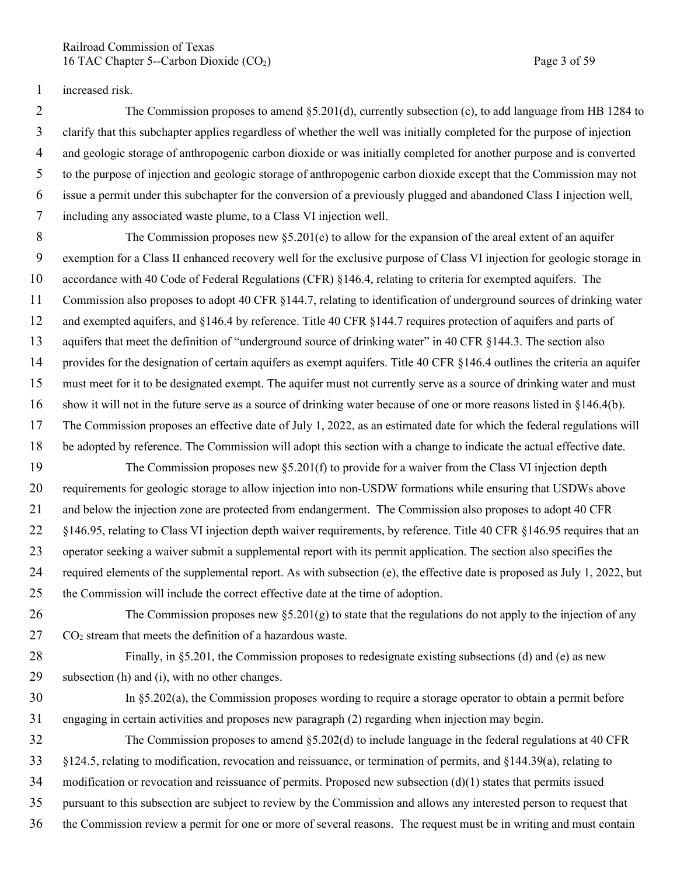Railroad Commission of Texas 16 TAC Chapter 5--Carbon Dioxide (CO<sub>2</sub>) Page 3 of 59

increased risk.

 The Commission proposes to amend §5.201(d), currently subsection (c), to add language from HB 1284 to clarify that this subchapter applies regardless of whether the well was initially completed for the purpose of injection and geologic storage of anthropogenic carbon dioxide or was initially completed for another purpose and is converted to the purpose of injection and geologic storage of anthropogenic carbon dioxide except that the Commission may not issue a permit under this subchapter for the conversion of a previously plugged and abandoned Class I injection well, including any associated waste plume, to a Class VI injection well.

 The Commission proposes new §5.201(e) to allow for the expansion of the areal extent of an aquifer exemption for a Class II enhanced recovery well for the exclusive purpose of Class VI injection for geologic storage in accordance with 40 Code of Federal Regulations (CFR) §146.4, relating to criteria for exempted aquifers. The Commission also proposes to adopt 40 CFR §144.7, relating to identification of underground sources of drinking water and exempted aquifers, and §146.4 by reference. Title 40 CFR §144.7 requires protection of aquifers and parts of aquifers that meet the definition of "underground source of drinking water" in 40 CFR §144.3. The section also provides for the designation of certain aquifers as exempt aquifers. Title 40 CFR §146.4 outlines the criteria an aquifer must meet for it to be designated exempt. The aquifer must not currently serve as a source of drinking water and must show it will not in the future serve as a source of drinking water because of one or more reasons listed in §146.4(b). The Commission proposes an effective date of July 1, 2022, as an estimated date for which the federal regulations will be adopted by reference. The Commission will adopt this section with a change to indicate the actual effective date.

 The Commission proposes new §5.201(f) to provide for a waiver from the Class VI injection depth requirements for geologic storage to allow injection into non-USDW formations while ensuring that USDWs above and below the injection zone are protected from endangerment. The Commission also proposes to adopt 40 CFR §146.95, relating to Class VI injection depth waiver requirements, by reference. Title 40 CFR §146.95 requires that an operator seeking a waiver submit a supplemental report with its permit application. The section also specifies the required elements of the supplemental report. As with subsection (e), the effective date is proposed as July 1, 2022, but the Commission will include the correct effective date at the time of adoption.

26 The Commission proposes new  $\S 5.201(g)$  to state that the regulations do not apply to the injection of any  $27 \text{ CO}_2$  stream that meets the definition of a hazardous waste.

 Finally, in §5.201, the Commission proposes to redesignate existing subsections (d) and (e) as new subsection (h) and (i), with no other changes.

 In §5.202(a), the Commission proposes wording to require a storage operator to obtain a permit before engaging in certain activities and proposes new paragraph (2) regarding when injection may begin.

 The Commission proposes to amend §5.202(d) to include language in the federal regulations at 40 CFR §124.5, relating to modification, revocation and reissuance, or termination of permits, and §144.39(a), relating to modification or revocation and reissuance of permits. Proposed new subsection  $(d)(1)$  states that permits issued pursuant to this subsection are subject to review by the Commission and allows any interested person to request that the Commission review a permit for one or more of several reasons. The request must be in writing and must contain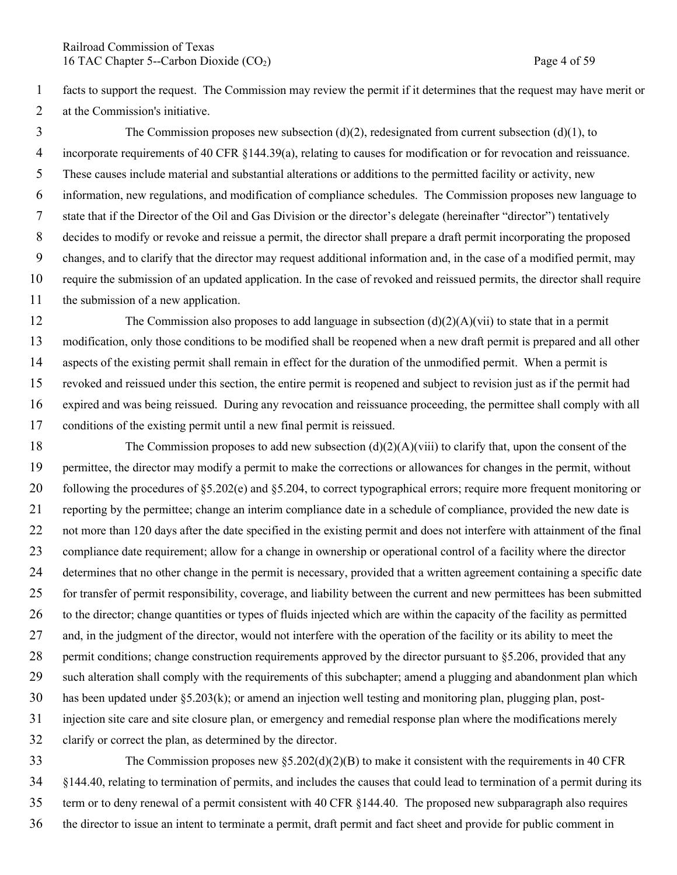Railroad Commission of Texas 16 TAC Chapter 5--Carbon Dioxide (CO<sub>2</sub>) Page 4 of 59

 facts to support the request. The Commission may review the permit if it determines that the request may have merit or at the Commission's initiative.

 The Commission proposes new subsection (d)(2), redesignated from current subsection (d)(1), to incorporate requirements of 40 CFR §144.39(a), relating to causes for modification or for revocation and reissuance. These causes include material and substantial alterations or additions to the permitted facility or activity, new information, new regulations, and modification of compliance schedules. The Commission proposes new language to state that if the Director of the Oil and Gas Division or the director's delegate (hereinafter "director") tentatively decides to modify or revoke and reissue a permit, the director shall prepare a draft permit incorporating the proposed changes, and to clarify that the director may request additional information and, in the case of a modified permit, may require the submission of an updated application. In the case of revoked and reissued permits, the director shall require the submission of a new application.

12 The Commission also proposes to add language in subsection  $(d)(2)(A)(vi)$  to state that in a permit modification, only those conditions to be modified shall be reopened when a new draft permit is prepared and all other aspects of the existing permit shall remain in effect for the duration of the unmodified permit. When a permit is revoked and reissued under this section, the entire permit is reopened and subject to revision just as if the permit had expired and was being reissued. During any revocation and reissuance proceeding, the permittee shall comply with all conditions of the existing permit until a new final permit is reissued.

 The Commission proposes to add new subsection (d)(2)(A)(viii) to clarify that, upon the consent of the permittee, the director may modify a permit to make the corrections or allowances for changes in the permit, without following the procedures of §5.202(e) and §5.204, to correct typographical errors; require more frequent monitoring or reporting by the permittee; change an interim compliance date in a schedule of compliance, provided the new date is not more than 120 days after the date specified in the existing permit and does not interfere with attainment of the final compliance date requirement; allow for a change in ownership or operational control of a facility where the director determines that no other change in the permit is necessary, provided that a written agreement containing a specific date for transfer of permit responsibility, coverage, and liability between the current and new permittees has been submitted to the director; change quantities or types of fluids injected which are within the capacity of the facility as permitted and, in the judgment of the director, would not interfere with the operation of the facility or its ability to meet the 28 permit conditions; change construction requirements approved by the director pursuant to §5.206, provided that any such alteration shall comply with the requirements of this subchapter; amend a plugging and abandonment plan which has been updated under §5.203(k); or amend an injection well testing and monitoring plan, plugging plan, post- injection site care and site closure plan, or emergency and remedial response plan where the modifications merely clarify or correct the plan, as determined by the director.

 The Commission proposes new §5.202(d)(2)(B) to make it consistent with the requirements in 40 CFR §144.40, relating to termination of permits, and includes the causes that could lead to termination of a permit during its term or to deny renewal of a permit consistent with 40 CFR §144.40. The proposed new subparagraph also requires the director to issue an intent to terminate a permit, draft permit and fact sheet and provide for public comment in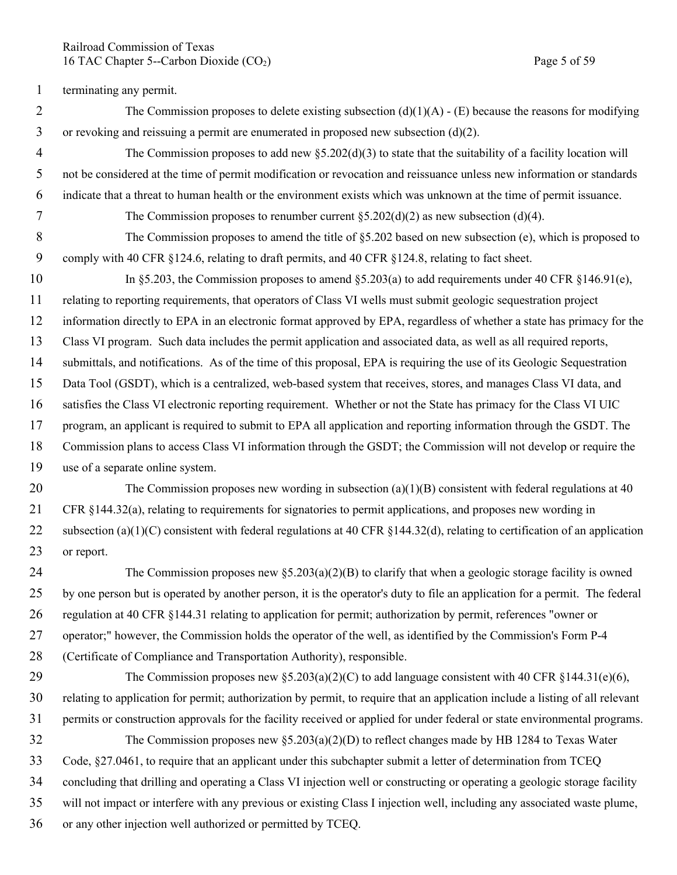Railroad Commission of Texas 16 TAC Chapter 5--Carbon Dioxide (CO<sub>2</sub>) Page 5 of 59

terminating any permit.

- 2 The Commission proposes to delete existing subsection  $(d)(1)(A) (E)$  because the reasons for modifying or revoking and reissuing a permit are enumerated in proposed new subsection (d)(2).
- The Commission proposes to add new §5.202(d)(3) to state that the suitability of a facility location will not be considered at the time of permit modification or revocation and reissuance unless new information or standards indicate that a threat to human health or the environment exists which was unknown at the time of permit issuance.
- 7 The Commission proposes to renumber current  $\S 5.202(d)(2)$  as new subsection (d)(4).
- The Commission proposes to amend the title of §5.202 based on new subsection (e), which is proposed to comply with 40 CFR §124.6, relating to draft permits, and 40 CFR §124.8, relating to fact sheet.
- 10 In §5.203, the Commission proposes to amend §5.203(a) to add requirements under 40 CFR §146.91(e), relating to reporting requirements, that operators of Class VI wells must submit geologic sequestration project information directly to EPA in an electronic format approved by EPA, regardless of whether a state has primacy for the Class VI program. Such data includes the permit application and associated data, as well as all required reports, submittals, and notifications. As of the time of this proposal, EPA is requiring the use of its Geologic Sequestration Data Tool (GSDT), which is a centralized, web-based system that receives, stores, and manages Class VI data, and satisfies the Class VI electronic reporting requirement. Whether or not the State has primacy for the Class VI UIC program, an applicant is required to submit to EPA all application and reporting information through the GSDT. The Commission plans to access Class VI information through the GSDT; the Commission will not develop or require the use of a separate online system.
- 20 The Commission proposes new wording in subsection  $(a)(1)(B)$  consistent with federal regulations at 40 CFR §144.32(a), relating to requirements for signatories to permit applications, and proposes new wording in 22 subsection (a)(1)(C) consistent with federal regulations at 40 CFR  $\S$ 144.32(d), relating to certification of an application or report.
- The Commission proposes new §5.203(a)(2)(B) to clarify that when a geologic storage facility is owned by one person but is operated by another person, it is the operator's duty to file an application for a permit. The federal regulation at 40 CFR §144.31 relating to application for permit; authorization by permit, references "owner or operator;" however, the Commission holds the operator of the well, as identified by the Commission's Form P-4 (Certificate of Compliance and Transportation Authority), responsible.
- 29 The Commission proposes new  $\S 5.203(a)(2)(C)$  to add language consistent with 40 CFR  $\S 144.31(e)(6)$ , relating to application for permit; authorization by permit, to require that an application include a listing of all relevant permits or construction approvals for the facility received or applied for under federal or state environmental programs. The Commission proposes new §5.203(a)(2)(D) to reflect changes made by HB 1284 to Texas Water Code, §27.0461, to require that an applicant under this subchapter submit a letter of determination from TCEQ concluding that drilling and operating a Class VI injection well or constructing or operating a geologic storage facility will not impact or interfere with any previous or existing Class I injection well, including any associated waste plume,
- or any other injection well authorized or permitted by TCEQ.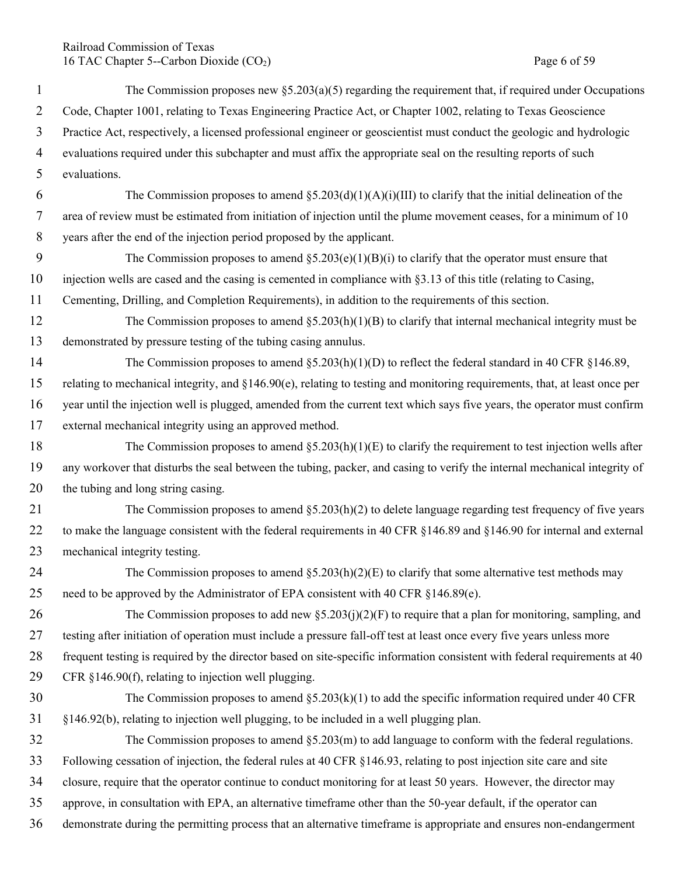Railroad Commission of Texas 16 TAC Chapter 5--Carbon Dioxide (CO<sub>2</sub>) Page 6 of 59

| $\mathbf{1}$   | The Commission proposes new $\S$ 5.203(a)(5) regarding the requirement that, if required under Occupations                 |
|----------------|----------------------------------------------------------------------------------------------------------------------------|
| $\overline{2}$ | Code, Chapter 1001, relating to Texas Engineering Practice Act, or Chapter 1002, relating to Texas Geoscience              |
| 3              | Practice Act, respectively, a licensed professional engineer or geoscientist must conduct the geologic and hydrologic      |
| $\overline{4}$ | evaluations required under this subchapter and must affix the appropriate seal on the resulting reports of such            |
| 5              | evaluations.                                                                                                               |
| 6              | The Commission proposes to amend $\S$ 5.203(d)(1)(A)(i)(III) to clarify that the initial delineation of the                |
| $\tau$         | area of review must be estimated from initiation of injection until the plume movement ceases, for a minimum of 10         |
| 8              | years after the end of the injection period proposed by the applicant.                                                     |
| 9              | The Commission proposes to amend $\S5.203(e)(1)(B)(i)$ to clarify that the operator must ensure that                       |
| 10             | injection wells are cased and the casing is cemented in compliance with §3.13 of this title (relating to Casing,           |
| 11             | Cementing, Drilling, and Completion Requirements), in addition to the requirements of this section.                        |
| 12             | The Commission proposes to amend $\S$ 5.203(h)(1)(B) to clarify that internal mechanical integrity must be                 |
| 13             | demonstrated by pressure testing of the tubing casing annulus.                                                             |
| 14             | The Commission proposes to amend $\S 5.203(h)(1)(D)$ to reflect the federal standard in 40 CFR $\S 146.89$ ,               |
| 15             | relating to mechanical integrity, and §146.90(e), relating to testing and monitoring requirements, that, at least once per |
| 16             | year until the injection well is plugged, amended from the current text which says five years, the operator must confirm   |
| 17             | external mechanical integrity using an approved method.                                                                    |
| 18             | The Commission proposes to amend $\S$ 5.203(h)(1)(E) to clarify the requirement to test injection wells after              |
| 19             | any workover that disturbs the seal between the tubing, packer, and casing to verify the internal mechanical integrity of  |
| 20             | the tubing and long string casing.                                                                                         |
| 21             | The Commission proposes to amend $\S$ 5.203(h)(2) to delete language regarding test frequency of five years                |
| 22             | to make the language consistent with the federal requirements in 40 CFR §146.89 and §146.90 for internal and external      |
| 23             | mechanical integrity testing.                                                                                              |
| 24             | The Commission proposes to amend $\S$ 5.203(h)(2)(E) to clarify that some alternative test methods may                     |
| 25             | need to be approved by the Administrator of EPA consistent with 40 CFR §146.89(e).                                         |
| 26             | The Commission proposes to add new $\S 5.203(j)(2)(F)$ to require that a plan for monitoring, sampling, and                |
| 27             | testing after initiation of operation must include a pressure fall-off test at least once every five years unless more     |
| 28             | frequent testing is required by the director based on site-specific information consistent with federal requirements at 40 |
| 29             | CFR §146.90(f), relating to injection well plugging.                                                                       |
| 30             | The Commission proposes to amend $\S$ 5.203(k)(1) to add the specific information required under 40 CFR                    |
| 31             | §146.92(b), relating to injection well plugging, to be included in a well plugging plan.                                   |
| 32             | The Commission proposes to amend $\S$ 5.203(m) to add language to conform with the federal regulations.                    |
| 33             | Following cessation of injection, the federal rules at 40 CFR §146.93, relating to post injection site care and site       |
| 34             | closure, require that the operator continue to conduct monitoring for at least 50 years. However, the director may         |
| 35             | approve, in consultation with EPA, an alternative timeframe other than the 50-year default, if the operator can            |
| 36             | demonstrate during the permitting process that an alternative timeframe is appropriate and ensures non-endangerment        |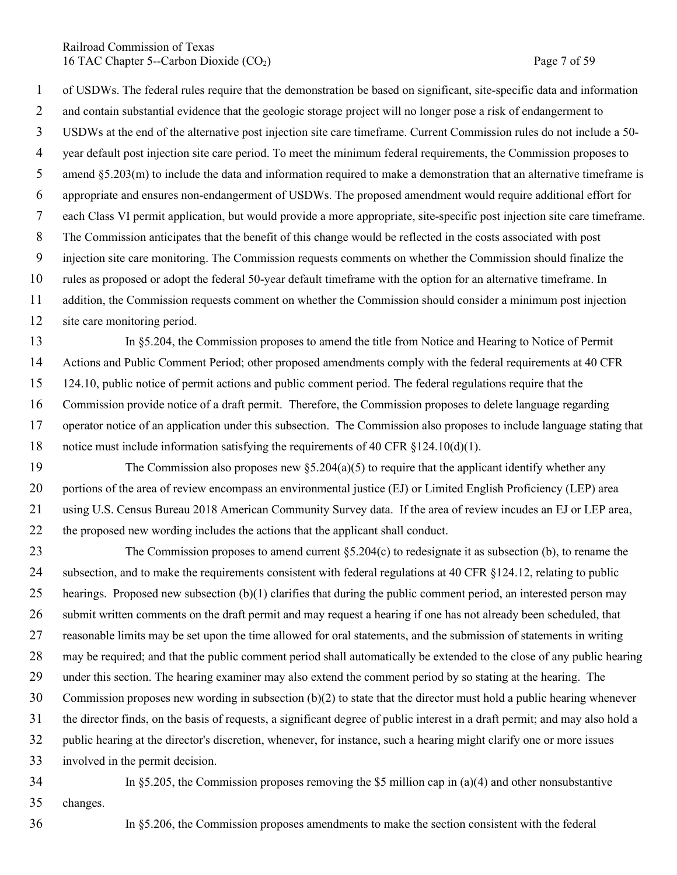Railroad Commission of Texas 16 TAC Chapter 5--Carbon Dioxide (CO<sub>2</sub>) Page 7 of 59

 of USDWs. The federal rules require that the demonstration be based on significant, site-specific data and information 2 and contain substantial evidence that the geologic storage project will no longer pose a risk of endangerment to USDWs at the end of the alternative post injection site care timeframe. Current Commission rules do not include a 50- year default post injection site care period. To meet the minimum federal requirements, the Commission proposes to amend §5.203(m) to include the data and information required to make a demonstration that an alternative timeframe is appropriate and ensures non-endangerment of USDWs. The proposed amendment would require additional effort for each Class VI permit application, but would provide a more appropriate, site-specific post injection site care timeframe. The Commission anticipates that the benefit of this change would be reflected in the costs associated with post injection site care monitoring. The Commission requests comments on whether the Commission should finalize the rules as proposed or adopt the federal 50-year default timeframe with the option for an alternative timeframe. In addition, the Commission requests comment on whether the Commission should consider a minimum post injection site care monitoring period.

 In §5.204, the Commission proposes to amend the title from Notice and Hearing to Notice of Permit Actions and Public Comment Period; other proposed amendments comply with the federal requirements at 40 CFR 124.10, public notice of permit actions and public comment period. The federal regulations require that the Commission provide notice of a draft permit. Therefore, the Commission proposes to delete language regarding operator notice of an application under this subsection. The Commission also proposes to include language stating that notice must include information satisfying the requirements of 40 CFR §124.10(d)(1).

19 The Commission also proposes new  $\S$ 5.204(a)(5) to require that the applicant identify whether any portions of the area of review encompass an environmental justice (EJ) or Limited English Proficiency (LEP) area using U.S. Census Bureau 2018 American Community Survey data. If the area of review incudes an EJ or LEP area, the proposed new wording includes the actions that the applicant shall conduct.

 The Commission proposes to amend current §5.204(c) to redesignate it as subsection (b), to rename the subsection, and to make the requirements consistent with federal regulations at 40 CFR §124.12, relating to public hearings. Proposed new subsection (b)(1) clarifies that during the public comment period, an interested person may submit written comments on the draft permit and may request a hearing if one has not already been scheduled, that reasonable limits may be set upon the time allowed for oral statements, and the submission of statements in writing may be required; and that the public comment period shall automatically be extended to the close of any public hearing under this section. The hearing examiner may also extend the comment period by so stating at the hearing. The Commission proposes new wording in subsection (b)(2) to state that the director must hold a public hearing whenever the director finds, on the basis of requests, a significant degree of public interest in a draft permit; and may also hold a public hearing at the director's discretion, whenever, for instance, such a hearing might clarify one or more issues

involved in the permit decision.

In §5.205, the Commission proposes removing the \$5 million cap in (a)(4) and other nonsubstantive

changes.

In §5.206, the Commission proposes amendments to make the section consistent with the federal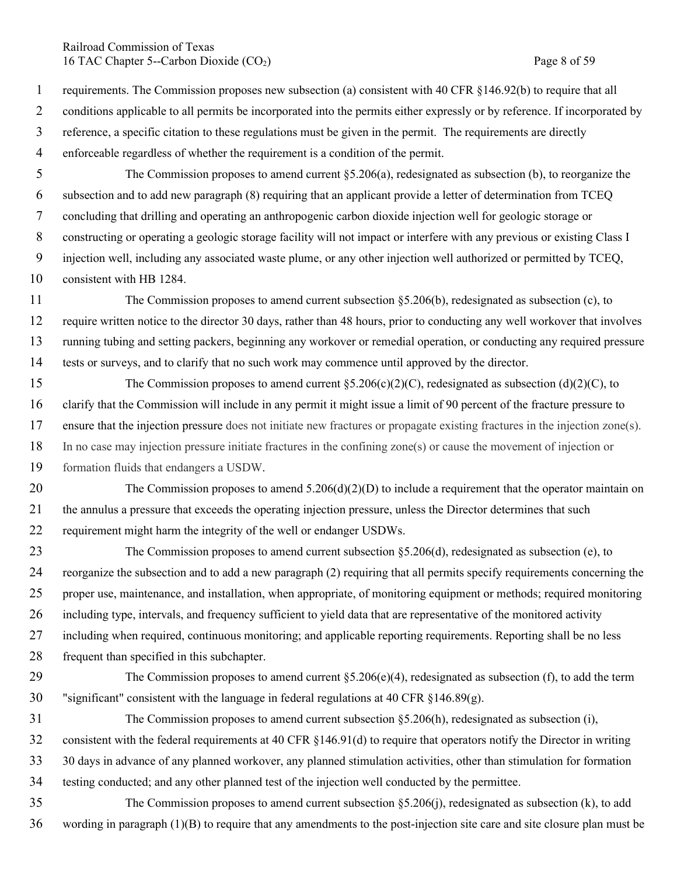## Railroad Commission of Texas 16 TAC Chapter 5--Carbon Dioxide (CO<sub>2</sub>) Page 8 of 59

- 1 requirements. The Commission proposes new subsection (a) consistent with 40 CFR §146.92(b) to require that all 2 conditions applicable to all permits be incorporated into the permits either expressly or by reference. If incorporated by 3 reference, a specific citation to these regulations must be given in the permit. The requirements are directly 4 enforceable regardless of whether the requirement is a condition of the permit.
- 5 The Commission proposes to amend current §5.206(a), redesignated as subsection (b), to reorganize the 6 subsection and to add new paragraph (8) requiring that an applicant provide a letter of determination from TCEQ 7 concluding that drilling and operating an anthropogenic carbon dioxide injection well for geologic storage or 8 constructing or operating a geologic storage facility will not impact or interfere with any previous or existing Class I 9 injection well, including any associated waste plume, or any other injection well authorized or permitted by TCEQ, 10 consistent with HB 1284.
- 11 The Commission proposes to amend current subsection §5.206(b), redesignated as subsection (c), to 12 require written notice to the director 30 days, rather than 48 hours, prior to conducting any well workover that involves 13 running tubing and setting packers, beginning any workover or remedial operation, or conducting any required pressure 14 tests or surveys, and to clarify that no such work may commence until approved by the director.
- 15 The Commission proposes to amend current §5.206(c)(2)(C), redesignated as subsection (d)(2)(C), to 16 clarify that the Commission will include in any permit it might issue a limit of 90 percent of the fracture pressure to 17 ensure that the injection pressure does not initiate new fractures or propagate existing fractures in the injection zone(s). 18 In no case may injection pressure initiate fractures in the confining zone(s) or cause the movement of injection or 19 formation fluids that endangers a USDW.
- 20 The Commission proposes to amend  $5.206(d)(2)(D)$  to include a requirement that the operator maintain on 21 the annulus a pressure that exceeds the operating injection pressure, unless the Director determines that such 22 requirement might harm the integrity of the well or endanger USDWs.
- 23 The Commission proposes to amend current subsection §5.206(d), redesignated as subsection (e), to 24 reorganize the subsection and to add a new paragraph (2) requiring that all permits specify requirements concerning the 25 proper use, maintenance, and installation, when appropriate, of monitoring equipment or methods; required monitoring 26 including type, intervals, and frequency sufficient to yield data that are representative of the monitored activity 27 including when required, continuous monitoring; and applicable reporting requirements. Reporting shall be no less 28 frequent than specified in this subchapter.
- 29 The Commission proposes to amend current  $\S 5.206(e)(4)$ , redesignated as subsection (f), to add the term 30 "significant" consistent with the language in federal regulations at 40 CFR  $\S$ 146.89(g).
- 31 The Commission proposes to amend current subsection §5.206(h), redesignated as subsection (i), 32 consistent with the federal requirements at 40 CFR §146.91(d) to require that operators notify the Director in writing 33 30 days in advance of any planned workover, any planned stimulation activities, other than stimulation for formation 34 testing conducted; and any other planned test of the injection well conducted by the permittee.
- 35 The Commission proposes to amend current subsection §5.206(j), redesignated as subsection (k), to add 36 wording in paragraph (1)(B) to require that any amendments to the post-injection site care and site closure plan must be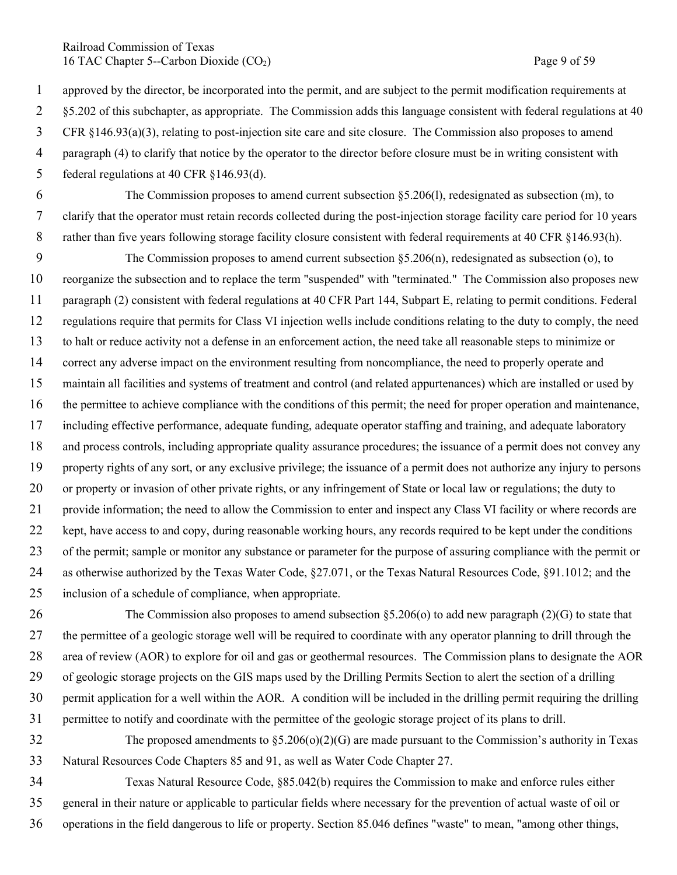Railroad Commission of Texas 16 TAC Chapter 5--Carbon Dioxide (CO<sub>2</sub>) Page 9 of 59

 approved by the director, be incorporated into the permit, and are subject to the permit modification requirements at §5.202 of this subchapter, as appropriate. The Commission adds this language consistent with federal regulations at 40 CFR §146.93(a)(3), relating to post-injection site care and site closure. The Commission also proposes to amend paragraph (4) to clarify that notice by the operator to the director before closure must be in writing consistent with federal regulations at 40 CFR §146.93(d).

 The Commission proposes to amend current subsection §5.206(l), redesignated as subsection (m), to clarify that the operator must retain records collected during the post-injection storage facility care period for 10 years 8 rather than five years following storage facility closure consistent with federal requirements at 40 CFR §146.93(h).

 The Commission proposes to amend current subsection §5.206(n), redesignated as subsection (o), to reorganize the subsection and to replace the term "suspended" with "terminated." The Commission also proposes new paragraph (2) consistent with federal regulations at 40 CFR Part 144, Subpart E, relating to permit conditions. Federal regulations require that permits for Class VI injection wells include conditions relating to the duty to comply, the need to halt or reduce activity not a defense in an enforcement action, the need take all reasonable steps to minimize or correct any adverse impact on the environment resulting from noncompliance, the need to properly operate and maintain all facilities and systems of treatment and control (and related appurtenances) which are installed or used by the permittee to achieve compliance with the conditions of this permit; the need for proper operation and maintenance, including effective performance, adequate funding, adequate operator staffing and training, and adequate laboratory and process controls, including appropriate quality assurance procedures; the issuance of a permit does not convey any property rights of any sort, or any exclusive privilege; the issuance of a permit does not authorize any injury to persons or property or invasion of other private rights, or any infringement of State or local law or regulations; the duty to provide information; the need to allow the Commission to enter and inspect any Class VI facility or where records are kept, have access to and copy, during reasonable working hours, any records required to be kept under the conditions of the permit; sample or monitor any substance or parameter for the purpose of assuring compliance with the permit or as otherwise authorized by the Texas Water Code, §27.071, or the Texas Natural Resources Code, §91.1012; and the inclusion of a schedule of compliance, when appropriate.

 The Commission also proposes to amend subsection §5.206(o) to add new paragraph (2)(G) to state that the permittee of a geologic storage well will be required to coordinate with any operator planning to drill through the area of review (AOR) to explore for oil and gas or geothermal resources. The Commission plans to designate the AOR of geologic storage projects on the GIS maps used by the Drilling Permits Section to alert the section of a drilling permit application for a well within the AOR. A condition will be included in the drilling permit requiring the drilling permittee to notify and coordinate with the permittee of the geologic storage project of its plans to drill.

 The proposed amendments to §5.206(o)(2)(G) are made pursuant to the Commission's authority in Texas Natural Resources Code Chapters 85 and 91, as well as Water Code Chapter 27.

 Texas Natural Resource Code, §85.042(b) requires the Commission to make and enforce rules either general in their nature or applicable to particular fields where necessary for the prevention of actual waste of oil or operations in the field dangerous to life or property. Section 85.046 defines "waste" to mean, "among other things,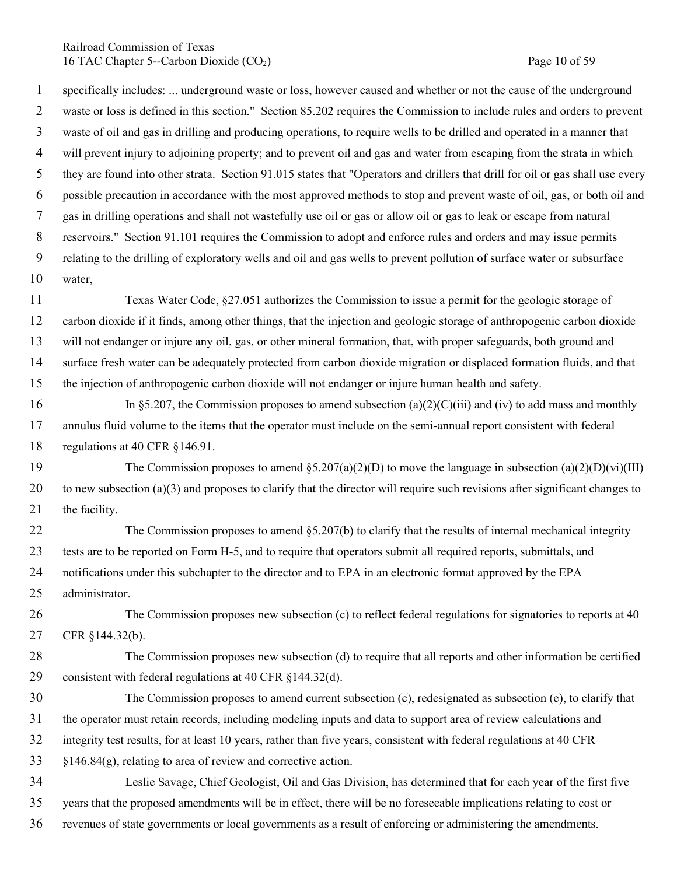Railroad Commission of Texas 16 TAC Chapter 5--Carbon Dioxide (CO<sub>2</sub>) Page 10 of 59

 specifically includes: ... underground waste or loss, however caused and whether or not the cause of the underground waste or loss is defined in this section." Section 85.202 requires the Commission to include rules and orders to prevent waste of oil and gas in drilling and producing operations, to require wells to be drilled and operated in a manner that will prevent injury to adjoining property; and to prevent oil and gas and water from escaping from the strata in which they are found into other strata. Section 91.015 states that "Operators and drillers that drill for oil or gas shall use every possible precaution in accordance with the most approved methods to stop and prevent waste of oil, gas, or both oil and gas in drilling operations and shall not wastefully use oil or gas or allow oil or gas to leak or escape from natural reservoirs." Section 91.101 requires the Commission to adopt and enforce rules and orders and may issue permits relating to the drilling of exploratory wells and oil and gas wells to prevent pollution of surface water or subsurface water,

 Texas Water Code, §27.051 authorizes the Commission to issue a permit for the geologic storage of carbon dioxide if it finds, among other things, that the injection and geologic storage of anthropogenic carbon dioxide will not endanger or injure any oil, gas, or other mineral formation, that, with proper safeguards, both ground and surface fresh water can be adequately protected from carbon dioxide migration or displaced formation fluids, and that the injection of anthropogenic carbon dioxide will not endanger or injure human health and safety.

16 In §5.207, the Commission proposes to amend subsection (a)(2)(C)(iii) and (iv) to add mass and monthly annulus fluid volume to the items that the operator must include on the semi-annual report consistent with federal regulations at 40 CFR §146.91.

19 The Commission proposes to amend  $\S 5.207(a)(2)(D)$  to move the language in subsection  $(a)(2)(D)(vi)(III)$  to new subsection (a)(3) and proposes to clarify that the director will require such revisions after significant changes to 21 the facility.

 The Commission proposes to amend §5.207(b) to clarify that the results of internal mechanical integrity tests are to be reported on Form H-5, and to require that operators submit all required reports, submittals, and notifications under this subchapter to the director and to EPA in an electronic format approved by the EPA administrator.

 The Commission proposes new subsection (c) to reflect federal regulations for signatories to reports at 40 CFR §144.32(b).

- The Commission proposes new subsection (d) to require that all reports and other information be certified consistent with federal regulations at 40 CFR §144.32(d).
- The Commission proposes to amend current subsection (c), redesignated as subsection (e), to clarify that the operator must retain records, including modeling inputs and data to support area of review calculations and integrity test results, for at least 10 years, rather than five years, consistent with federal regulations at 40 CFR §146.84(g), relating to area of review and corrective action.
- Leslie Savage, Chief Geologist, Oil and Gas Division, has determined that for each year of the first five years that the proposed amendments will be in effect, there will be no foreseeable implications relating to cost or revenues of state governments or local governments as a result of enforcing or administering the amendments.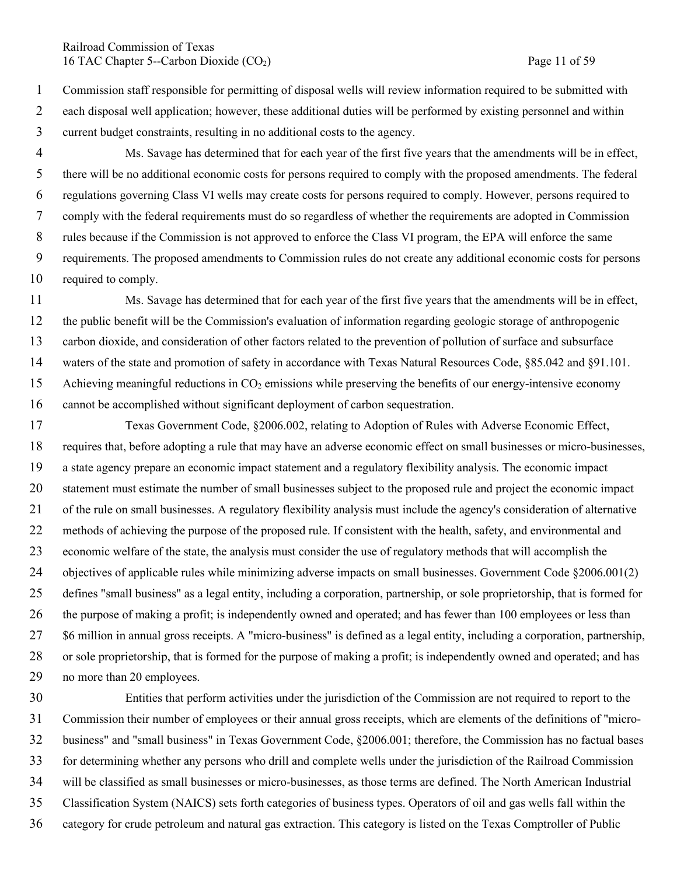### Railroad Commission of Texas 16 TAC Chapter 5--Carbon Dioxide (CO<sub>2</sub>) Page 11 of 59

 Commission staff responsible for permitting of disposal wells will review information required to be submitted with each disposal well application; however, these additional duties will be performed by existing personnel and within current budget constraints, resulting in no additional costs to the agency.

- Ms. Savage has determined that for each year of the first five years that the amendments will be in effect, there will be no additional economic costs for persons required to comply with the proposed amendments. The federal regulations governing Class VI wells may create costs for persons required to comply. However, persons required to comply with the federal requirements must do so regardless of whether the requirements are adopted in Commission rules because if the Commission is not approved to enforce the Class VI program, the EPA will enforce the same requirements. The proposed amendments to Commission rules do not create any additional economic costs for persons required to comply.
- Ms. Savage has determined that for each year of the first five years that the amendments will be in effect, the public benefit will be the Commission's evaluation of information regarding geologic storage of anthropogenic carbon dioxide, and consideration of other factors related to the prevention of pollution of surface and subsurface waters of the state and promotion of safety in accordance with Texas Natural Resources Code, §85.042 and §91.101. 15 Achieving meaningful reductions in  $CO<sub>2</sub>$  emissions while preserving the benefits of our energy-intensive economy cannot be accomplished without significant deployment of carbon sequestration.
- Texas Government Code, §2006.002, relating to Adoption of Rules with Adverse Economic Effect, requires that, before adopting a rule that may have an adverse economic effect on small businesses or micro-businesses, a state agency prepare an economic impact statement and a regulatory flexibility analysis. The economic impact statement must estimate the number of small businesses subject to the proposed rule and project the economic impact of the rule on small businesses. A regulatory flexibility analysis must include the agency's consideration of alternative methods of achieving the purpose of the proposed rule. If consistent with the health, safety, and environmental and economic welfare of the state, the analysis must consider the use of regulatory methods that will accomplish the 24 objectives of applicable rules while minimizing adverse impacts on small businesses. Government Code §2006.001(2) defines "small business" as a legal entity, including a corporation, partnership, or sole proprietorship, that is formed for 26 the purpose of making a profit; is independently owned and operated; and has fewer than 100 employees or less than \$6 million in annual gross receipts. A "micro-business" is defined as a legal entity, including a corporation, partnership, or sole proprietorship, that is formed for the purpose of making a profit; is independently owned and operated; and has no more than 20 employees.
- Entities that perform activities under the jurisdiction of the Commission are not required to report to the Commission their number of employees or their annual gross receipts, which are elements of the definitions of "micro- business" and "small business" in Texas Government Code, §2006.001; therefore, the Commission has no factual bases for determining whether any persons who drill and complete wells under the jurisdiction of the Railroad Commission will be classified as small businesses or micro-businesses, as those terms are defined. The North American Industrial Classification System (NAICS) sets forth categories of business types. Operators of oil and gas wells fall within the category for crude petroleum and natural gas extraction. This category is listed on the Texas Comptroller of Public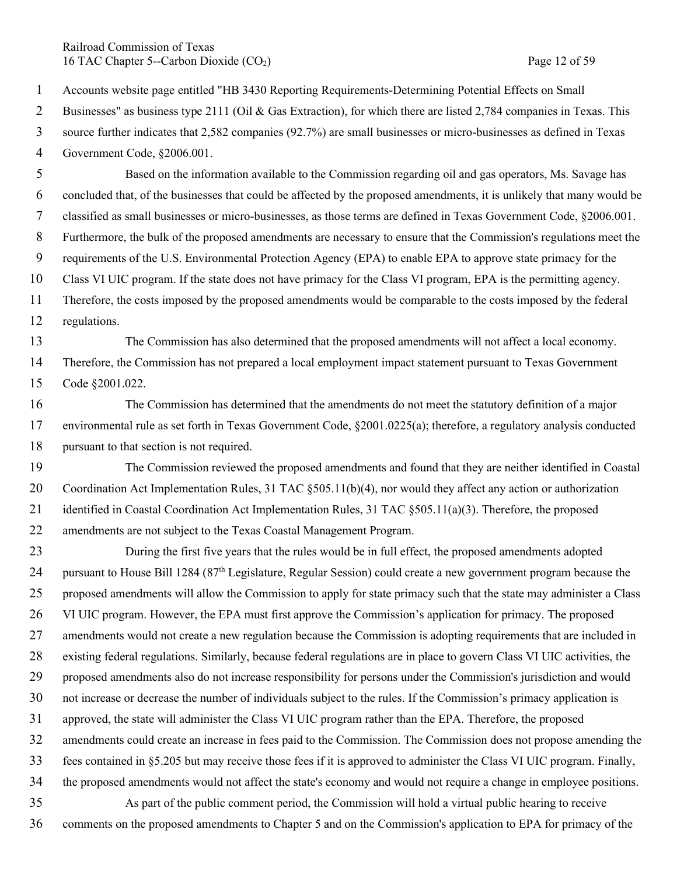Railroad Commission of Texas 16 TAC Chapter 5--Carbon Dioxide (CO<sub>2</sub>) Page 12 of 59

Accounts website page entitled "HB 3430 Reporting Requirements-Determining Potential Effects on Small

2 Businesses" as business type 2111 (Oil & Gas Extraction), for which there are listed 2,784 companies in Texas. This

 source further indicates that 2,582 companies (92.7%) are small businesses or micro-businesses as defined in Texas Government Code, §2006.001.

 Based on the information available to the Commission regarding oil and gas operators, Ms. Savage has concluded that, of the businesses that could be affected by the proposed amendments, it is unlikely that many would be classified as small businesses or micro-businesses, as those terms are defined in Texas Government Code, §2006.001. Furthermore, the bulk of the proposed amendments are necessary to ensure that the Commission's regulations meet the requirements of the U.S. Environmental Protection Agency (EPA) to enable EPA to approve state primacy for the Class VI UIC program. If the state does not have primacy for the Class VI program, EPA is the permitting agency. Therefore, the costs imposed by the proposed amendments would be comparable to the costs imposed by the federal

regulations.

 The Commission has also determined that the proposed amendments will not affect a local economy. Therefore, the Commission has not prepared a local employment impact statement pursuant to Texas Government Code §2001.022.

- The Commission has determined that the amendments do not meet the statutory definition of a major environmental rule as set forth in Texas Government Code, §2001.0225(a); therefore, a regulatory analysis conducted pursuant to that section is not required.
- The Commission reviewed the proposed amendments and found that they are neither identified in Coastal 20 Coordination Act Implementation Rules, 31 TAC §505.11(b)(4), nor would they affect any action or authorization 21 identified in Coastal Coordination Act Implementation Rules, 31 TAC §505.11(a)(3). Therefore, the proposed amendments are not subject to the Texas Coastal Management Program.
- During the first five years that the rules would be in full effect, the proposed amendments adopted 24 pursuant to House Bill 1284 ( $87<sup>th</sup>$  Legislature, Regular Session) could create a new government program because the 25 proposed amendments will allow the Commission to apply for state primacy such that the state may administer a Class VI UIC program. However, the EPA must first approve the Commission's application for primacy. The proposed amendments would not create a new regulation because the Commission is adopting requirements that are included in existing federal regulations. Similarly, because federal regulations are in place to govern Class VI UIC activities, the proposed amendments also do not increase responsibility for persons under the Commission's jurisdiction and would not increase or decrease the number of individuals subject to the rules. If the Commission's primacy application is approved, the state will administer the Class VI UIC program rather than the EPA. Therefore, the proposed amendments could create an increase in fees paid to the Commission. The Commission does not propose amending the fees contained in §5.205 but may receive those fees if it is approved to administer the Class VI UIC program. Finally, the proposed amendments would not affect the state's economy and would not require a change in employee positions. As part of the public comment period, the Commission will hold a virtual public hearing to receive comments on the proposed amendments to Chapter 5 and on the Commission's application to EPA for primacy of the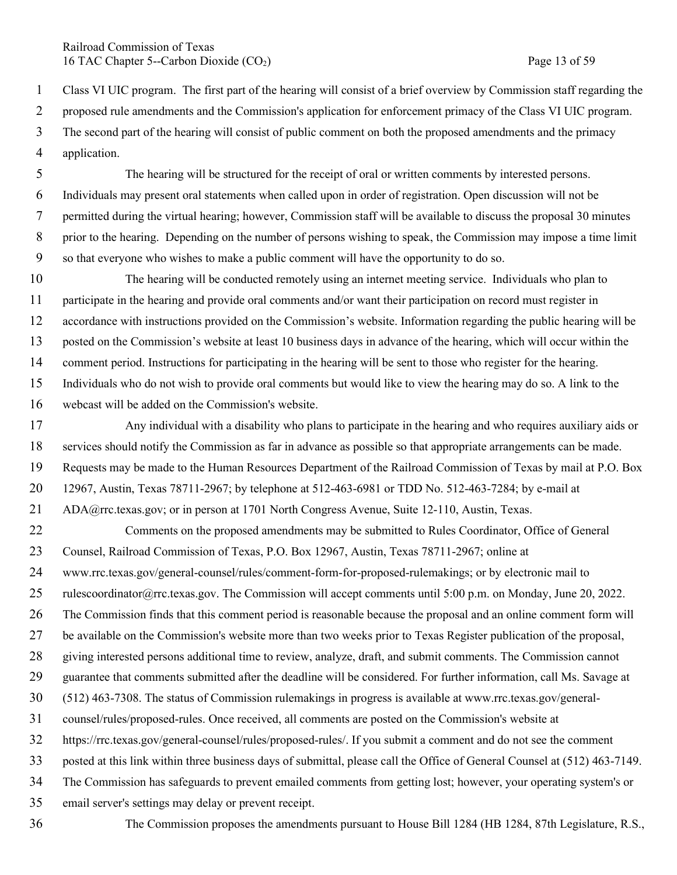Railroad Commission of Texas 16 TAC Chapter 5--Carbon Dioxide (CO<sub>2</sub>) Page 13 of 59

 Class VI UIC program. The first part of the hearing will consist of a brief overview by Commission staff regarding the 2 proposed rule amendments and the Commission's application for enforcement primacy of the Class VI UIC program. The second part of the hearing will consist of public comment on both the proposed amendments and the primacy application.

 The hearing will be structured for the receipt of oral or written comments by interested persons. Individuals may present oral statements when called upon in order of registration. Open discussion will not be permitted during the virtual hearing; however, Commission staff will be available to discuss the proposal 30 minutes prior to the hearing. Depending on the number of persons wishing to speak, the Commission may impose a time limit so that everyone who wishes to make a public comment will have the opportunity to do so.

 The hearing will be conducted remotely using an internet meeting service. Individuals who plan to participate in the hearing and provide oral comments and/or want their participation on record must register in accordance with instructions provided on the Commission's website. Information regarding the public hearing will be posted on the Commission's website at least 10 business days in advance of the hearing, which will occur within the comment period. Instructions for participating in the hearing will be sent to those who register for the hearing. Individuals who do not wish to provide oral comments but would like to view the hearing may do so. A link to the webcast will be added on the Commission's website.

 Any individual with a disability who plans to participate in the hearing and who requires auxiliary aids or services should notify the Commission as far in advance as possible so that appropriate arrangements can be made. Requests may be made to the Human Resources Department of the Railroad Commission of Texas by mail at P.O. Box 12967, Austin, Texas 78711-2967; by telephone at 512-463-6981 or TDD No. 512-463-7284; by e-mail at ADA@rrc.texas.gov; or in person at 1701 North Congress Avenue, Suite 12-110, Austin, Texas.

 Comments on the proposed amendments may be submitted to Rules Coordinator, Office of General Counsel, Railroad Commission of Texas, P.O. Box 12967, Austin, Texas 78711-2967; online at www.rrc.texas.gov/general-counsel/rules/comment-form-for-proposed-rulemakings; or by electronic mail to 25 rulescoordinator@rrc.texas.gov. The Commission will accept comments until 5:00 p.m. on Monday, June 20, 2022. The Commission finds that this comment period is reasonable because the proposal and an online comment form will be available on the Commission's website more than two weeks prior to Texas Register publication of the proposal,

giving interested persons additional time to review, analyze, draft, and submit comments. The Commission cannot

guarantee that comments submitted after the deadline will be considered. For further information, call Ms. Savage at

- (512) 463-7308. The status of Commission rulemakings in progress is available at www.rrc.texas.gov/general-
- counsel/rules/proposed-rules. Once received, all comments are posted on the Commission's website at
- https://rrc.texas.gov/general-counsel/rules/proposed-rules/. If you submit a comment and do not see the comment

posted at this link within three business days of submittal, please call the Office of General Counsel at (512) 463-7149.

The Commission has safeguards to prevent emailed comments from getting lost; however, your operating system's or

email server's settings may delay or prevent receipt.

The Commission proposes the amendments pursuant to House Bill 1284 (HB 1284, 87th Legislature, R.S.,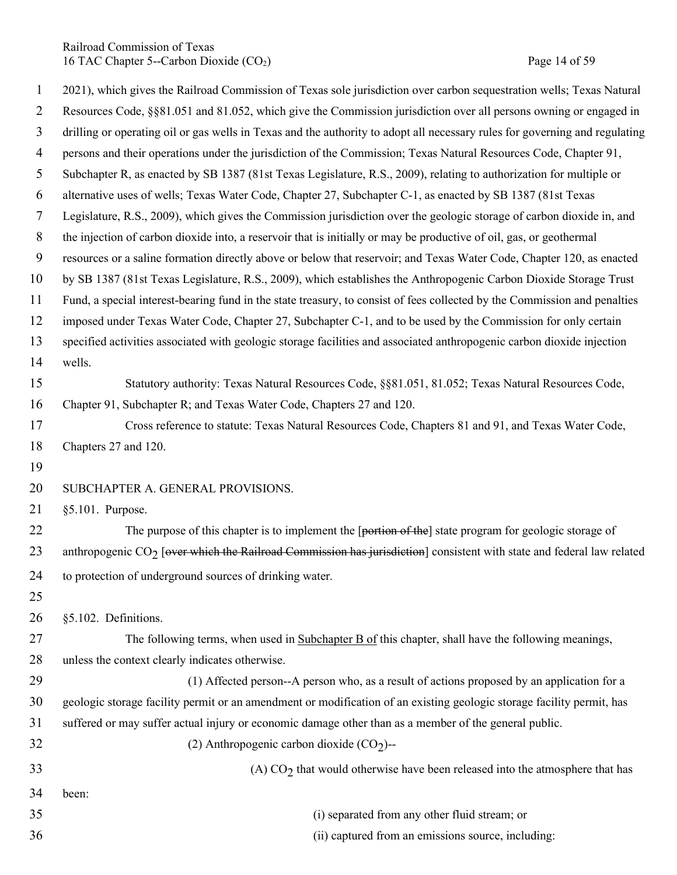Railroad Commission of Texas 16 TAC Chapter 5--Carbon Dioxide (CO<sub>2</sub>) Page 14 of 59

| $\mathbf{1}$   | 2021), which gives the Railroad Commission of Texas sole jurisdiction over carbon sequestration wells; Texas Natural        |
|----------------|-----------------------------------------------------------------------------------------------------------------------------|
| $\overline{2}$ | Resources Code, §§81.051 and 81.052, which give the Commission jurisdiction over all persons owning or engaged in           |
| $\overline{3}$ | drilling or operating oil or gas wells in Texas and the authority to adopt all necessary rules for governing and regulating |
| $\overline{4}$ | persons and their operations under the jurisdiction of the Commission; Texas Natural Resources Code, Chapter 91,            |
| 5              | Subchapter R, as enacted by SB 1387 (81st Texas Legislature, R.S., 2009), relating to authorization for multiple or         |
| 6              | alternative uses of wells; Texas Water Code, Chapter 27, Subchapter C-1, as enacted by SB 1387 (81st Texas                  |
| $\tau$         | Legislature, R.S., 2009), which gives the Commission jurisdiction over the geologic storage of carbon dioxide in, and       |
| 8              | the injection of carbon dioxide into, a reservoir that is initially or may be productive of oil, gas, or geothermal         |
| 9              | resources or a saline formation directly above or below that reservoir; and Texas Water Code, Chapter 120, as enacted       |
| 10             | by SB 1387 (81st Texas Legislature, R.S., 2009), which establishes the Anthropogenic Carbon Dioxide Storage Trust           |
| 11             | Fund, a special interest-bearing fund in the state treasury, to consist of fees collected by the Commission and penalties   |
| 12             | imposed under Texas Water Code, Chapter 27, Subchapter C-1, and to be used by the Commission for only certain               |
| 13             | specified activities associated with geologic storage facilities and associated anthropogenic carbon dioxide injection      |
| 14             | wells.                                                                                                                      |
| 15             | Statutory authority: Texas Natural Resources Code, §§81.051, 81.052; Texas Natural Resources Code,                          |
| 16             | Chapter 91, Subchapter R; and Texas Water Code, Chapters 27 and 120.                                                        |
| 17             | Cross reference to statute: Texas Natural Resources Code, Chapters 81 and 91, and Texas Water Code,                         |
| 18             | Chapters 27 and 120.                                                                                                        |
| 19             |                                                                                                                             |
| 20             | SUBCHAPTER A. GENERAL PROVISIONS.                                                                                           |
| 21             | §5.101. Purpose.                                                                                                            |
| 22             | The purpose of this chapter is to implement the [portion of the] state program for geologic storage of                      |
| 23             | anthropogenic $CO2$ [over which the Railroad Commission has jurisdiction] consistent with state and federal law related     |
| 24             | to protection of underground sources of drinking water.                                                                     |
| 25             |                                                                                                                             |
| 26             | §5.102. Definitions.                                                                                                        |
| 27             | The following terms, when used in Subchapter B of this chapter, shall have the following meanings,                          |
| 28             | unless the context clearly indicates otherwise.                                                                             |
| 29             | (1) Affected person--A person who, as a result of actions proposed by an application for a                                  |
| 30             | geologic storage facility permit or an amendment or modification of an existing geologic storage facility permit, has       |
| 31             | suffered or may suffer actual injury or economic damage other than as a member of the general public.                       |
| 32             | (2) Anthropogenic carbon dioxide $(CO2)$ --                                                                                 |
| 33             | (A) $CO2$ that would otherwise have been released into the atmosphere that has                                              |
| 34             | been:                                                                                                                       |
| 35             |                                                                                                                             |
|                | (i) separated from any other fluid stream; or                                                                               |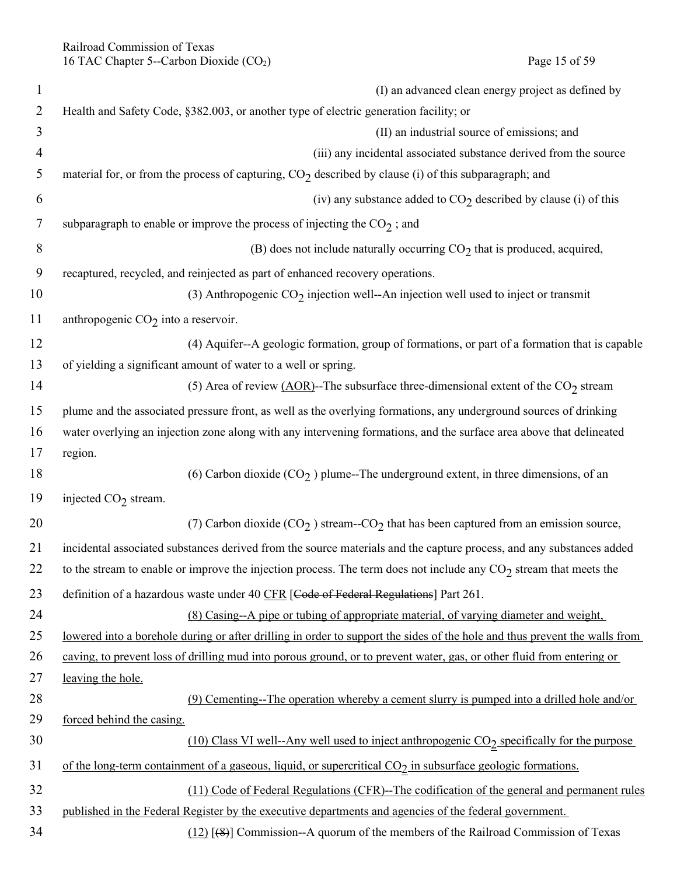| $\mathbf{1}$   | (I) an advanced clean energy project as defined by                                                                                |
|----------------|-----------------------------------------------------------------------------------------------------------------------------------|
| $\overline{2}$ | Health and Safety Code, §382.003, or another type of electric generation facility; or                                             |
| 3              | (II) an industrial source of emissions; and                                                                                       |
| 4              | (iii) any incidental associated substance derived from the source                                                                 |
| 5              | material for, or from the process of capturing, $CO2$ described by clause (i) of this subparagraph; and                           |
| 6              | (iv) any substance added to $CO2$ described by clause (i) of this                                                                 |
| 7              | subparagraph to enable or improve the process of injecting the $CO2$ ; and                                                        |
| 8              | (B) does not include naturally occurring $CO2$ that is produced, acquired,                                                        |
| 9              | recaptured, recycled, and reinjected as part of enhanced recovery operations.                                                     |
| 10             | (3) Anthropogenic $CO2$ injection well--An injection well used to inject or transmit                                              |
| 11             | anthropogenic $CO2$ into a reservoir.                                                                                             |
| 12             | (4) Aquifer--A geologic formation, group of formations, or part of a formation that is capable                                    |
| 13             | of yielding a significant amount of water to a well or spring.                                                                    |
| 14             | (5) Area of review $(AOR)$ --The subsurface three-dimensional extent of the CO <sub>2</sub> stream                                |
| 15             | plume and the associated pressure front, as well as the overlying formations, any underground sources of drinking                 |
| 16             | water overlying an injection zone along with any intervening formations, and the surface area above that delineated               |
| 17             | region.                                                                                                                           |
| 18             | (6) Carbon dioxide $(CO2)$ plume--The underground extent, in three dimensions, of an                                              |
| 19             | injected $CO2$ stream.                                                                                                            |
| 20             | (7) Carbon dioxide (CO <sub>2</sub> ) stream--CO <sub>2</sub> that has been captured from an emission source,                     |
| 21             | incidental associated substances derived from the source materials and the capture process, and any substances added              |
| 22             | to the stream to enable or improve the injection process. The term does not include any $CO2$ stream that meets the               |
| 23             | definition of a hazardous waste under 40 CFR [Code of Federal Regulations] Part 261.                                              |
| 24             | (8) Casing--A pipe or tubing of appropriate material, of varying diameter and weight,                                             |
| 25             | <u>lowered into a borehole during or after drilling in order to support the sides of the hole and thus prevent the walls from</u> |
| 26             | caving, to prevent loss of drilling mud into porous ground, or to prevent water, gas, or other fluid from entering or             |
| 27             | leaving the hole.                                                                                                                 |
| 28             | (9) Cementing--The operation whereby a cement slurry is pumped into a drilled hole and/or                                         |
| 29             | forced behind the casing.                                                                                                         |
| 30             | $(10)$ Class VI well--Any well used to inject anthropogenic $CO2$ specifically for the purpose                                    |
| 31             | of the long-term containment of a gaseous, liquid, or supercritical CO <sub>2</sub> in subsurface geologic formations.            |
| 32             | (11) Code of Federal Regulations (CFR)--The codification of the general and permanent rules                                       |
| 33             | published in the Federal Register by the executive departments and agencies of the federal government.                            |
| 34             | $(12)$ [ $(8)$ ] Commission--A quorum of the members of the Railroad Commission of Texas                                          |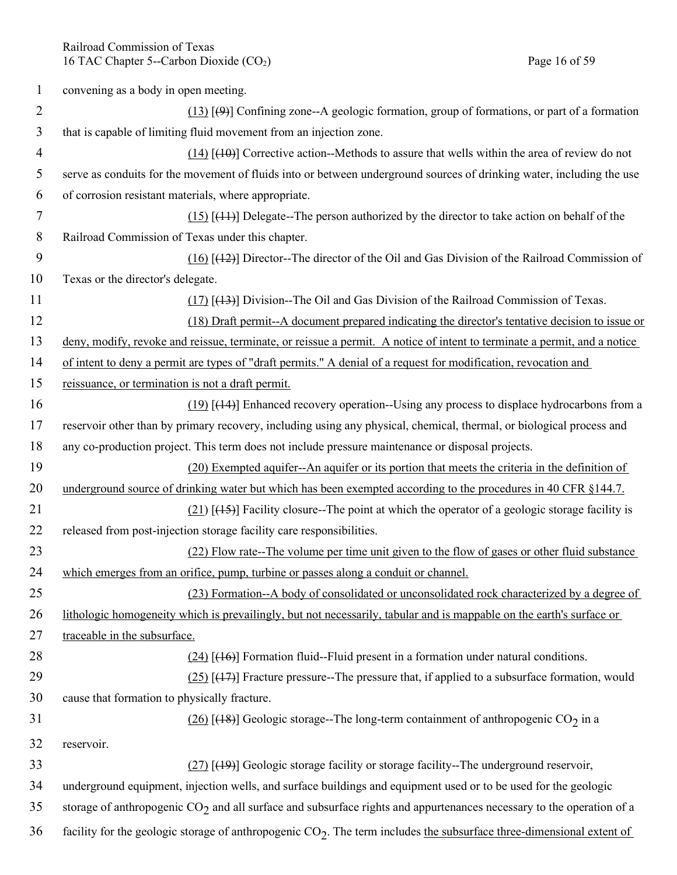Railroad Commission of Texas 16 TAC Chapter 5--Carbon Dioxide (CO<sub>2</sub>) Page 16 of 59

| 1              | convening as a body in open meeting.                                                                                     |
|----------------|--------------------------------------------------------------------------------------------------------------------------|
| 2              | $(13)$ [ $(9)$ ] Confining zone--A geologic formation, group of formations, or part of a formation                       |
| 3              | that is capable of limiting fluid movement from an injection zone.                                                       |
| $\overline{4}$ | $(14)$ [ $(10)$ ] Corrective action--Methods to assure that wells within the area of review do not                       |
| 5              | serve as conduits for the movement of fluids into or between underground sources of drinking water, including the use    |
| 6              | of corrosion resistant materials, where appropriate.                                                                     |
| 7              | $(15)$ [ $(11)$ ] Delegate-The person authorized by the director to take action on behalf of the                         |
| 8              | Railroad Commission of Texas under this chapter.                                                                         |
| 9              | $(16)$ [ $(12)$ ] Director--The director of the Oil and Gas Division of the Railroad Commission of                       |
| 10             | Texas or the director's delegate.                                                                                        |
| 11             | $(17)$ [ $(13)$ ] Division-The Oil and Gas Division of the Railroad Commission of Texas.                                 |
| 12             | (18) Draft permit--A document prepared indicating the director's tentative decision to issue or                          |
| 13             | deny, modify, revoke and reissue, terminate, or reissue a permit. A notice of intent to terminate a permit, and a notice |
| 14             | of intent to deny a permit are types of "draft permits." A denial of a request for modification, revocation and          |
| 15             | reissuance, or termination is not a draft permit.                                                                        |
| 16             | $(19)$ [ $(14)$ ] Enhanced recovery operation--Using any process to displace hydrocarbons from a                         |
| 17             | reservoir other than by primary recovery, including using any physical, chemical, thermal, or biological process and     |
| 18             | any co-production project. This term does not include pressure maintenance or disposal projects.                         |
| 19             | (20) Exempted aquifer--An aquifer or its portion that meets the criteria in the definition of                            |
| 20             | underground source of drinking water but which has been exempted according to the procedures in 40 CFR §144.7.           |
| 21             | $(21)$ [ $(15)$ ] Facility closure--The point at which the operator of a geologic storage facility is                    |
| 22             | released from post-injection storage facility care responsibilities.                                                     |
| 23             | (22) Flow rate--The volume per time unit given to the flow of gases or other fluid substance                             |
| 24             | which emerges from an orifice, pump, turbine or passes along a conduit or channel.                                       |
| 25             | (23) Formation--A body of consolidated or unconsolidated rock characterized by a degree of                               |
| 26             | lithologic homogeneity which is prevailingly, but not necessarily, tabular and is mappable on the earth's surface or     |
| 27             | traceable in the subsurface.                                                                                             |
| 28             | $(24)$ [ $(16)$ ] Formation fluid--Fluid present in a formation under natural conditions.                                |
| 29             | $(25)$ [ $(17)$ ] Fracture pressure--The pressure that, if applied to a subsurface formation, would                      |
| 30             | cause that formation to physically fracture.                                                                             |
| 31             | $(26)$ [(18)] Geologic storage--The long-term containment of anthropogenic CO <sub>2</sub> in a                          |
| 32             | reservoir.                                                                                                               |
| 33             | $(27)$ [ $(19)$ ] Geologic storage facility or storage facility--The underground reservoir,                              |
| 34             | underground equipment, injection wells, and surface buildings and equipment used or to be used for the geologic          |
| 35             | storage of anthropogenic $CO_2$ and all surface and subsurface rights and appurtenances necessary to the operation of a  |
| 36             | facility for the geologic storage of anthropogenic $CO2$ . The term includes the subsurface three-dimensional extent of  |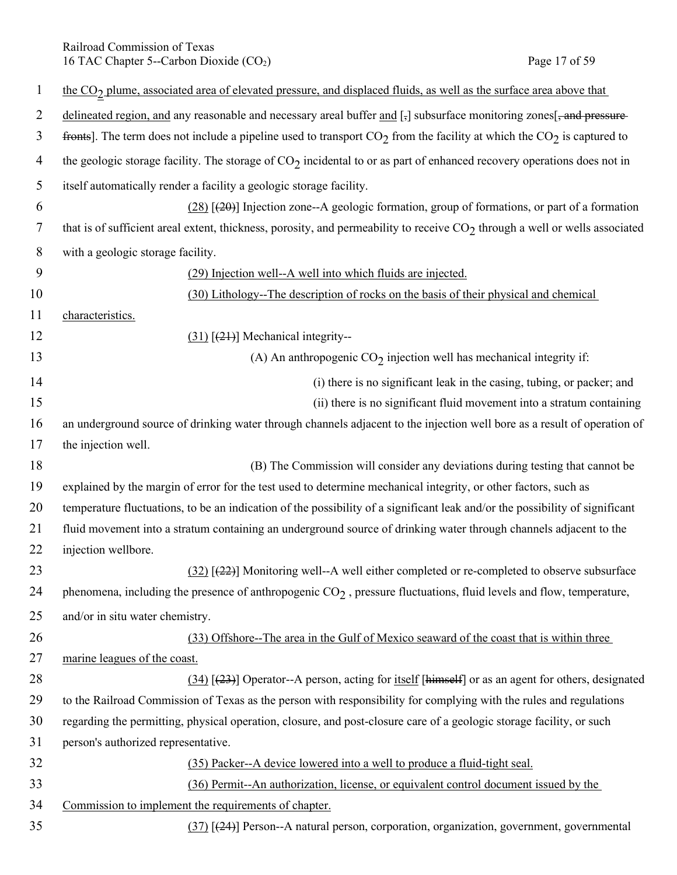Railroad Commission of Texas 16 TAC Chapter 5--Carbon Dioxide (CO<sub>2</sub>) Page 17 of 59

| $\mathbf{1}$   | the CO <sub>2</sub> plume, associated area of elevated pressure, and displaced fluids, as well as the surface area above that |
|----------------|-------------------------------------------------------------------------------------------------------------------------------|
| $\overline{2}$ | delineated region, and any reasonable and necessary areal buffer and [-] subsurface monitoring zones[-and pressure-           |
| 3              | fronts]. The term does not include a pipeline used to transport $CO_2$ from the facility at which the $CO_2$ is captured to   |
| $\overline{4}$ | the geologic storage facility. The storage of $CO2$ incidental to or as part of enhanced recovery operations does not in      |
| 5              | itself automatically render a facility a geologic storage facility.                                                           |
| 6              | $(28)$ [ $(20)$ ] Injection zone--A geologic formation, group of formations, or part of a formation                           |
| 7              | that is of sufficient areal extent, thickness, porosity, and permeability to receive $CO2$ through a well or wells associated |
| 8              | with a geologic storage facility.                                                                                             |
| 9              | (29) Injection well--A well into which fluids are injected.                                                                   |
| 10             | (30) Lithology--The description of rocks on the basis of their physical and chemical                                          |
| 11             | characteristics.                                                                                                              |
| 12             | $(31)$ [ $(21)$ ] Mechanical integrity--                                                                                      |
| 13             | (A) An anthropogenic $CO2$ injection well has mechanical integrity if:                                                        |
| 14             | (i) there is no significant leak in the casing, tubing, or packer; and                                                        |
| 15             | (ii) there is no significant fluid movement into a stratum containing                                                         |
| 16             | an underground source of drinking water through channels adjacent to the injection well bore as a result of operation of      |
| 17             | the injection well.                                                                                                           |
| 18             | (B) The Commission will consider any deviations during testing that cannot be                                                 |
| 19             | explained by the margin of error for the test used to determine mechanical integrity, or other factors, such as               |
| 20             | temperature fluctuations, to be an indication of the possibility of a significant leak and/or the possibility of significant  |
| 21             | fluid movement into a stratum containing an underground source of drinking water through channels adjacent to the             |
| 22             | injection wellbore.                                                                                                           |
| 23             | $(32)$ [ $(22)$ ] Monitoring well--A well either completed or re-completed to observe subsurface                              |
| 24             | phenomena, including the presence of anthropogenic $CO2$ , pressure fluctuations, fluid levels and flow, temperature,         |
| 25             | and/or in situ water chemistry.                                                                                               |
| 26             | (33) Offshore--The area in the Gulf of Mexico seaward of the coast that is within three                                       |
| 27             | marine leagues of the coast.                                                                                                  |
| 28             | $(34)$ [ $(23)$ ] Operator--A person, acting for itself [himself] or as an agent for others, designated                       |
| 29             | to the Railroad Commission of Texas as the person with responsibility for complying with the rules and regulations            |
| 30             | regarding the permitting, physical operation, closure, and post-closure care of a geologic storage facility, or such          |
| 31             | person's authorized representative.                                                                                           |
| 32             | (35) Packer--A device lowered into a well to produce a fluid-tight seal.                                                      |
| 33             | (36) Permit--An authorization, license, or equivalent control document issued by the                                          |
| 34             | Commission to implement the requirements of chapter.                                                                          |
| 35             | $(37)$ [ $(24)$ ] Person--A natural person, corporation, organization, government, governmental                               |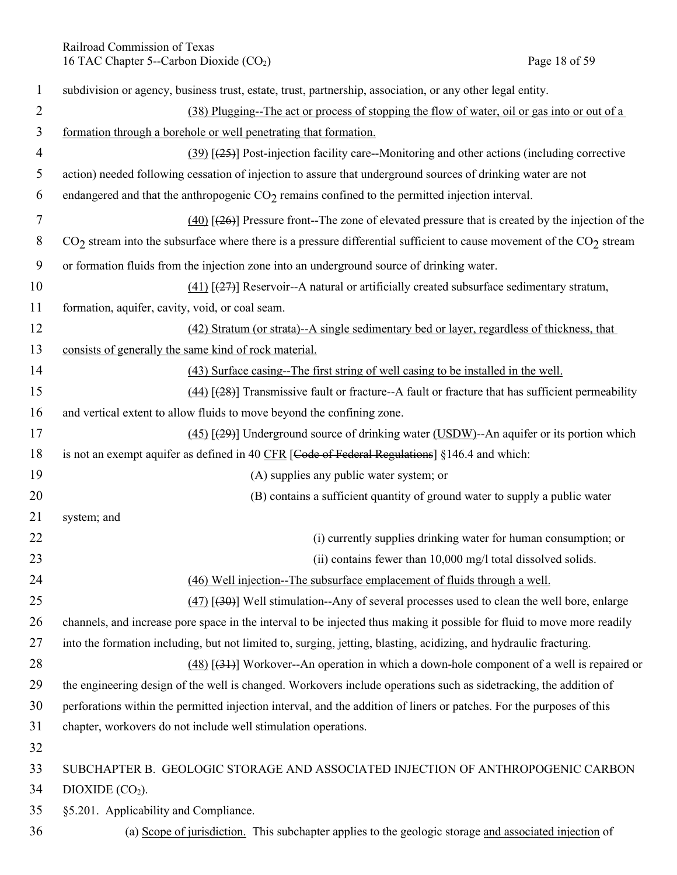Railroad Commission of Texas<br>
16 TAC Chapter 5--Carbon Dioxide (CO<sub>2</sub>) Page 18 of 59 16 TAC Chapter 5--Carbon Dioxide  $(CO<sub>2</sub>)$ 

| $\mathbf{1}$   | subdivision or agency, business trust, estate, trust, partnership, association, or any other legal entity.               |
|----------------|--------------------------------------------------------------------------------------------------------------------------|
| 2              | (38) Plugging--The act or process of stopping the flow of water, oil or gas into or out of a                             |
| 3              | formation through a borehole or well penetrating that formation.                                                         |
| $\overline{4}$ | $(39)$ [ $(25)$ ] Post-injection facility care--Monitoring and other actions (including corrective                       |
| 5              | action) needed following cessation of injection to assure that underground sources of drinking water are not             |
| 6              | endangered and that the anthropogenic $CO2$ remains confined to the permitted injection interval.                        |
| 7              | $(40)$ [ $(26)$ ] Pressure front-The zone of elevated pressure that is created by the injection of the                   |
| 8              | $CO2$ stream into the subsurface where there is a pressure differential sufficient to cause movement of the $CO2$ stream |
| 9              | or formation fluids from the injection zone into an underground source of drinking water.                                |
| 10             | $(41)$ [ $(27)$ ] Reservoir--A natural or artificially created subsurface sedimentary stratum,                           |
| 11             | formation, aquifer, cavity, void, or coal seam.                                                                          |
| 12             | (42) Stratum (or strata)--A single sedimentary bed or layer, regardless of thickness, that                               |
| 13             | consists of generally the same kind of rock material.                                                                    |
| 14             | (43) Surface casing--The first string of well casing to be installed in the well.                                        |
| 15             | $(44)$ [ $(28)$ ] Transmissive fault or fracture--A fault or fracture that has sufficient permeability                   |
| 16             | and vertical extent to allow fluids to move beyond the confining zone.                                                   |
| 17             | $(45)$ [ $(29)$ ] Underground source of drinking water (USDW)--An aquifer or its portion which                           |
| 18             | is not an exempt aquifer as defined in 40 CFR [Code of Federal Regulations] §146.4 and which:                            |
| 19             | (A) supplies any public water system; or                                                                                 |
| 20             | (B) contains a sufficient quantity of ground water to supply a public water                                              |
| 21             | system; and                                                                                                              |
| 22             | (i) currently supplies drinking water for human consumption; or                                                          |
| 23             | (ii) contains fewer than 10,000 mg/l total dissolved solids.                                                             |
| 24             | (46) Well injection--The subsurface emplacement of fluids through a well.                                                |
| 25             | $(47)$ [ $(30)$ ] Well stimulation--Any of several processes used to clean the well bore, enlarge                        |
| 26             | channels, and increase pore space in the interval to be injected thus making it possible for fluid to move more readily  |
| 27             | into the formation including, but not limited to, surging, jetting, blasting, acidizing, and hydraulic fracturing.       |
| 28             | $(48)$ [ $(31)$ ] Workover--An operation in which a down-hole component of a well is repaired or                         |
| 29             | the engineering design of the well is changed. Workovers include operations such as sidetracking, the addition of        |
| 30             | perforations within the permitted injection interval, and the addition of liners or patches. For the purposes of this    |
| 31<br>32       | chapter, workovers do not include well stimulation operations.                                                           |
| 33             | SUBCHAPTER B. GEOLOGIC STORAGE AND ASSOCIATED INJECTION OF ANTHROPOGENIC CARBON                                          |
| 34             | DIOXIDE (CO <sub>2</sub> ).                                                                                              |
| 35             | §5.201. Applicability and Compliance.                                                                                    |
| 36             | (a) Scope of jurisdiction. This subchapter applies to the geologic storage and associated injection of                   |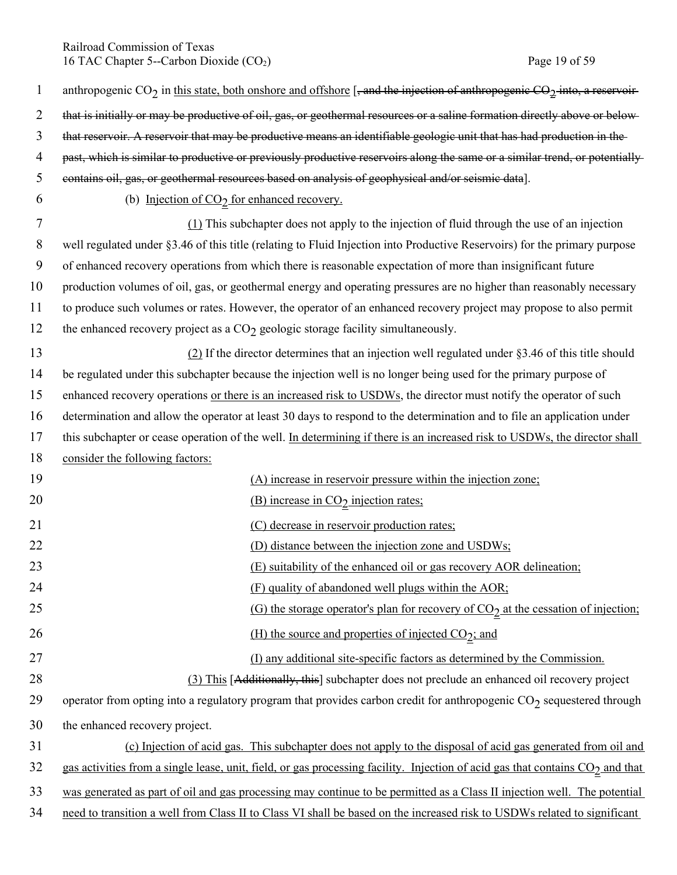Railroad Commission of Texas 16 TAC Chapter 5--Carbon Dioxide (CO<sub>2</sub>) Page 19 of 59

| $\mathbf{1}$   | anthropogenic $CO_2$ in this state, both onshore and offshore [, and the injection of anthropogenic $CO_2$ into, a reservoir-             |
|----------------|-------------------------------------------------------------------------------------------------------------------------------------------|
| $\overline{2}$ | that is initially or may be productive of oil, gas, or geothermal resources or a saline formation directly above or below-                |
| 3              | that reservoir. A reservoir that may be productive means an identifiable geologic unit that has had production in the                     |
| $\overline{4}$ | past, which is similar to productive or previously productive reservoirs along the same or a similar trend, or potentially                |
| 5              | contains oil, gas, or geothermal resources based on analysis of geophysical and/or seismic data].                                         |
| 6              | (b) Injection of $CO_2$ for enhanced recovery.                                                                                            |
| 7              | $(1)$ This subchapter does not apply to the injection of fluid through the use of an injection                                            |
| 8              | well regulated under §3.46 of this title (relating to Fluid Injection into Productive Reservoirs) for the primary purpose                 |
| 9              | of enhanced recovery operations from which there is reasonable expectation of more than insignificant future                              |
| 10             | production volumes of oil, gas, or geothermal energy and operating pressures are no higher than reasonably necessary                      |
| 11             | to produce such volumes or rates. However, the operator of an enhanced recovery project may propose to also permit                        |
| 12             | the enhanced recovery project as a $CO2$ geologic storage facility simultaneously.                                                        |
| 13             | $(2)$ If the director determines that an injection well regulated under §3.46 of this title should                                        |
| 14             | be regulated under this subchapter because the injection well is no longer being used for the primary purpose of                          |
| 15             | enhanced recovery operations or there is an increased risk to USDWs, the director must notify the operator of such                        |
| 16             | determination and allow the operator at least 30 days to respond to the determination and to file an application under                    |
| 17             | this subchapter or cease operation of the well. In determining if there is an increased risk to USDWs, the director shall                 |
| 18             | consider the following factors:                                                                                                           |
| 19             | (A) increase in reservoir pressure within the injection zone;                                                                             |
| 20             | (B) increase in $CO2$ injection rates;                                                                                                    |
| 21             | (C) decrease in reservoir production rates;                                                                                               |
| 22             | (D) distance between the injection zone and USDWs;                                                                                        |
| 23             | (E) suitability of the enhanced oil or gas recovery AOR delineation;                                                                      |
| 24             | (F) quality of abandoned well plugs within the AOR;                                                                                       |
| 25             | (G) the storage operator's plan for recovery of $CO2$ at the cessation of injection;                                                      |
| 26             | (H) the source and properties of injected $CO_2$ ; and                                                                                    |
| 27             | (I) any additional site-specific factors as determined by the Commission.                                                                 |
| 28             | (3) This [Additionally, this] subchapter does not preclude an enhanced oil recovery project                                               |
| 29             | operator from opting into a regulatory program that provides carbon credit for anthropogenic $CO_2$ sequestered through                   |
| 30             | the enhanced recovery project.                                                                                                            |
| 31             | (c) Injection of acid gas. This subchapter does not apply to the disposal of acid gas generated from oil and                              |
| 32             | gas activities from a single lease, unit, field, or gas processing facility. Injection of acid gas that contains CO <sub>2</sub> and that |
| 33             | was generated as part of oil and gas processing may continue to be permitted as a Class II injection well. The potential                  |
| 34             | need to transition a well from Class II to Class VI shall be based on the increased risk to USDWs related to significant                  |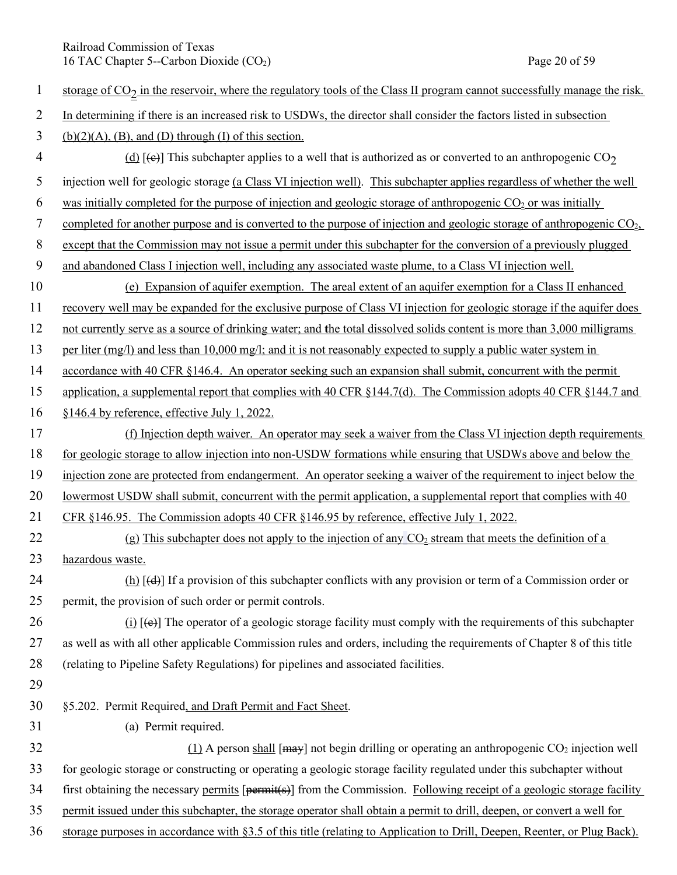Railroad Commission of Texas<br>
16 TAC Chapter 5--Carbon Dioxide (CO<sub>2</sub>) Page 20 of 59 16 TAC Chapter 5--Carbon Dioxide  $(CO<sub>2</sub>)$ 

| $\mathbf{1}$   | storage of $CO2$ in the reservoir, where the regulatory tools of the Class II program cannot successfully manage the risk.                |
|----------------|-------------------------------------------------------------------------------------------------------------------------------------------|
| $\overline{2}$ | In determining if there is an increased risk to USDWs, the director shall consider the factors listed in subsection                       |
| 3              | $(b)(2)(A)$ , (B), and (D) through (I) of this section.                                                                                   |
| 4              | (d) [ $\leftrightarrow$ ] This subchapter applies to a well that is authorized as or converted to an anthropogenic CO <sub>2</sub>        |
| 5              | injection well for geologic storage (a Class VI injection well). This subchapter applies regardless of whether the well                   |
| 6              | was initially completed for the purpose of injection and geologic storage of anthropogenic $CO2$ or was initially                         |
| 7              | completed for another purpose and is converted to the purpose of injection and geologic storage of anthropogenic $CO2$ ,                  |
| 8              | except that the Commission may not issue a permit under this subchapter for the conversion of a previously plugged                        |
| 9              | and abandoned Class I injection well, including any associated waste plume, to a Class VI injection well.                                 |
| 10             | (e) Expansion of aquifer exemption. The areal extent of an aquifer exemption for a Class II enhanced                                      |
| 11             | recovery well may be expanded for the exclusive purpose of Class VI injection for geologic storage if the aquifer does                    |
| 12             | not currently serve as a source of drinking water; and the total dissolved solids content is more than 3,000 milligrams                   |
| 13             | per liter $(mg/l)$ and less than 10,000 mg/l; and it is not reasonably expected to supply a public water system in                        |
| 14             | accordance with 40 CFR §146.4. An operator seeking such an expansion shall submit, concurrent with the permit                             |
| 15             | application, a supplemental report that complies with 40 CFR $\S 144.7(d)$ . The Commission adopts 40 CFR $\S 144.7$ and                  |
| 16             | §146.4 by reference, effective July 1, 2022.                                                                                              |
| 17             | (f) Injection depth waiver. An operator may seek a waiver from the Class VI injection depth requirements                                  |
| 18             | for geologic storage to allow injection into non-USDW formations while ensuring that USDWs above and below the                            |
| 19             | injection zone are protected from endangerment. An operator seeking a waiver of the requirement to inject below the                       |
| 20             | lowermost USDW shall submit, concurrent with the permit application, a supplemental report that complies with 40                          |
| 21             | CFR $§146.95$ . The Commission adopts 40 CFR $§146.95$ by reference, effective July 1, 2022.                                              |
| 22             | (g) This subchapter does not apply to the injection of any $CO2$ stream that meets the definition of a                                    |
| 23             | hazardous waste.                                                                                                                          |
| 24             | $(h)$ [(d)] If a provision of this subchapter conflicts with any provision or term of a Commission order or                               |
| 25             | permit, the provision of such order or permit controls.                                                                                   |
| 26             | (i) $[\triangleleft]$ The operator of a geologic storage facility must comply with the requirements of this subchapter                    |
| 27             | as well as with all other applicable Commission rules and orders, including the requirements of Chapter 8 of this title                   |
| 28             | (relating to Pipeline Safety Regulations) for pipelines and associated facilities.                                                        |
| 29             |                                                                                                                                           |
| 30             | §5.202. Permit Required, and Draft Permit and Fact Sheet.                                                                                 |
| 31             | (a) Permit required.                                                                                                                      |
| 32             | (1) A person shall [ $\frac{may}{may}$ ] not begin drilling or operating an anthropogenic CO <sub>2</sub> injection well                  |
| 33             | for geologic storage or constructing or operating a geologic storage facility regulated under this subchapter without                     |
| 34             | first obtaining the necessary permits $[$ permit( $\overline{s}$ )] from the Commission. Following receipt of a geologic storage facility |
| 35             | permit issued under this subchapter, the storage operator shall obtain a permit to drill, deepen, or convert a well for                   |
| 36             | storage purposes in accordance with §3.5 of this title (relating to Application to Drill, Deepen, Reenter, or Plug Back).                 |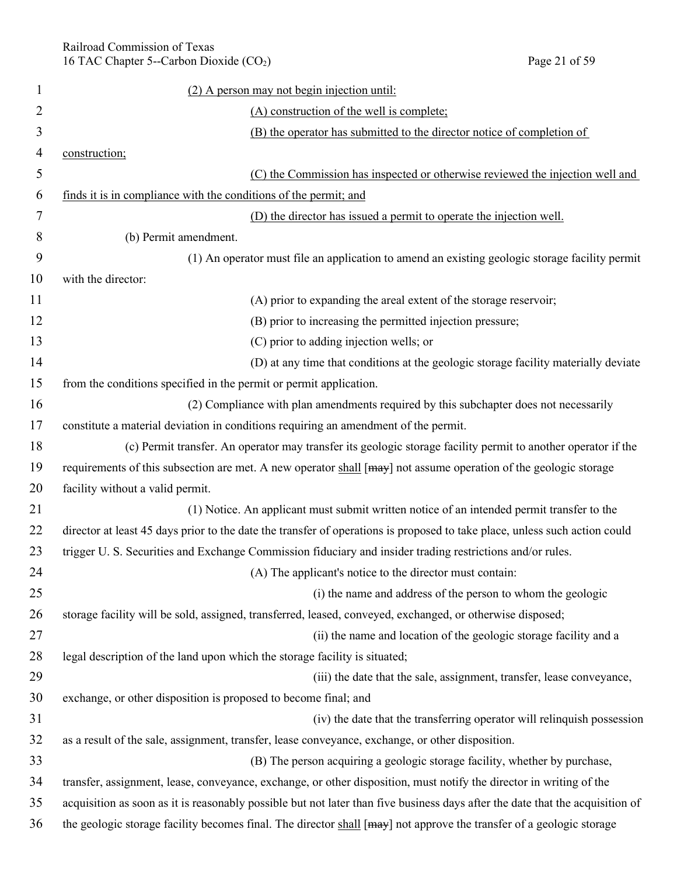| 1              | (2) A person may not begin injection until:                                                                                   |
|----------------|-------------------------------------------------------------------------------------------------------------------------------|
| 2              | (A) construction of the well is complete;                                                                                     |
| 3              | (B) the operator has submitted to the director notice of completion of                                                        |
| $\overline{4}$ | construction;                                                                                                                 |
| 5              | (C) the Commission has inspected or otherwise reviewed the injection well and                                                 |
| 6              | finds it is in compliance with the conditions of the permit; and                                                              |
| 7              | (D) the director has issued a permit to operate the injection well.                                                           |
| 8              | (b) Permit amendment.                                                                                                         |
| 9              | (1) An operator must file an application to amend an existing geologic storage facility permit                                |
| 10             | with the director:                                                                                                            |
| 11             | (A) prior to expanding the areal extent of the storage reservoir;                                                             |
| 12             | (B) prior to increasing the permitted injection pressure;                                                                     |
| 13             | (C) prior to adding injection wells; or                                                                                       |
| 14             | (D) at any time that conditions at the geologic storage facility materially deviate                                           |
| 15             | from the conditions specified in the permit or permit application.                                                            |
| 16             | (2) Compliance with plan amendments required by this subchapter does not necessarily                                          |
| 17             | constitute a material deviation in conditions requiring an amendment of the permit.                                           |
| 18             | (c) Permit transfer. An operator may transfer its geologic storage facility permit to another operator if the                 |
| 19             | requirements of this subsection are met. A new operator shall [may] not assume operation of the geologic storage              |
| 20             | facility without a valid permit.                                                                                              |
| 21             | (1) Notice. An applicant must submit written notice of an intended permit transfer to the                                     |
| 22             | director at least 45 days prior to the date the transfer of operations is proposed to take place, unless such action could    |
| 23             | trigger U.S. Securities and Exchange Commission fiduciary and insider trading restrictions and/or rules.                      |
| 24             | (A) The applicant's notice to the director must contain:                                                                      |
| 25             | (i) the name and address of the person to whom the geologic                                                                   |
| 26             | storage facility will be sold, assigned, transferred, leased, conveyed, exchanged, or otherwise disposed;                     |
| 27             | (ii) the name and location of the geologic storage facility and a                                                             |
| 28             | legal description of the land upon which the storage facility is situated;                                                    |
| 29             | (iii) the date that the sale, assignment, transfer, lease conveyance,                                                         |
| 30             | exchange, or other disposition is proposed to become final; and                                                               |
| 31             | (iv) the date that the transferring operator will relinquish possession                                                       |
| 32             | as a result of the sale, assignment, transfer, lease conveyance, exchange, or other disposition.                              |
| 33             | (B) The person acquiring a geologic storage facility, whether by purchase,                                                    |
| 34             | transfer, assignment, lease, conveyance, exchange, or other disposition, must notify the director in writing of the           |
| 35             | acquisition as soon as it is reasonably possible but not later than five business days after the date that the acquisition of |
| 36             | the geologic storage facility becomes final. The director shall [may] not approve the transfer of a geologic storage          |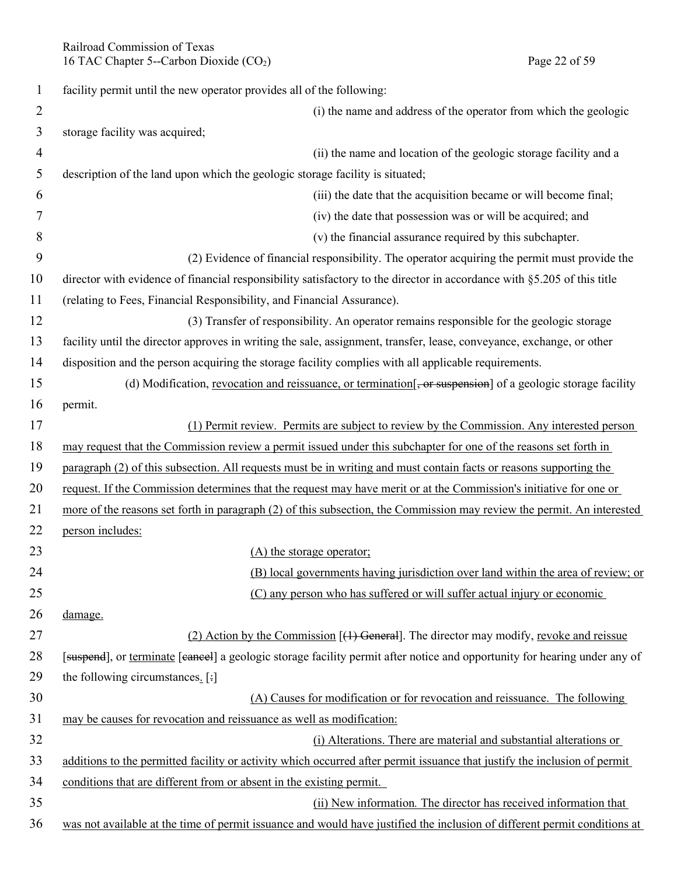Railroad Commission of Texas 16 TAC Chapter 5--Carbon Dioxide (CO<sub>2</sub>) Page 22 of 59

| 1              | facility permit until the new operator provides all of the following:                                                     |
|----------------|---------------------------------------------------------------------------------------------------------------------------|
| $\overline{2}$ | (i) the name and address of the operator from which the geologic                                                          |
| 3              | storage facility was acquired;                                                                                            |
| 4              | (ii) the name and location of the geologic storage facility and a                                                         |
| 5              | description of the land upon which the geologic storage facility is situated;                                             |
| 6              | (iii) the date that the acquisition became or will become final;                                                          |
| 7              | (iv) the date that possession was or will be acquired; and                                                                |
| 8              | (v) the financial assurance required by this subchapter.                                                                  |
| 9              | (2) Evidence of financial responsibility. The operator acquiring the permit must provide the                              |
| 10             | director with evidence of financial responsibility satisfactory to the director in accordance with §5.205 of this title   |
| 11             | (relating to Fees, Financial Responsibility, and Financial Assurance).                                                    |
| 12             | (3) Transfer of responsibility. An operator remains responsible for the geologic storage                                  |
| 13             | facility until the director approves in writing the sale, assignment, transfer, lease, conveyance, exchange, or other     |
| 14             | disposition and the person acquiring the storage facility complies with all applicable requirements.                      |
| 15             | (d) Modification, revocation and reissuance, or termination[, or suspension] of a geologic storage facility               |
| 16             | permit.                                                                                                                   |
| 17             | (1) Permit review. Permits are subject to review by the Commission. Any interested person                                 |
| 18             | may request that the Commission review a permit issued under this subchapter for one of the reasons set forth in          |
| 19             | paragraph (2) of this subsection. All requests must be in writing and must contain facts or reasons supporting the        |
| 20             | request. If the Commission determines that the request may have merit or at the Commission's initiative for one or        |
| 21             | more of the reasons set forth in paragraph (2) of this subsection, the Commission may review the permit. An interested    |
| 22             | person includes:                                                                                                          |
| 23             | (A) the storage operator;                                                                                                 |
| 24             | (B) local governments having jurisdiction over land within the area of review; or                                         |
| 25             | (C) any person who has suffered or will suffer actual injury or economic                                                  |
| 26             | damage.                                                                                                                   |
| 27             | (2) Action by the Commission $[(4)$ General]. The director may modify, revoke and reissue                                 |
| 28             | [suspend], or terminate [eaneel] a geologic storage facility permit after notice and opportunity for hearing under any of |
| 29             | the following circumstances. [:]                                                                                          |
| 30             | (A) Causes for modification or for revocation and reissuance. The following                                               |
| 31             | may be causes for revocation and reissuance as well as modification:                                                      |
| 32             | (i) Alterations. There are material and substantial alterations or                                                        |
| 33             | additions to the permitted facility or activity which occurred after permit issuance that justify the inclusion of permit |
| 34             | conditions that are different from or absent in the existing permit.                                                      |
| 35             | (ii) New information. The director has received information that                                                          |
| 36             | was not available at the time of permit issuance and would have justified the inclusion of different permit conditions at |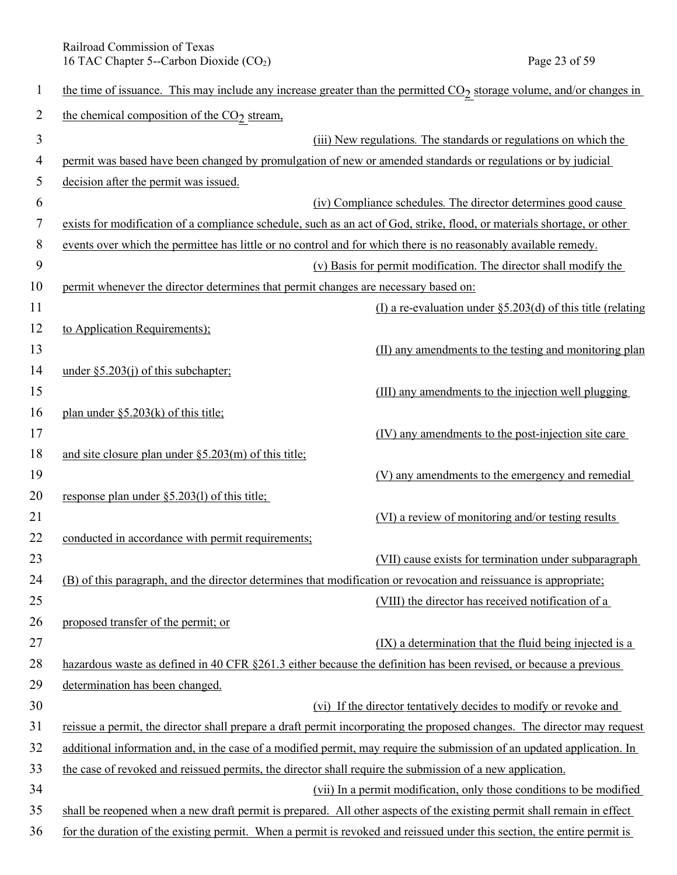Railroad Commission of Texas<br>
16 TAC Chapter 5--Carbon Dioxide (CO<sub>2</sub>) Page 23 of 59 16 TAC Chapter 5--Carbon Dioxide  $(CO<sub>2</sub>)$ 

| $\mathbf{1}$   | the time of issuance. This may include any increase greater than the permitted $CO2$ storage volume, and/or changes in   |
|----------------|--------------------------------------------------------------------------------------------------------------------------|
| $\overline{2}$ | the chemical composition of the CO <sub>2</sub> stream,                                                                  |
| 3              | (iii) New regulations. The standards or regulations on which the                                                         |
| 4              | permit was based have been changed by promulgation of new or amended standards or regulations or by judicial             |
| 5              | decision after the permit was issued.                                                                                    |
| 6              | (iv) Compliance schedules. The director determines good cause                                                            |
| 7              | exists for modification of a compliance schedule, such as an act of God, strike, flood, or materials shortage, or other  |
| 8              | events over which the permittee has little or no control and for which there is no reasonably available remedy.          |
| 9              | (v) Basis for permit modification. The director shall modify the                                                         |
| 10             | permit whenever the director determines that permit changes are necessary based on:                                      |
| 11             | (I) a re-evaluation under $\S$ 5.203(d) of this title (relating                                                          |
| 12             | to Application Requirements);                                                                                            |
| 13             | (II) any amendments to the testing and monitoring plan                                                                   |
| 14             | under $\S 5.203(i)$ of this subchapter;                                                                                  |
| 15             | (III) any amendments to the injection well plugging                                                                      |
| 16             | plan under §5.203(k) of this title;                                                                                      |
| 17             | (IV) any amendments to the post-injection site care                                                                      |
| 18             | and site closure plan under $\S$ 5.203(m) of this title;                                                                 |
| 19             | (V) any amendments to the emergency and remedial                                                                         |
| 20             | response plan under §5.203(1) of this title;                                                                             |
| 21             | (VI) a review of monitoring and/or testing results                                                                       |
| 22             | conducted in accordance with permit requirements;                                                                        |
| 23             | (VII) cause exists for termination under subparagraph                                                                    |
| 24             | (B) of this paragraph, and the director determines that modification or revocation and reissuance is appropriate;        |
| 25             | (VIII) the director has received notification of a                                                                       |
| 26             | proposed transfer of the permit; or                                                                                      |
| 27             | (IX) a determination that the fluid being injected is a                                                                  |
| 28             | hazardous waste as defined in 40 CFR §261.3 either because the definition has been revised, or because a previous        |
| 29             | determination has been changed.                                                                                          |
| 30             | (vi) If the director tentatively decides to modify or revoke and                                                         |
| 31             | reissue a permit, the director shall prepare a draft permit incorporating the proposed changes. The director may request |
| 32             | additional information and, in the case of a modified permit, may require the submission of an updated application. In   |
| 33             | the case of revoked and reissued permits, the director shall require the submission of a new application.                |
| 34             | (vii) In a permit modification, only those conditions to be modified                                                     |
| 35             | shall be reopened when a new draft permit is prepared. All other aspects of the existing permit shall remain in effect   |
| 36             | for the duration of the existing permit. When a permit is revoked and reissued under this section, the entire permit is  |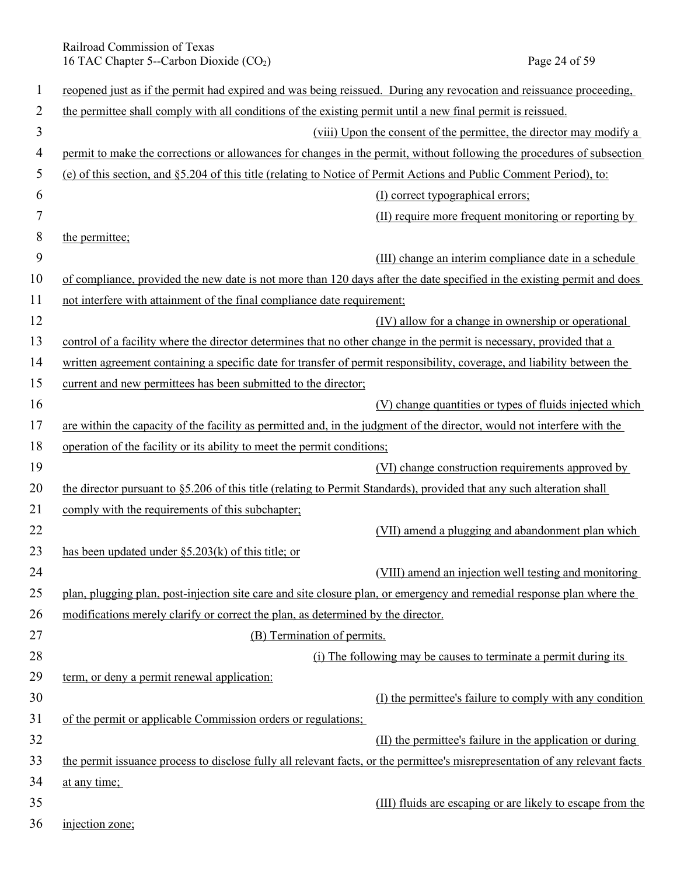Railroad Commission of Texas 16 TAC Chapter 5--Carbon Dioxide (CO<sub>2</sub>) Page 24 of 59

| 1  | represent just as if the permit had expired and was being reissued. During any revocation and reissuance proceeding,         |
|----|------------------------------------------------------------------------------------------------------------------------------|
| 2  | the permittee shall comply with all conditions of the existing permit until a new final permit is reissued.                  |
| 3  | (viii) Upon the consent of the permittee, the director may modify a                                                          |
| 4  | permit to make the corrections or allowances for changes in the permit, without following the procedures of subsection       |
| 5  | (e) of this section, and §5.204 of this title (relating to Notice of Permit Actions and Public Comment Period), to:          |
| 6  | (I) correct typographical errors;                                                                                            |
| 7  | (II) require more frequent monitoring or reporting by                                                                        |
| 8  | the permittee;                                                                                                               |
| 9  | (III) change an interim compliance date in a schedule                                                                        |
| 10 | of compliance, provided the new date is not more than 120 days after the date specified in the existing permit and does      |
| 11 | not interfere with attainment of the final compliance date requirement;                                                      |
| 12 | (IV) allow for a change in ownership or operational                                                                          |
| 13 | control of a facility where the director determines that no other change in the permit is necessary, provided that a         |
| 14 | written agreement containing a specific date for transfer of permit responsibility, coverage, and liability between the      |
| 15 | current and new permittees has been submitted to the director;                                                               |
| 16 | (V) change quantities or types of fluids injected which                                                                      |
| 17 | are within the capacity of the facility as permitted and, in the judgment of the director, would not interfere with the      |
| 18 | operation of the facility or its ability to meet the permit conditions;                                                      |
| 19 | (VI) change construction requirements approved by                                                                            |
| 20 | the director pursuant to $\S$ 5.206 of this title (relating to Permit Standards), provided that any such alteration shall    |
| 21 | comply with the requirements of this subchapter;                                                                             |
| 22 | (VII) amend a plugging and abandonment plan which                                                                            |
| 23 | has been updated under $\S$ 5.203(k) of this title; or                                                                       |
| 24 | (VIII) amend an injection well testing and monitoring                                                                        |
| 25 | plan, plugging plan, post-injection site care and site closure plan, or emergency and remedial response plan where the       |
| 26 | modifications merely clarify or correct the plan, as determined by the director.                                             |
| 27 | (B) Termination of permits.                                                                                                  |
| 28 | (i) The following may be causes to terminate a permit during its                                                             |
| 29 | term, or deny a permit renewal application:                                                                                  |
| 30 | (I) the permittee's failure to comply with any condition                                                                     |
| 31 | of the permit or applicable Commission orders or regulations;                                                                |
| 32 | (II) the permittee's failure in the application or during                                                                    |
| 33 | the permit issuance process to disclose fully all relevant facts, or the permittee's misrepresentation of any relevant facts |
| 34 | at any time;                                                                                                                 |
| 35 | (III) fluids are escaping or are likely to escape from the                                                                   |
| 36 | injection zone;                                                                                                              |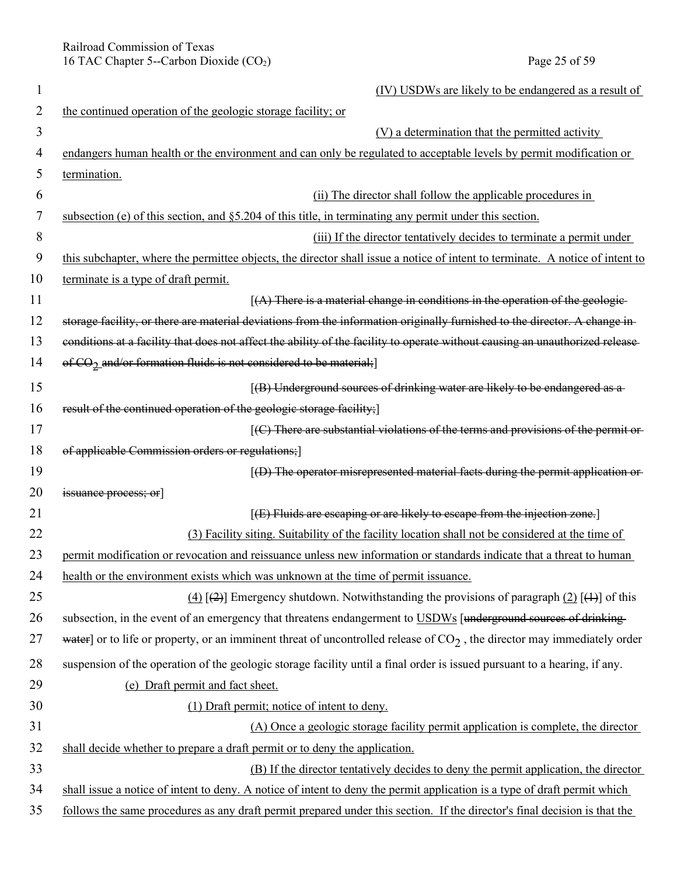Railroad Commission of Texas 16 TAC Chapter 5--Carbon Dioxide (CO<sub>2</sub>) Page 25 of 59

|                | (IV) USDWs are likely to be endangered as a result of                                                                         |
|----------------|-------------------------------------------------------------------------------------------------------------------------------|
| 2              | the continued operation of the geologic storage facility; or                                                                  |
| $\overline{3}$ | (V) a determination that the permitted activity                                                                               |
| 4              | endangers human health or the environment and can only be regulated to acceptable levels by permit modification or            |
| 5              | termination.                                                                                                                  |
| 6              | (ii) The director shall follow the applicable procedures in                                                                   |
| 7              | subsection (e) of this section, and $\S$ 5.204 of this title, in terminating any permit under this section.                   |
| 8              | (iii) If the director tentatively decides to terminate a permit under                                                         |
| 9              | this subchapter, where the permittee objects, the director shall issue a notice of intent to terminate. A notice of intent to |
| 10             | terminate is a type of draft permit.                                                                                          |
| 11             | $(A)$ There is a material change in conditions in the operation of the geologic-                                              |
| 12             | storage facility, or there are material deviations from the information originally furnished to the director. A change in-    |
| 13             | conditions at a facility that does not affect the ability of the facility to operate without causing an unauthorized release  |
| 14             | of CO <sub>2</sub> and/or formation fluids is not considered to be material;]                                                 |
| 15             | [(B) Underground sources of drinking water are likely to be endangered as a                                                   |
| 16             | result of the continued operation of the geologic storage facility;]                                                          |
| 17             | [(C) There are substantial violations of the terms and provisions of the permit or-                                           |
| 18             | of applicable Commission orders or regulations;]                                                                              |
| 19             | $(4)$ The operator misrepresented material facts during the permit application or-                                            |
| 20             | issuance process; or                                                                                                          |
| 21             | [(E) Fluids are escaping or are likely to escape from the injection zone.]                                                    |
| 22             | (3) Facility siting. Suitability of the facility location shall not be considered at the time of                              |
| 23             | permit modification or revocation and reissuance unless new information or standards indicate that a threat to human          |
| 24             | health or the environment exists which was unknown at the time of permit issuance.                                            |
| 25             | $(4)$ [ $(2)$ ] Emergency shutdown. Notwithstanding the provisions of paragraph $(2)$ [ $(1)$ ] of this                       |
| 26             | subsection, in the event of an emergency that threatens endangerment to USDWs [underground sources of drinking-               |
| 27             | water] or to life or property, or an imminent threat of uncontrolled release of $CO2$ , the director may immediately order    |
| 28             | suspension of the operation of the geologic storage facility until a final order is issued pursuant to a hearing, if any.     |
| 29             | (e) Draft permit and fact sheet.                                                                                              |
| 30             | (1) Draft permit; notice of intent to deny.                                                                                   |
| 31             | (A) Once a geologic storage facility permit application is complete, the director                                             |
| 32             | shall decide whether to prepare a draft permit or to deny the application.                                                    |
| 33             | (B) If the director tentatively decides to deny the permit application, the director                                          |
| 34             | shall issue a notice of intent to deny. A notice of intent to deny the permit application is a type of draft permit which     |
| 35             | follows the same procedures as any draft permit prepared under this section. If the director's final decision is that the     |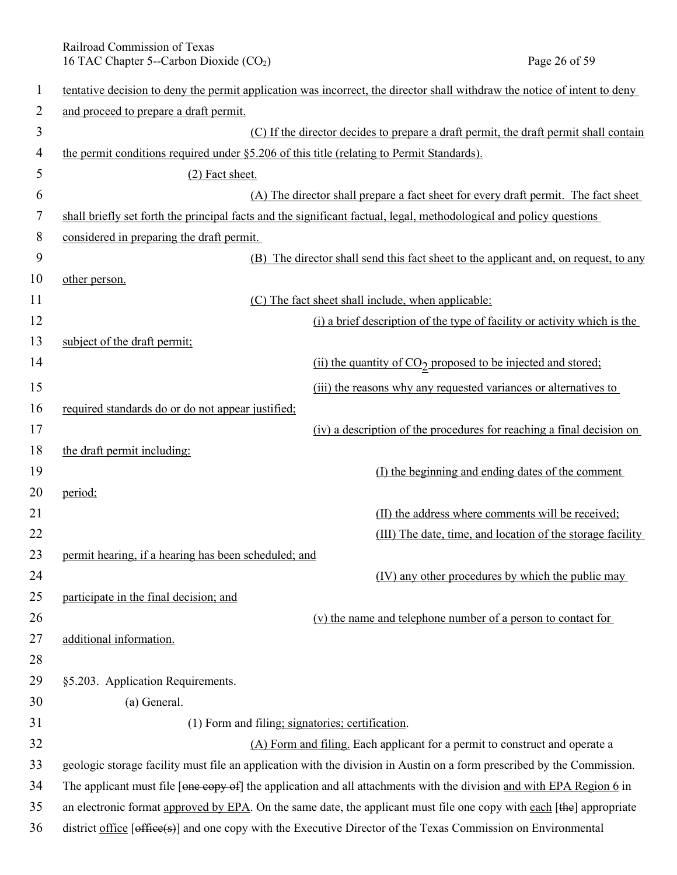Railroad Commission of Texas<br>
16 TAC Chapter 5--Carbon Dioxide (CO<sub>2</sub>) Page 26 of 59 16 TAC Chapter 5--Carbon Dioxide  $(CO<sub>2</sub>)$ 

| 1        | tentative decision to deny the permit application was incorrect, the director shall withdraw the notice of intent to deny |
|----------|---------------------------------------------------------------------------------------------------------------------------|
| 2        | and proceed to prepare a draft permit.                                                                                    |
| 3        | (C) If the director decides to prepare a draft permit, the draft permit shall contain                                     |
| 4        | the permit conditions required under §5.206 of this title (relating to Permit Standards).                                 |
| 5        | (2) Fact sheet.                                                                                                           |
| 6        | (A) The director shall prepare a fact sheet for every draft permit. The fact sheet                                        |
| 7        | shall briefly set forth the principal facts and the significant factual, legal, methodological and policy questions       |
| 8        | considered in preparing the draft permit.                                                                                 |
| 9        | (B) The director shall send this fact sheet to the applicant and, on request, to any                                      |
| 10       | other person.                                                                                                             |
| 11       | (C) The fact sheet shall include, when applicable:                                                                        |
| 12       | (i) a brief description of the type of facility or activity which is the                                                  |
| 13       | subject of the draft permit;                                                                                              |
| 14       | (ii) the quantity of CO <sub>2</sub> proposed to be injected and stored;                                                  |
| 15       | (iii) the reasons why any requested variances or alternatives to                                                          |
| 16       | required standards do or do not appear justified;                                                                         |
| 17       | (iv) a description of the procedures for reaching a final decision on                                                     |
| 18       | the draft permit including:                                                                                               |
| 19       | (I) the beginning and ending dates of the comment                                                                         |
| 20       | period;                                                                                                                   |
| 21       | (II) the address where comments will be received;                                                                         |
| 22       | (III) The date, time, and location of the storage facility                                                                |
| 23       | permit hearing, if a hearing has been scheduled; and                                                                      |
| 24       | (IV) any other procedures by which the public may                                                                         |
| 25       | participate in the final decision; and                                                                                    |
| 26       | (v) the name and telephone number of a person to contact for                                                              |
| 27       | additional information.                                                                                                   |
| 28       |                                                                                                                           |
| 29       | §5.203. Application Requirements.                                                                                         |
| 30       | (a) General.                                                                                                              |
| 31       | (1) Form and filing; signatories; certification.                                                                          |
| 32       | (A) Form and filing. Each applicant for a permit to construct and operate a                                               |
| 33<br>34 | geologic storage facility must file an application with the division in Austin on a form prescribed by the Commission.    |
|          | The applicant must file [one copy of] the application and all attachments with the division and with EPA Region 6 in      |
| 35       | an electronic format approved by EPA. On the same date, the applicant must file one copy with each [the] appropriate      |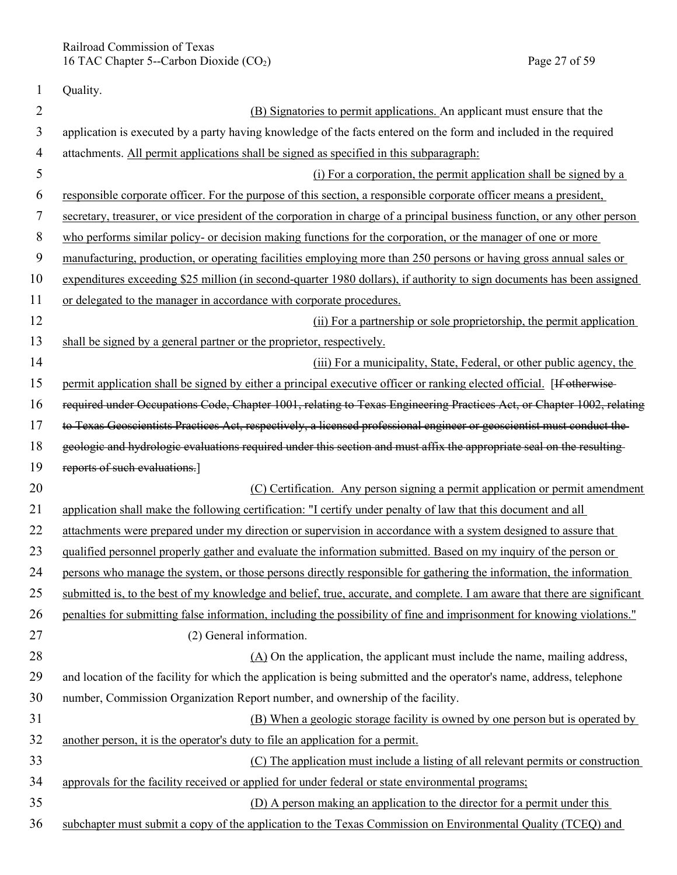Railroad Commission of Texas 16 TAC Chapter 5--Carbon Dioxide (CO<sub>2</sub>) Page 27 of 59

| 1              | Quality.                                                                                                                   |
|----------------|----------------------------------------------------------------------------------------------------------------------------|
| $\overline{2}$ | (B) Signatories to permit applications. An applicant must ensure that the                                                  |
| 3              | application is executed by a party having knowledge of the facts entered on the form and included in the required          |
| $\overline{4}$ | attachments. All permit applications shall be signed as specified in this subparagraph:                                    |
| 5              | (i) For a corporation, the permit application shall be signed by a                                                         |
| 6              | responsible corporate officer. For the purpose of this section, a responsible corporate officer means a president,         |
| 7              | secretary, treasurer, or vice president of the corporation in charge of a principal business function, or any other person |
| 8              | who performs similar policy- or decision making functions for the corporation, or the manager of one or more               |
| 9              | manufacturing, production, or operating facilities employing more than 250 persons or having gross annual sales or         |
| 10             | expenditures exceeding \$25 million (in second-quarter 1980 dollars), if authority to sign documents has been assigned     |
| 11             | or delegated to the manager in accordance with corporate procedures.                                                       |
| 12             | (ii) For a partnership or sole proprietorship, the permit application                                                      |
| 13             | shall be signed by a general partner or the proprietor, respectively.                                                      |
| 14             | (iii) For a municipality, State, Federal, or other public agency, the                                                      |
| 15             | permit application shall be signed by either a principal executive officer or ranking elected official. [If otherwise-     |
| 16             | required under Occupations Code, Chapter 1001, relating to Texas Engineering Practices Act, or Chapter 1002, relating      |
| 17             | to Texas Geoscientists Practices Act, respectively, a licensed professional engineer or geoscientist must conduct the      |
| 18             | geologic and hydrologic evaluations required under this section and must affix the appropriate seal on the resulting       |
| 19             | reports of such evaluations.]                                                                                              |
| 20             | (C) Certification. Any person signing a permit application or permit amendment                                             |
| 21             | application shall make the following certification: "I certify under penalty of law that this document and all             |
| 22             | attachments were prepared under my direction or supervision in accordance with a system designed to assure that            |
| 23             | qualified personnel properly gather and evaluate the information submitted. Based on my inquiry of the person or           |
| 24             | persons who manage the system, or those persons directly responsible for gathering the information, the information        |
| 25             | submitted is, to the best of my knowledge and belief, true, accurate, and complete. I am aware that there are significant  |
| 26             | penalties for submitting false information, including the possibility of fine and imprisonment for knowing violations."    |
| 27             | (2) General information.                                                                                                   |
| 28             | (A) On the application, the applicant must include the name, mailing address,                                              |
| 29             | and location of the facility for which the application is being submitted and the operator's name, address, telephone      |
| 30             | number, Commission Organization Report number, and ownership of the facility.                                              |
| 31             | (B) When a geologic storage facility is owned by one person but is operated by                                             |
| 32             | another person, it is the operator's duty to file an application for a permit.                                             |
| 33             | (C) The application must include a listing of all relevant permits or construction                                         |
| 34             | approvals for the facility received or applied for under federal or state environmental programs;                          |
| 35             | (D) A person making an application to the director for a permit under this                                                 |
| 36             | subchapter must submit a copy of the application to the Texas Commission on Environmental Quality (TCEQ) and               |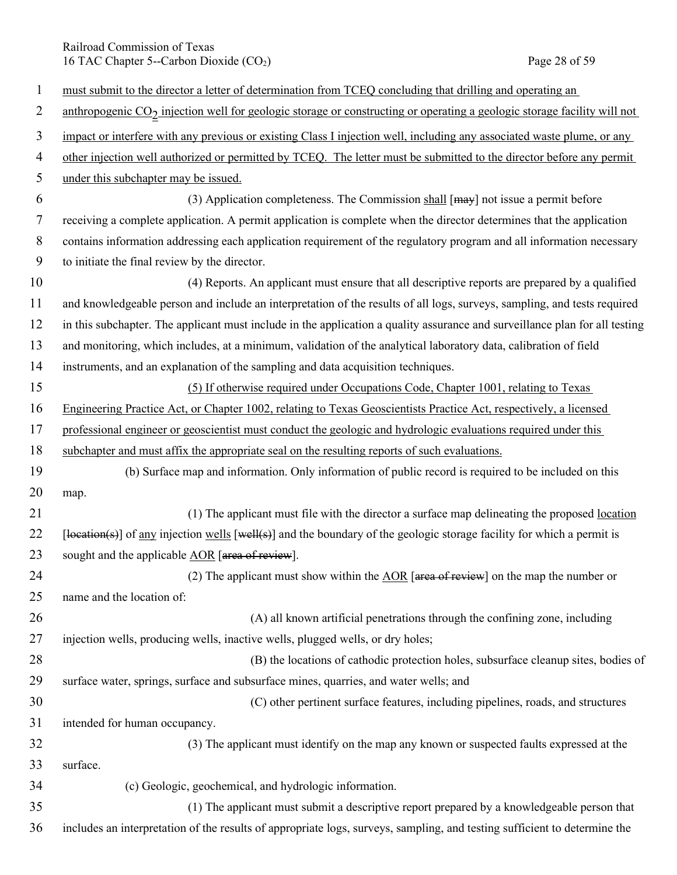Railroad Commission of Texas 16 TAC Chapter 5--Carbon Dioxide (CO<sub>2</sub>) Page 28 of 59

| $\mathbf{1}$   | must submit to the director a letter of determination from TCEQ concluding that drilling and operating an                                     |
|----------------|-----------------------------------------------------------------------------------------------------------------------------------------------|
| 2              | anthropogenic CO <sub>2</sub> injection well for geologic storage or constructing or operating a geologic storage facility will not           |
| 3              | impact or interfere with any previous or existing Class I injection well, including any associated waste plume, or any                        |
| $\overline{4}$ | other injection well authorized or permitted by TCEQ. The letter must be submitted to the director before any permit                          |
| 5              | under this subchapter may be issued.                                                                                                          |
| 6              | (3) Application completeness. The Commission shall $[may]$ not issue a permit before                                                          |
| 7              | receiving a complete application. A permit application is complete when the director determines that the application                          |
| 8              | contains information addressing each application requirement of the regulatory program and all information necessary                          |
| 9              | to initiate the final review by the director.                                                                                                 |
| 10             | (4) Reports. An applicant must ensure that all descriptive reports are prepared by a qualified                                                |
| 11             | and knowledgeable person and include an interpretation of the results of all logs, surveys, sampling, and tests required                      |
| 12             | in this subchapter. The applicant must include in the application a quality assurance and surveillance plan for all testing                   |
| 13             | and monitoring, which includes, at a minimum, validation of the analytical laboratory data, calibration of field                              |
| 14             | instruments, and an explanation of the sampling and data acquisition techniques.                                                              |
| 15             | (5) If otherwise required under Occupations Code, Chapter 1001, relating to Texas                                                             |
| 16             | Engineering Practice Act, or Chapter 1002, relating to Texas Geoscientists Practice Act, respectively, a licensed                             |
| 17             | professional engineer or geoscientist must conduct the geologic and hydrologic evaluations required under this                                |
| 18             | subchapter and must affix the appropriate seal on the resulting reports of such evaluations.                                                  |
| 19             | (b) Surface map and information. Only information of public record is required to be included on this                                         |
| 20             | map.                                                                                                                                          |
| 21             | (1) The applicant must file with the director a surface map delineating the proposed location                                                 |
| 22             | $\lceil$ location(s)] of <u>any</u> injection wells $\lceil$ well(s)] and the boundary of the geologic storage facility for which a permit is |
| 23             | sought and the applicable AOR [area of review].                                                                                               |
| 24             | (2) The applicant must show within the $\triangle$ OR [area of review] on the map the number or                                               |
| 25             | name and the location of:                                                                                                                     |
| 26             | (A) all known artificial penetrations through the confining zone, including                                                                   |
| 27             | injection wells, producing wells, inactive wells, plugged wells, or dry holes;                                                                |
| 28             | (B) the locations of cathodic protection holes, subsurface cleanup sites, bodies of                                                           |
| 29             | surface water, springs, surface and subsurface mines, quarries, and water wells; and                                                          |
| 30             | (C) other pertinent surface features, including pipelines, roads, and structures                                                              |
| 31             | intended for human occupancy.                                                                                                                 |
| 32             | (3) The applicant must identify on the map any known or suspected faults expressed at the                                                     |
| 33             | surface.                                                                                                                                      |
| 34             | (c) Geologic, geochemical, and hydrologic information.                                                                                        |
| 35             | (1) The applicant must submit a descriptive report prepared by a knowledgeable person that                                                    |
| 36             | includes an interpretation of the results of appropriate logs, surveys, sampling, and testing sufficient to determine the                     |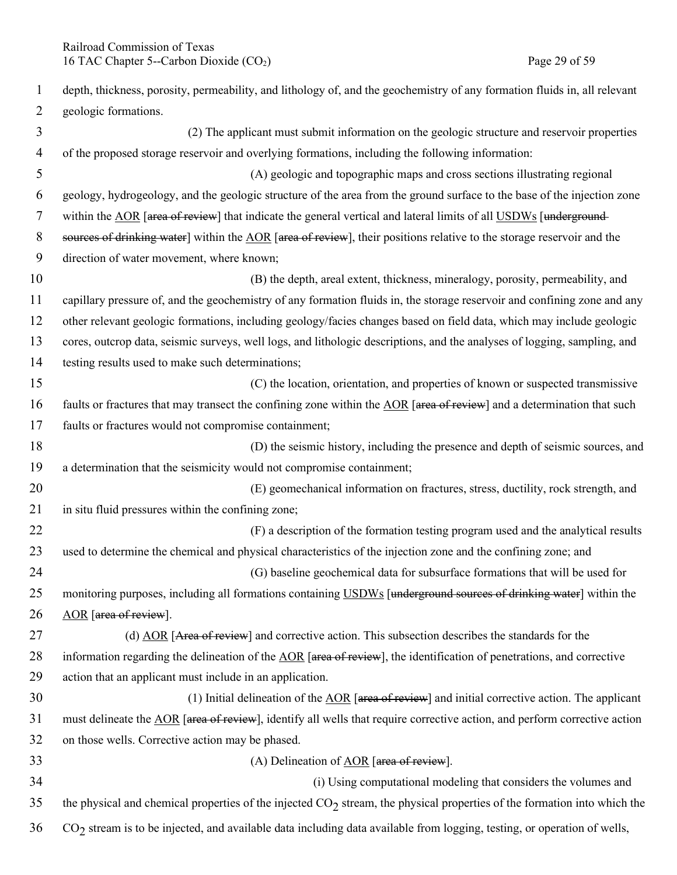| $\mathbf{1}$ | depth, thickness, porosity, permeability, and lithology of, and the geochemistry of any formation fluids in, all relevant        |
|--------------|----------------------------------------------------------------------------------------------------------------------------------|
| 2            | geologic formations.                                                                                                             |
| 3            | (2) The applicant must submit information on the geologic structure and reservoir properties                                     |
| 4            | of the proposed storage reservoir and overlying formations, including the following information:                                 |
| 5            | (A) geologic and topographic maps and cross sections illustrating regional                                                       |
| 6            | geology, hydrogeology, and the geologic structure of the area from the ground surface to the base of the injection zone          |
| 7            | within the AOR [area of review] that indicate the general vertical and lateral limits of all USDWs [underground-                 |
| 8            | sources of drinking water] within the AOR [area of review], their positions relative to the storage reservoir and the            |
| 9            | direction of water movement, where known;                                                                                        |
| 10           | (B) the depth, areal extent, thickness, mineralogy, porosity, permeability, and                                                  |
| 11           | capillary pressure of, and the geochemistry of any formation fluids in, the storage reservoir and confining zone and any         |
| 12           | other relevant geologic formations, including geology/facies changes based on field data, which may include geologic             |
| 13           | cores, outcrop data, seismic surveys, well logs, and lithologic descriptions, and the analyses of logging, sampling, and         |
| 14           | testing results used to make such determinations;                                                                                |
| 15           | (C) the location, orientation, and properties of known or suspected transmissive                                                 |
| 16           | faults or fractures that may transect the confining zone within the AOR [area of review] and a determination that such           |
| 17           | faults or fractures would not compromise containment;                                                                            |
| 18           | (D) the seismic history, including the presence and depth of seismic sources, and                                                |
| 19           | a determination that the seismicity would not compromise containment;                                                            |
| 20           | (E) geomechanical information on fractures, stress, ductility, rock strength, and                                                |
| 21           | in situ fluid pressures within the confining zone;                                                                               |
| 22           | (F) a description of the formation testing program used and the analytical results                                               |
| 23           | used to determine the chemical and physical characteristics of the injection zone and the confining zone; and                    |
| 24           | (G) baseline geochemical data for subsurface formations that will be used for                                                    |
| 25           | monitoring purposes, including all formations containing USDWs [underground sources of drinking water] within the                |
| 26           | AOR [area of review].                                                                                                            |
| 27           | (d) AOR [Area of review] and corrective action. This subsection describes the standards for the                                  |
| 28           | information regarding the delineation of the $\triangle OR$ [area of review], the identification of penetrations, and corrective |
| 29           | action that an applicant must include in an application.                                                                         |
| 30           | (1) Initial delineation of the $\triangle$ OR [ $\angle$ area of review] and initial corrective action. The applicant            |
| 31           | must delineate the AOR [area of review], identify all wells that require corrective action, and perform corrective action        |
| 32           | on those wells. Corrective action may be phased.                                                                                 |
| 33           | (A) Delineation of $AOR$ [area of review].                                                                                       |
| 34           | (i) Using computational modeling that considers the volumes and                                                                  |
| 35           | the physical and chemical properties of the injected $CO2$ stream, the physical properties of the formation into which the       |
| 36           | $CO2$ stream is to be injected, and available data including data available from logging, testing, or operation of wells,        |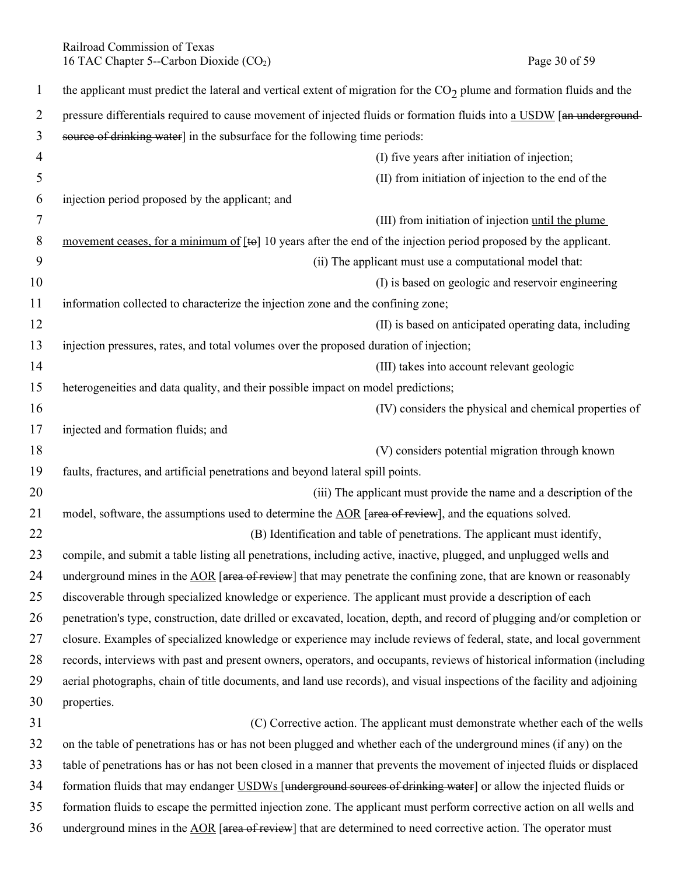Railroad Commission of Texas<br>
16 TAC Chapter 5--Carbon Dioxide (CO<sub>2</sub>) Page 30 of 59 16 TAC Chapter 5--Carbon Dioxide  $(CO<sub>2</sub>)$ 

| $\mathbf{1}$ | the applicant must predict the lateral and vertical extent of migration for the $CO2$ plume and formation fluids and the  |
|--------------|---------------------------------------------------------------------------------------------------------------------------|
| 2            | pressure differentials required to cause movement of injected fluids or formation fluids into a USDW [an underground-     |
| 3            | source of drinking water] in the subsurface for the following time periods:                                               |
| 4            | (I) five years after initiation of injection;                                                                             |
| 5            | (II) from initiation of injection to the end of the                                                                       |
| 6            | injection period proposed by the applicant; and                                                                           |
| 7            | (III) from initiation of injection until the plume                                                                        |
| 8            | movement ceases, for a minimum of $[\text{te}]$ 10 years after the end of the injection period proposed by the applicant. |
| 9            | (ii) The applicant must use a computational model that:                                                                   |
| 10           | (I) is based on geologic and reservoir engineering                                                                        |
| 11           | information collected to characterize the injection zone and the confining zone;                                          |
| 12           | (II) is based on anticipated operating data, including                                                                    |
| 13           | injection pressures, rates, and total volumes over the proposed duration of injection;                                    |
| 14           | (III) takes into account relevant geologic                                                                                |
| 15           | heterogeneities and data quality, and their possible impact on model predictions;                                         |
| 16           | (IV) considers the physical and chemical properties of                                                                    |
| 17           | injected and formation fluids; and                                                                                        |
| 18           | (V) considers potential migration through known                                                                           |
| 19           | faults, fractures, and artificial penetrations and beyond lateral spill points.                                           |
| 20           | (iii) The applicant must provide the name and a description of the                                                        |
| 21           | model, software, the assumptions used to determine the AOR [area of review], and the equations solved.                    |
| 22           | (B) Identification and table of penetrations. The applicant must identify,                                                |
| 23           | compile, and submit a table listing all penetrations, including active, inactive, plugged, and unplugged wells and        |
| 24           | underground mines in the AOR [area of review] that may penetrate the confining zone, that are known or reasonably         |
| 25           | discoverable through specialized knowledge or experience. The applicant must provide a description of each                |
| 26           | penetration's type, construction, date drilled or excavated, location, depth, and record of plugging and/or completion or |
| 27           | closure. Examples of specialized knowledge or experience may include reviews of federal, state, and local government      |
| 28           | records, interviews with past and present owners, operators, and occupants, reviews of historical information (including  |
| 29           | aerial photographs, chain of title documents, and land use records), and visual inspections of the facility and adjoining |
| 30           | properties.                                                                                                               |
| 31           | (C) Corrective action. The applicant must demonstrate whether each of the wells                                           |
| 32           | on the table of penetrations has or has not been plugged and whether each of the underground mines (if any) on the        |
| 33           | table of penetrations has or has not been closed in a manner that prevents the movement of injected fluids or displaced   |
| 34           | formation fluids that may endanger USDWs [underground sources of drinking water] or allow the injected fluids or          |
| 35           | formation fluids to escape the permitted injection zone. The applicant must perform corrective action on all wells and    |
| 36           | underground mines in the AOR [area of review] that are determined to need corrective action. The operator must            |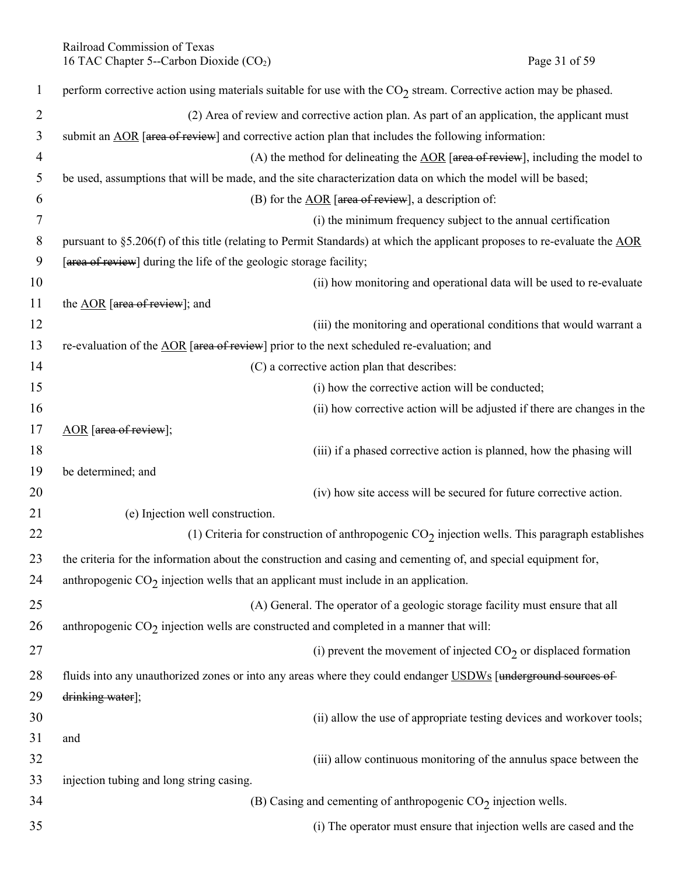Railroad Commission of Texas<br>
16 TAC Chapter 5--Carbon Dioxide (CO<sub>2</sub>) Page 31 of 59 16 TAC Chapter 5--Carbon Dioxide  $(CO<sub>2</sub>)$ 

| $\mathbf{1}$   | perform corrective action using materials suitable for use with the $CO2$ stream. Corrective action may be phased.        |
|----------------|---------------------------------------------------------------------------------------------------------------------------|
| $\overline{2}$ | (2) Area of review and corrective action plan. As part of an application, the applicant must                              |
| 3              | submit an AOR [area of review] and corrective action plan that includes the following information:                        |
| $\overline{4}$ | (A) the method for delineating the $\triangle$ OR [area of review], including the model to                                |
| 5              | be used, assumptions that will be made, and the site characterization data on which the model will be based;              |
| 6              | (B) for the $\triangle$ OR [area of review], a description of:                                                            |
| 7              | (i) the minimum frequency subject to the annual certification                                                             |
| 8              | pursuant to §5.206(f) of this title (relating to Permit Standards) at which the applicant proposes to re-evaluate the AOR |
| 9              | [area of review] during the life of the geologic storage facility;                                                        |
| 10             | (ii) how monitoring and operational data will be used to re-evaluate                                                      |
| 11             | the AOR [area of review]; and                                                                                             |
| 12             | (iii) the monitoring and operational conditions that would warrant a                                                      |
| 13             | re-evaluation of the AOR [area of review] prior to the next scheduled re-evaluation; and                                  |
| 14             | (C) a corrective action plan that describes:                                                                              |
| 15             | (i) how the corrective action will be conducted;                                                                          |
| 16             | (ii) how corrective action will be adjusted if there are changes in the                                                   |
| 17             | AOR [area of review];                                                                                                     |
| 18             | (iii) if a phased corrective action is planned, how the phasing will                                                      |
| 19             | be determined; and                                                                                                        |
| 20             | (iv) how site access will be secured for future corrective action.                                                        |
| 21             | (e) Injection well construction.                                                                                          |
| 22             | (1) Criteria for construction of anthropogenic $CO2$ injection wells. This paragraph establishes                          |
| 23             | the criteria for the information about the construction and casing and cementing of, and special equipment for,           |
| 24             | anthropogenic $CO2$ injection wells that an applicant must include in an application.                                     |
| 25             | (A) General. The operator of a geologic storage facility must ensure that all                                             |
| 26             | anthropogenic $CO2$ injection wells are constructed and completed in a manner that will:                                  |
| 27             | (i) prevent the movement of injected $CO2$ or displaced formation                                                         |
| 28             | fluids into any unauthorized zones or into any areas where they could endanger USDWs [underground sources of              |
| 29             | drinking water];                                                                                                          |
| 30             | (ii) allow the use of appropriate testing devices and workover tools;                                                     |
| 31             | and                                                                                                                       |
| 32             | (iii) allow continuous monitoring of the annulus space between the                                                        |
| 33             | injection tubing and long string casing.                                                                                  |
| 34             | (B) Casing and cementing of anthropogenic $CO2$ injection wells.                                                          |
| 35             | (i) The operator must ensure that injection wells are cased and the                                                       |
|                |                                                                                                                           |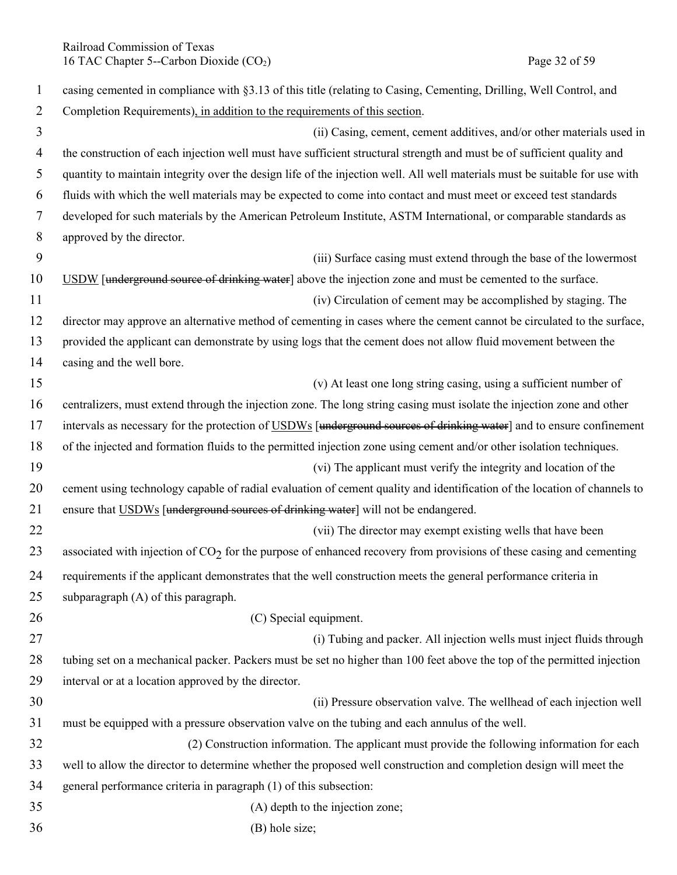Railroad Commission of Texas<br>
16 TAC Chapter 5--Carbon Dioxide (CO<sub>2</sub>) Page 32 of 59 16 TAC Chapter 5--Carbon Dioxide  $(CO<sub>2</sub>)$ 

| $\mathbf{1}$   | casing cemented in compliance with §3.13 of this title (relating to Casing, Cementing, Drilling, Well Control, and          |
|----------------|-----------------------------------------------------------------------------------------------------------------------------|
| $\overline{2}$ | Completion Requirements), in addition to the requirements of this section.                                                  |
| 3              | (ii) Casing, cement, cement additives, and/or other materials used in                                                       |
| 4              | the construction of each injection well must have sufficient structural strength and must be of sufficient quality and      |
| 5              | quantity to maintain integrity over the design life of the injection well. All well materials must be suitable for use with |
| 6              | fluids with which the well materials may be expected to come into contact and must meet or exceed test standards            |
| 7              | developed for such materials by the American Petroleum Institute, ASTM International, or comparable standards as            |
| 8              | approved by the director.                                                                                                   |
| 9              | (iii) Surface casing must extend through the base of the lowermost                                                          |
| 10             | USDW [underground source of drinking water] above the injection zone and must be cemented to the surface.                   |
| 11             | (iv) Circulation of cement may be accomplished by staging. The                                                              |
| 12             | director may approve an alternative method of cementing in cases where the cement cannot be circulated to the surface,      |
| 13             | provided the applicant can demonstrate by using logs that the cement does not allow fluid movement between the              |
| 14             | casing and the well bore.                                                                                                   |
| 15             | (v) At least one long string casing, using a sufficient number of                                                           |
| 16             | centralizers, must extend through the injection zone. The long string casing must isolate the injection zone and other      |
| 17             | intervals as necessary for the protection of USDWs [underground sources of drinking water] and to ensure confinement        |
| 18             | of the injected and formation fluids to the permitted injection zone using cement and/or other isolation techniques.        |
| 19             | (vi) The applicant must verify the integrity and location of the                                                            |
| 20             | cement using technology capable of radial evaluation of cement quality and identification of the location of channels to    |
| 21             | ensure that USDWs [underground sources of drinking water] will not be endangered.                                           |
| 22             | (vii) The director may exempt existing wells that have been                                                                 |
| 23             | associated with injection of $CO2$ for the purpose of enhanced recovery from provisions of these casing and cementing       |
| 24             | requirements if the applicant demonstrates that the well construction meets the general performance criteria in             |
| 25             | subparagraph (A) of this paragraph.                                                                                         |
| 26             | (C) Special equipment.                                                                                                      |
| 27             | (i) Tubing and packer. All injection wells must inject fluids through                                                       |
| 28             | tubing set on a mechanical packer. Packers must be set no higher than 100 feet above the top of the permitted injection     |
| 29             | interval or at a location approved by the director.                                                                         |
| 30             | (ii) Pressure observation valve. The wellhead of each injection well                                                        |
| 31             | must be equipped with a pressure observation valve on the tubing and each annulus of the well.                              |
| 32             | (2) Construction information. The applicant must provide the following information for each                                 |
| 33             | well to allow the director to determine whether the proposed well construction and completion design will meet the          |
| 34             | general performance criteria in paragraph (1) of this subsection:                                                           |
| 35             | (A) depth to the injection zone;                                                                                            |
| 36             | (B) hole size;                                                                                                              |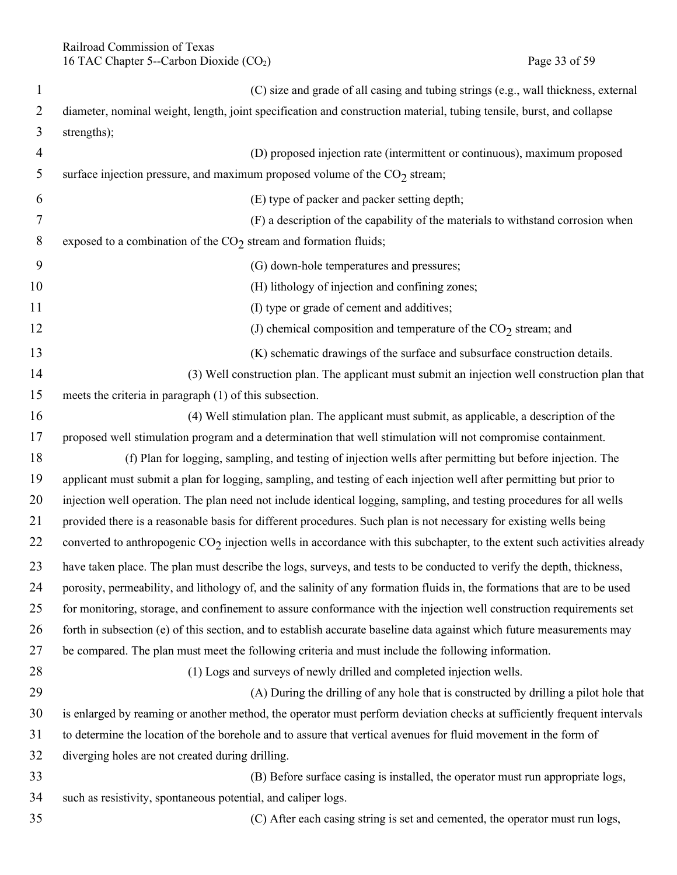Railroad Commission of Texas 16 TAC Chapter 5--Carbon Dioxide (CO<sub>2</sub>) Page 33 of 59

| $\mathbf{1}$   | (C) size and grade of all casing and tubing strings (e.g., wall thickness, external                                         |
|----------------|-----------------------------------------------------------------------------------------------------------------------------|
| $\overline{2}$ | diameter, nominal weight, length, joint specification and construction material, tubing tensile, burst, and collapse        |
| 3              | strengths);                                                                                                                 |
| 4              | (D) proposed injection rate (intermittent or continuous), maximum proposed                                                  |
| 5              | surface injection pressure, and maximum proposed volume of the $CO2$ stream;                                                |
| 6              | (E) type of packer and packer setting depth;                                                                                |
| 7              | (F) a description of the capability of the materials to withstand corrosion when                                            |
| 8              | exposed to a combination of the $CO2$ stream and formation fluids;                                                          |
| 9              | (G) down-hole temperatures and pressures;                                                                                   |
| 10             | (H) lithology of injection and confining zones;                                                                             |
| 11             | (I) type or grade of cement and additives;                                                                                  |
| 12             | (J) chemical composition and temperature of the $CO2$ stream; and                                                           |
| 13             | (K) schematic drawings of the surface and subsurface construction details.                                                  |
| 14             | (3) Well construction plan. The applicant must submit an injection well construction plan that                              |
| 15             | meets the criteria in paragraph (1) of this subsection.                                                                     |
| 16             | (4) Well stimulation plan. The applicant must submit, as applicable, a description of the                                   |
| 17             | proposed well stimulation program and a determination that well stimulation will not compromise containment.                |
| 18             | (f) Plan for logging, sampling, and testing of injection wells after permitting but before injection. The                   |
| 19             | applicant must submit a plan for logging, sampling, and testing of each injection well after permitting but prior to        |
| 20             | injection well operation. The plan need not include identical logging, sampling, and testing procedures for all wells       |
| 21             | provided there is a reasonable basis for different procedures. Such plan is not necessary for existing wells being          |
| 22             | converted to anthropogenic $CO_2$ injection wells in accordance with this subchapter, to the extent such activities already |
| 23             | have taken place. The plan must describe the logs, surveys, and tests to be conducted to verify the depth, thickness,       |
| 24             | porosity, permeability, and lithology of, and the salinity of any formation fluids in, the formations that are to be used   |
| 25             | for monitoring, storage, and confinement to assure conformance with the injection well construction requirements set        |
| 26             | forth in subsection (e) of this section, and to establish accurate baseline data against which future measurements may      |
| 27             | be compared. The plan must meet the following criteria and must include the following information.                          |
| 28             | (1) Logs and surveys of newly drilled and completed injection wells.                                                        |
| 29             | (A) During the drilling of any hole that is constructed by drilling a pilot hole that                                       |
| 30             | is enlarged by reaming or another method, the operator must perform deviation checks at sufficiently frequent intervals     |
| 31             | to determine the location of the borehole and to assure that vertical avenues for fluid movement in the form of             |
| 32             | diverging holes are not created during drilling.                                                                            |
| 33             | (B) Before surface casing is installed, the operator must run appropriate logs,                                             |
| 34             | such as resistivity, spontaneous potential, and caliper logs.                                                               |
| 35             | (C) After each casing string is set and cemented, the operator must run logs,                                               |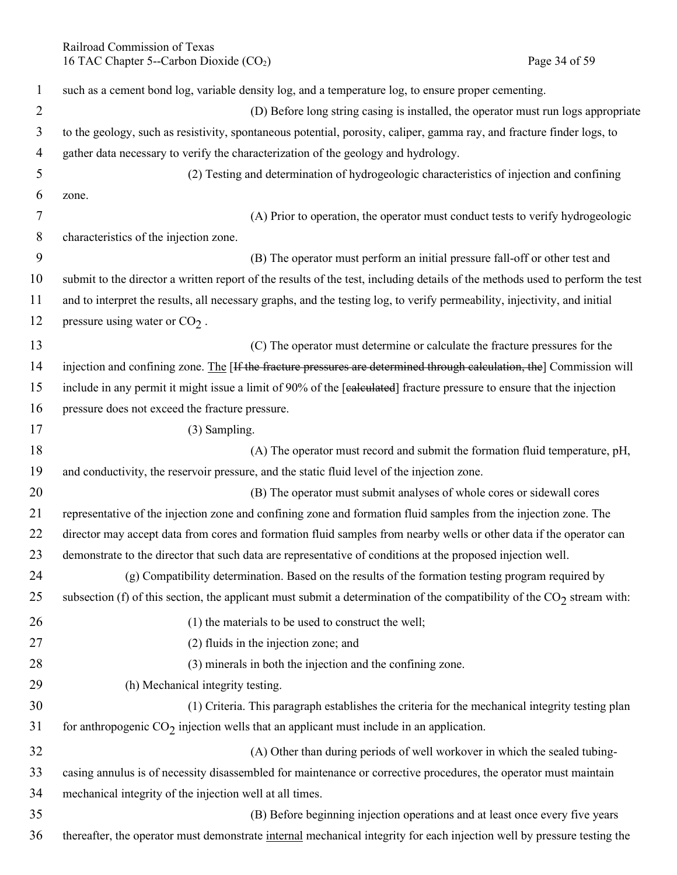Railroad Commission of Texas 16 TAC Chapter 5--Carbon Dioxide (CO<sub>2</sub>) Page 34 of 59

| $\mathbf{1}$   | such as a cement bond log, variable density log, and a temperature log, to ensure proper cementing.                           |
|----------------|-------------------------------------------------------------------------------------------------------------------------------|
| $\overline{2}$ | (D) Before long string casing is installed, the operator must run logs appropriate                                            |
| 3              | to the geology, such as resistivity, spontaneous potential, porosity, caliper, gamma ray, and fracture finder logs, to        |
| 4              | gather data necessary to verify the characterization of the geology and hydrology.                                            |
| 5              | (2) Testing and determination of hydrogeologic characteristics of injection and confining                                     |
| 6              | zone.                                                                                                                         |
| 7              | (A) Prior to operation, the operator must conduct tests to verify hydrogeologic                                               |
| 8              | characteristics of the injection zone.                                                                                        |
| 9              | (B) The operator must perform an initial pressure fall-off or other test and                                                  |
| 10             | submit to the director a written report of the results of the test, including details of the methods used to perform the test |
| 11             | and to interpret the results, all necessary graphs, and the testing log, to verify permeability, injectivity, and initial     |
| 12             | pressure using water or $CO2$ .                                                                                               |
| 13             | (C) The operator must determine or calculate the fracture pressures for the                                                   |
| 14             | injection and confining zone. The [If the fracture pressures are determined through calculation, the] Commission will         |
| 15             | include in any permit it might issue a limit of 90% of the [ealeulated] fracture pressure to ensure that the injection        |
| 16             | pressure does not exceed the fracture pressure.                                                                               |
| 17             | (3) Sampling.                                                                                                                 |
| 18             | (A) The operator must record and submit the formation fluid temperature, pH,                                                  |
| 19             | and conductivity, the reservoir pressure, and the static fluid level of the injection zone.                                   |
| 20             | (B) The operator must submit analyses of whole cores or sidewall cores                                                        |
| 21             | representative of the injection zone and confining zone and formation fluid samples from the injection zone. The              |
| 22             | director may accept data from cores and formation fluid samples from nearby wells or other data if the operator can           |
| 23             | demonstrate to the director that such data are representative of conditions at the proposed injection well.                   |
| 24             | (g) Compatibility determination. Based on the results of the formation testing program required by                            |
| 25             | subsection (f) of this section, the applicant must submit a determination of the compatibility of the $CO2$ stream with:      |
| 26             | (1) the materials to be used to construct the well;                                                                           |
| 27             | (2) fluids in the injection zone; and                                                                                         |
| 28             | (3) minerals in both the injection and the confining zone.                                                                    |
| 29             | (h) Mechanical integrity testing.                                                                                             |
| 30             | (1) Criteria. This paragraph establishes the criteria for the mechanical integrity testing plan                               |
| 31             | for anthropogenic $CO2$ injection wells that an applicant must include in an application.                                     |
| 32             | (A) Other than during periods of well workover in which the sealed tubing-                                                    |
| 33             | casing annulus is of necessity disassembled for maintenance or corrective procedures, the operator must maintain              |
| 34             | mechanical integrity of the injection well at all times.                                                                      |
| 35             | (B) Before beginning injection operations and at least once every five years                                                  |
| 36             | thereafter, the operator must demonstrate internal mechanical integrity for each injection well by pressure testing the       |
|                |                                                                                                                               |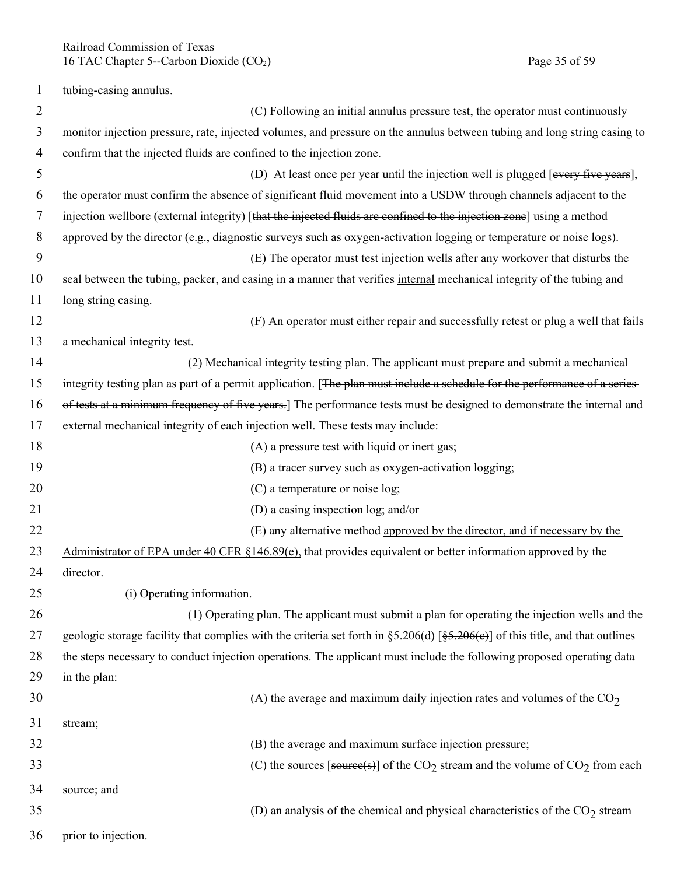Railroad Commission of Texas 16 TAC Chapter 5--Carbon Dioxide (CO<sub>2</sub>) Page 35 of 59

1 tubing-casing annulus.

| $\overline{2}$ | (C) Following an initial annulus pressure test, the operator must continuously                                                          |
|----------------|-----------------------------------------------------------------------------------------------------------------------------------------|
| 3              | monitor injection pressure, rate, injected volumes, and pressure on the annulus between tubing and long string casing to                |
| $\overline{4}$ | confirm that the injected fluids are confined to the injection zone.                                                                    |
| 5              | (D) At least once per year until the injection well is plugged [every five years],                                                      |
| 6              | the operator must confirm the absence of significant fluid movement into a USDW through channels adjacent to the                        |
| 7              | injection wellbore (external integrity) [that the injected fluids are confined to the injection zone] using a method                    |
| 8              | approved by the director (e.g., diagnostic surveys such as oxygen-activation logging or temperature or noise logs).                     |
| 9              | (E) The operator must test injection wells after any workover that disturbs the                                                         |
| 10             | seal between the tubing, packer, and casing in a manner that verifies internal mechanical integrity of the tubing and                   |
| 11             | long string casing.                                                                                                                     |
| 12             | (F) An operator must either repair and successfully retest or plug a well that fails                                                    |
| 13             | a mechanical integrity test.                                                                                                            |
| 14             | (2) Mechanical integrity testing plan. The applicant must prepare and submit a mechanical                                               |
| 15             | integrity testing plan as part of a permit application. [The plan must include a schedule for the performance of a series-              |
| 16             | of tests at a minimum frequency of five years.] The performance tests must be designed to demonstrate the internal and                  |
| 17             | external mechanical integrity of each injection well. These tests may include:                                                          |
| 18             | (A) a pressure test with liquid or inert gas;                                                                                           |
| 19             | (B) a tracer survey such as oxygen-activation logging;                                                                                  |
| 20             | (C) a temperature or noise log;                                                                                                         |
| 21             | (D) a casing inspection log; and/or                                                                                                     |
| 22             | (E) any alternative method approved by the director, and if necessary by the                                                            |
| 23             | Administrator of EPA under 40 CFR §146.89(e), that provides equivalent or better information approved by the                            |
| 24             | director.                                                                                                                               |
| 25             | (i) Operating information.                                                                                                              |
| 26             | (1) Operating plan. The applicant must submit a plan for operating the injection wells and the                                          |
| 27             | geologic storage facility that complies with the criteria set forth in $\S 5.206(d)$ [ $\S 5.206(e)$ ] of this title, and that outlines |
| 28             | the steps necessary to conduct injection operations. The applicant must include the following proposed operating data                   |
| 29             | in the plan:                                                                                                                            |
| 30             | (A) the average and maximum daily injection rates and volumes of the $CO2$                                                              |
| 31             | stream;                                                                                                                                 |
| 32             | (B) the average and maximum surface injection pressure;                                                                                 |
| 33             | (C) the sources [source(s)] of the CO <sub>2</sub> stream and the volume of CO <sub>2</sub> from each                                   |
| 34             | source; and                                                                                                                             |
| 35             | (D) an analysis of the chemical and physical characteristics of the $CO2$ stream                                                        |
| 36             | prior to injection.                                                                                                                     |
|                |                                                                                                                                         |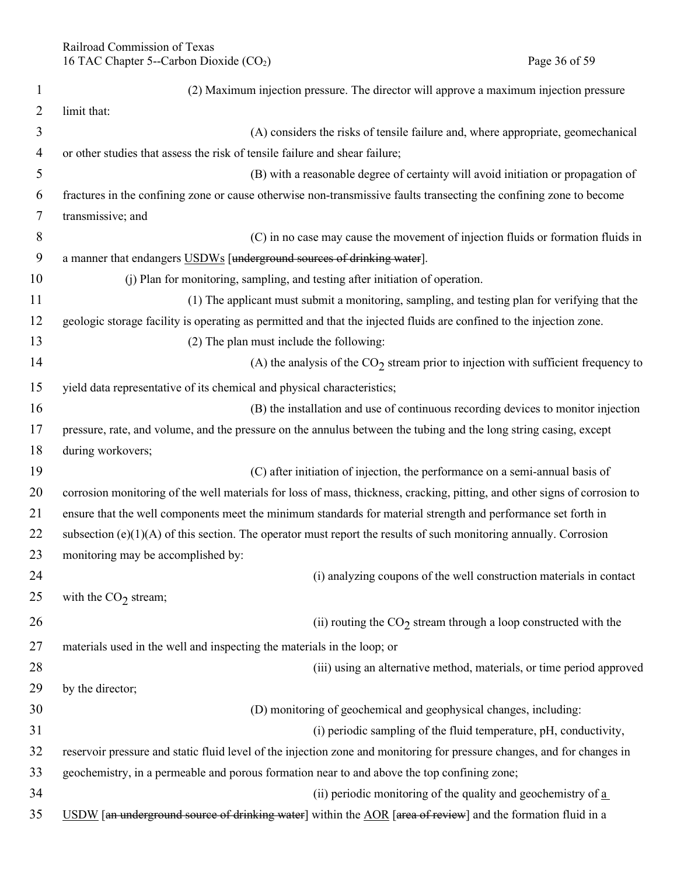| 1  | (2) Maximum injection pressure. The director will approve a maximum injection pressure                                     |
|----|----------------------------------------------------------------------------------------------------------------------------|
| 2  | limit that:                                                                                                                |
| 3  | (A) considers the risks of tensile failure and, where appropriate, geomechanical                                           |
| 4  | or other studies that assess the risk of tensile failure and shear failure;                                                |
| 5  | (B) with a reasonable degree of certainty will avoid initiation or propagation of                                          |
| 6  | fractures in the confining zone or cause otherwise non-transmissive faults transecting the confining zone to become        |
| 7  | transmissive; and                                                                                                          |
| 8  | (C) in no case may cause the movement of injection fluids or formation fluids in                                           |
| 9  | a manner that endangers USDWs [underground sources of drinking water].                                                     |
| 10 | (j) Plan for monitoring, sampling, and testing after initiation of operation.                                              |
| 11 | (1) The applicant must submit a monitoring, sampling, and testing plan for verifying that the                              |
| 12 | geologic storage facility is operating as permitted and that the injected fluids are confined to the injection zone.       |
| 13 | (2) The plan must include the following:                                                                                   |
| 14 | (A) the analysis of the $CO2$ stream prior to injection with sufficient frequency to                                       |
| 15 | yield data representative of its chemical and physical characteristics;                                                    |
| 16 | (B) the installation and use of continuous recording devices to monitor injection                                          |
| 17 | pressure, rate, and volume, and the pressure on the annulus between the tubing and the long string casing, except          |
| 18 | during workovers;                                                                                                          |
| 19 | (C) after initiation of injection, the performance on a semi-annual basis of                                               |
| 20 | corrosion monitoring of the well materials for loss of mass, thickness, cracking, pitting, and other signs of corrosion to |
| 21 | ensure that the well components meet the minimum standards for material strength and performance set forth in              |
| 22 | subsection $(e)(1)(A)$ of this section. The operator must report the results of such monitoring annually. Corrosion        |
| 23 | monitoring may be accomplished by:                                                                                         |
| 24 | (i) analyzing coupons of the well construction materials in contact                                                        |
| 25 | with the $CO2$ stream;                                                                                                     |
| 26 | (ii) routing the $CO2$ stream through a loop constructed with the                                                          |
| 27 | materials used in the well and inspecting the materials in the loop; or                                                    |
| 28 | (iii) using an alternative method, materials, or time period approved                                                      |
| 29 | by the director;                                                                                                           |
| 30 | (D) monitoring of geochemical and geophysical changes, including:                                                          |
| 31 | (i) periodic sampling of the fluid temperature, pH, conductivity,                                                          |
| 32 | reservoir pressure and static fluid level of the injection zone and monitoring for pressure changes, and for changes in    |
| 33 | geochemistry, in a permeable and porous formation near to and above the top confining zone;                                |
| 34 | (ii) periodic monitoring of the quality and geochemistry of $\underline{a}$                                                |
| 35 | USDW [an underground source of drinking water] within the AOR [area of review] and the formation fluid in a                |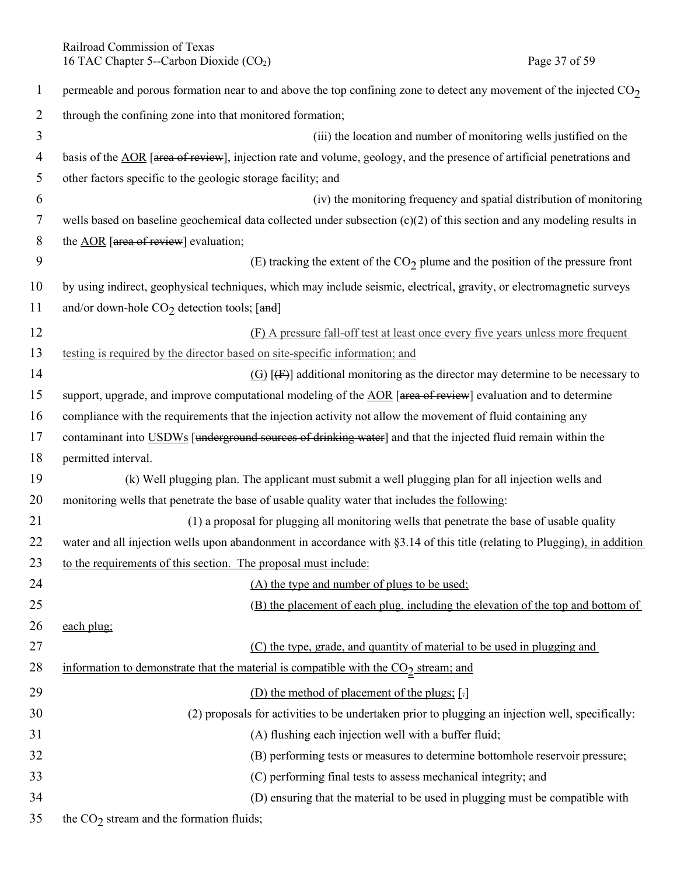Railroad Commission of Texas<br>
16 TAC Chapter 5--Carbon Dioxide (CO<sub>2</sub>) Page 37 of 59 16 TAC Chapter 5--Carbon Dioxide  $(CO<sub>2</sub>)$ 

| $\mathbf{1}$   | permeable and porous formation near to and above the top confining zone to detect any movement of the injected $CO2$      |
|----------------|---------------------------------------------------------------------------------------------------------------------------|
| $\overline{2}$ | through the confining zone into that monitored formation;                                                                 |
| 3              | (iii) the location and number of monitoring wells justified on the                                                        |
| 4              | basis of the AOR [area of review], injection rate and volume, geology, and the presence of artificial penetrations and    |
| 5              | other factors specific to the geologic storage facility; and                                                              |
| 6              | (iv) the monitoring frequency and spatial distribution of monitoring                                                      |
| 7              | wells based on baseline geochemical data collected under subsection $(c)(2)$ of this section and any modeling results in  |
| $\,8\,$        | the AOR [area of review] evaluation;                                                                                      |
| 9              | (E) tracking the extent of the $CO2$ plume and the position of the pressure front                                         |
| 10             | by using indirect, geophysical techniques, which may include seismic, electrical, gravity, or electromagnetic surveys     |
| 11             | and/or down-hole $CO2$ detection tools; [and]                                                                             |
| 12             | (F) A pressure fall-off test at least once every five years unless more frequent                                          |
| 13             | testing is required by the director based on site-specific information; and                                               |
| 14             | $(G)$ [ $(F)$ ] additional monitoring as the director may determine to be necessary to                                    |
| 15             | support, upgrade, and improve computational modeling of the AOR [area of review] evaluation and to determine              |
| 16             | compliance with the requirements that the injection activity not allow the movement of fluid containing any               |
| 17             | contaminant into USDWs [underground sources of drinking water] and that the injected fluid remain within the              |
| 18             | permitted interval.                                                                                                       |
| 19             | (k) Well plugging plan. The applicant must submit a well plugging plan for all injection wells and                        |
| 20             | monitoring wells that penetrate the base of usable quality water that includes the following:                             |
| 21             | (1) a proposal for plugging all monitoring wells that penetrate the base of usable quality                                |
| 22             | water and all injection wells upon abandonment in accordance with §3.14 of this title (relating to Plugging), in addition |
| 23             | to the requirements of this section. The proposal must include:                                                           |
| 24             | (A) the type and number of plugs to be used:                                                                              |
| 25             | (B) the placement of each plug, including the elevation of the top and bottom of                                          |
| 26             | each plug;                                                                                                                |
| 27             | (C) the type, grade, and quantity of material to be used in plugging and                                                  |
| 28             | information to demonstrate that the material is compatible with the CO <sub>2</sub> stream; and                           |
| 29             | (D) the method of placement of the plugs; [-]                                                                             |
| 30             | (2) proposals for activities to be undertaken prior to plugging an injection well, specifically:                          |
| 31             | (A) flushing each injection well with a buffer fluid;                                                                     |
| 32             | (B) performing tests or measures to determine bottomhole reservoir pressure;                                              |
| 33             | (C) performing final tests to assess mechanical integrity; and                                                            |
| 34             | (D) ensuring that the material to be used in plugging must be compatible with                                             |
| 35             | the $CO2$ stream and the formation fluids;                                                                                |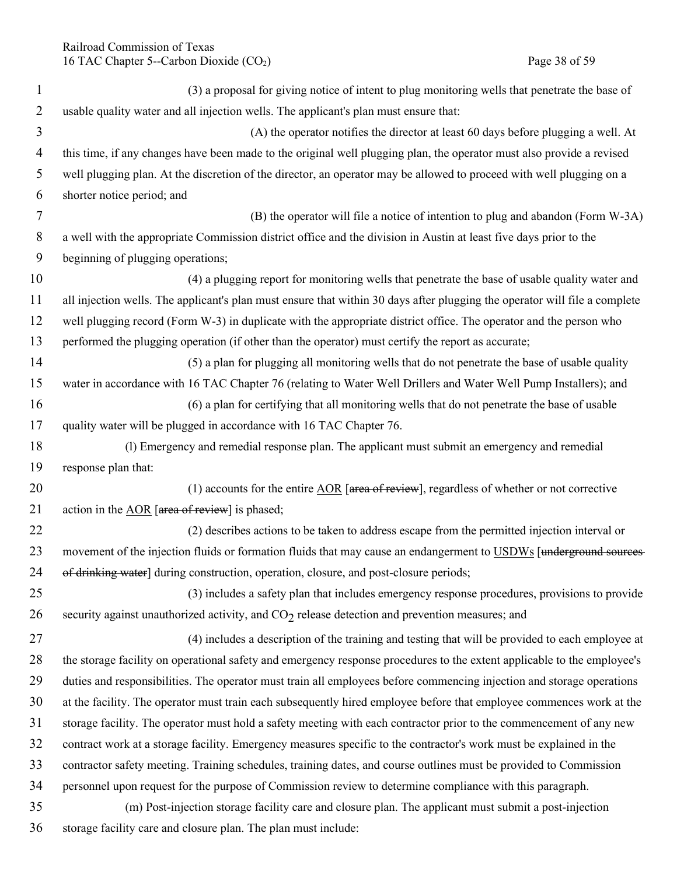| $\mathbf{1}$   | (3) a proposal for giving notice of intent to plug monitoring wells that penetrate the base of                             |
|----------------|----------------------------------------------------------------------------------------------------------------------------|
| $\overline{2}$ | usable quality water and all injection wells. The applicant's plan must ensure that:                                       |
| 3              | (A) the operator notifies the director at least 60 days before plugging a well. At                                         |
| $\overline{4}$ | this time, if any changes have been made to the original well plugging plan, the operator must also provide a revised      |
| 5              | well plugging plan. At the discretion of the director, an operator may be allowed to proceed with well plugging on a       |
| 6              | shorter notice period; and                                                                                                 |
| $\overline{7}$ | (B) the operator will file a notice of intention to plug and abandon (Form W-3A)                                           |
| 8              | a well with the appropriate Commission district office and the division in Austin at least five days prior to the          |
| 9              | beginning of plugging operations;                                                                                          |
| 10             | (4) a plugging report for monitoring wells that penetrate the base of usable quality water and                             |
| 11             | all injection wells. The applicant's plan must ensure that within 30 days after plugging the operator will file a complete |
| 12             | well plugging record (Form W-3) in duplicate with the appropriate district office. The operator and the person who         |
| 13             | performed the plugging operation (if other than the operator) must certify the report as accurate;                         |
| 14             | (5) a plan for plugging all monitoring wells that do not penetrate the base of usable quality                              |
| 15             | water in accordance with 16 TAC Chapter 76 (relating to Water Well Drillers and Water Well Pump Installers); and           |
| 16             | (6) a plan for certifying that all monitoring wells that do not penetrate the base of usable                               |
| 17             | quality water will be plugged in accordance with 16 TAC Chapter 76.                                                        |
| 18             | (1) Emergency and remedial response plan. The applicant must submit an emergency and remedial                              |
| 19             | response plan that:                                                                                                        |
| 20             | (1) accounts for the entire $\underline{AOR}$ [area of review], regardless of whether or not corrective                    |
| 21             | action in the AOR [area of review] is phased;                                                                              |
| 22             | (2) describes actions to be taken to address escape from the permitted injection interval or                               |
| 23             | movement of the injection fluids or formation fluids that may cause an endangerment to USDWs [underground sources          |
| 24             | of drinking water] during construction, operation, closure, and post-closure periods;                                      |
| 25             | (3) includes a safety plan that includes emergency response procedures, provisions to provide                              |
| 26             | security against unauthorized activity, and $CO2$ release detection and prevention measures; and                           |
| 27             | (4) includes a description of the training and testing that will be provided to each employee at                           |
| 28             | the storage facility on operational safety and emergency response procedures to the extent applicable to the employee's    |
| 29             | duties and responsibilities. The operator must train all employees before commencing injection and storage operations      |
| 30             | at the facility. The operator must train each subsequently hired employee before that employee commences work at the       |
| 31             | storage facility. The operator must hold a safety meeting with each contractor prior to the commencement of any new        |
| 32             | contract work at a storage facility. Emergency measures specific to the contractor's work must be explained in the         |
| 33             | contractor safety meeting. Training schedules, training dates, and course outlines must be provided to Commission          |
| 34             | personnel upon request for the purpose of Commission review to determine compliance with this paragraph.                   |
| 35             | (m) Post-injection storage facility care and closure plan. The applicant must submit a post-injection                      |
| 36             | storage facility care and closure plan. The plan must include:                                                             |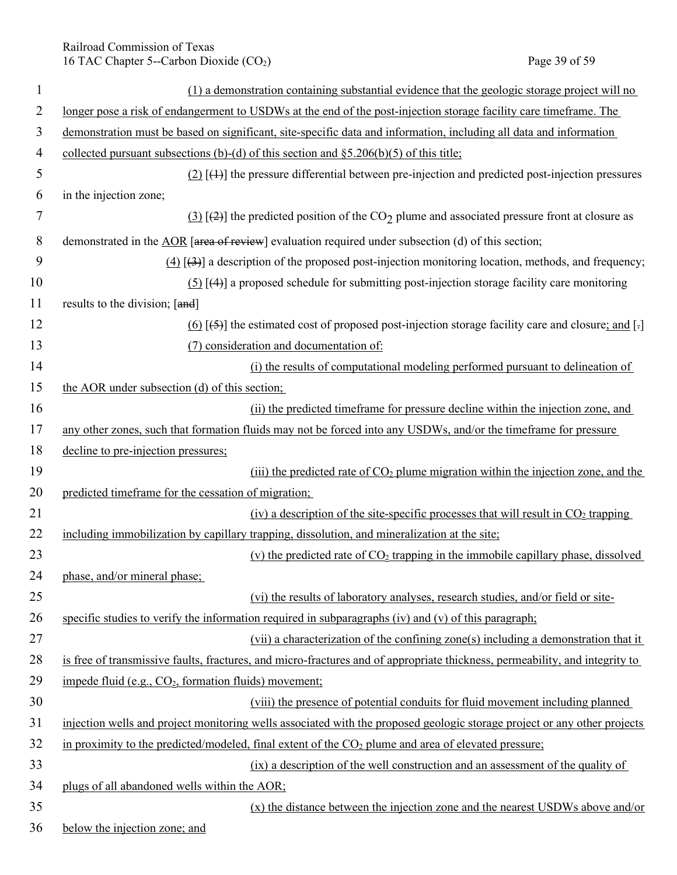# Railroad Commission of Texas 16 TAC Chapter 5--Carbon Dioxide (CO<sub>2</sub>) Page 39 of 59

| $\mathbf{1}$ | (1) a demonstration containing substantial evidence that the geologic storage project will no                               |
|--------------|-----------------------------------------------------------------------------------------------------------------------------|
| 2            | longer pose a risk of endangerment to USDWs at the end of the post-injection storage facility care timeframe. The           |
| 3            | demonstration must be based on significant, site-specific data and information, including all data and information          |
| 4            | collected pursuant subsections (b)-(d) of this section and $\S$ 5.206(b)(5) of this title;                                  |
| 5            | $(2)$ [4+] the pressure differential between pre-injection and predicted post-injection pressures                           |
| 6            | in the injection zone;                                                                                                      |
| 7            | $(3)$ [(2)] the predicted position of the CO <sub>2</sub> plume and associated pressure front at closure as                 |
| 8            | demonstrated in the AOR [area of review] evaluation required under subsection (d) of this section;                          |
| 9            | $(4)$ [ $(3)$ ] a description of the proposed post-injection monitoring location, methods, and frequency;                   |
| 10           | $(5)$ [(4)] a proposed schedule for submitting post-injection storage facility care monitoring                              |
| 11           | results to the division; [and]                                                                                              |
| 12           | $(6)$ [(5)] the estimated cost of proposed post-injection storage facility care and closure; and [-]                        |
| 13           | (7) consideration and documentation of:                                                                                     |
| 14           | (i) the results of computational modeling performed pursuant to delineation of                                              |
| 15           | the AOR under subsection (d) of this section;                                                                               |
| 16           | (ii) the predicted timeframe for pressure decline within the injection zone, and                                            |
| 17           | any other zones, such that formation fluids may not be forced into any USDWs, and/or the timeframe for pressure             |
| 18           | decline to pre-injection pressures;                                                                                         |
| 19           | (iii) the predicted rate of $CO2$ plume migration within the injection zone, and the                                        |
| 20           | predicted timeframe for the cessation of migration;                                                                         |
| 21           | (iv) a description of the site-specific processes that will result in $CO2$ trapping                                        |
| 22           | including immobilization by capillary trapping, dissolution, and mineralization at the site;                                |
| 23           | (v) the predicted rate of $CO2$ trapping in the immobile capillary phase, dissolved                                         |
| 24           | phase, and/or mineral phase;                                                                                                |
| 25           | (vi) the results of laboratory analyses, research studies, and/or field or site-                                            |
| 26           | specific studies to verify the information required in subparagraphs $(iv)$ and $(v)$ of this paragraph;                    |
| 27           | (vii) a characterization of the confining zone(s) including a demonstration that it                                         |
| 28           | is free of transmissive faults, fractures, and micro-fractures and of appropriate thickness, permeability, and integrity to |
| 29           | impede fluid (e.g., CO <sub>2</sub> , formation fluids) movement;                                                           |
| 30           | (viii) the presence of potential conduits for fluid movement including planned                                              |
| 31           | injection wells and project monitoring wells associated with the proposed geologic storage project or any other projects    |
| 32           | in proximity to the predicted/modeled, final extent of the CO <sub>2</sub> plume and area of elevated pressure;             |
| 33           | (ix) a description of the well construction and an assessment of the quality of                                             |
| 34           | plugs of all abandoned wells within the AOR;                                                                                |
| 35           | (x) the distance between the injection zone and the nearest USDWs above and/or                                              |
| 36           | below the injection zone; and                                                                                               |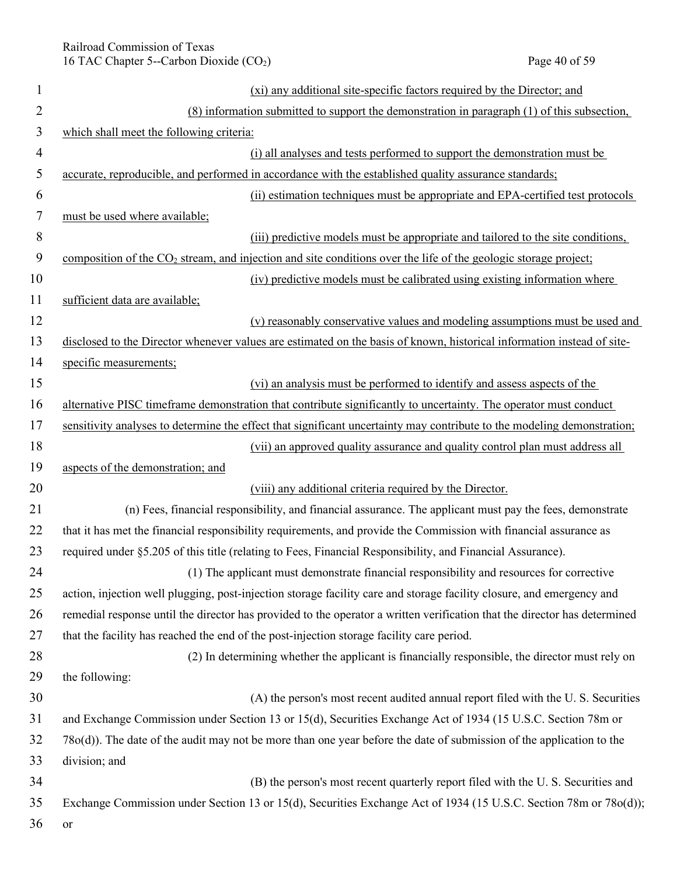| $\mathbf{1}$   | (xi) any additional site-specific factors required by the Director; and                                                     |
|----------------|-----------------------------------------------------------------------------------------------------------------------------|
| $\overline{2}$ | (8) information submitted to support the demonstration in paragraph (1) of this subsection,                                 |
| $\mathfrak{Z}$ | which shall meet the following criteria:                                                                                    |
| $\overline{4}$ | (i) all analyses and tests performed to support the demonstration must be                                                   |
| 5              | accurate, reproducible, and performed in accordance with the established quality assurance standards;                       |
| 6              | (ii) estimation techniques must be appropriate and EPA-certified test protocols                                             |
| $\tau$         | must be used where available;                                                                                               |
| 8              | (iii) predictive models must be appropriate and tailored to the site conditions,                                            |
| 9              | composition of the CO <sub>2</sub> stream, and injection and site conditions over the life of the geologic storage project; |
| 10             | (iv) predictive models must be calibrated using existing information where                                                  |
| 11             | sufficient data are available;                                                                                              |
| 12             | (v) reasonably conservative values and modeling assumptions must be used and                                                |
| 13             | disclosed to the Director whenever values are estimated on the basis of known, historical information instead of site-      |
| 14             | specific measurements;                                                                                                      |
| 15             | (vi) an analysis must be performed to identify and assess aspects of the                                                    |
| 16             | alternative PISC timeframe demonstration that contribute significantly to uncertainty. The operator must conduct            |
| 17             | sensitivity analyses to determine the effect that significant uncertainty may contribute to the modeling demonstration;     |
| 18             | (vii) an approved quality assurance and quality control plan must address all                                               |
| 19             | aspects of the demonstration; and                                                                                           |
| 20             | (viii) any additional criteria required by the Director.                                                                    |
| 21             | (n) Fees, financial responsibility, and financial assurance. The applicant must pay the fees, demonstrate                   |
| 22             | that it has met the financial responsibility requirements, and provide the Commission with financial assurance as           |
| 23             | required under §5.205 of this title (relating to Fees, Financial Responsibility, and Financial Assurance).                  |
| 24             | (1) The applicant must demonstrate financial responsibility and resources for corrective                                    |
| 25             | action, injection well plugging, post-injection storage facility care and storage facility closure, and emergency and       |
| 26             | remedial response until the director has provided to the operator a written verification that the director has determined   |
| 27             | that the facility has reached the end of the post-injection storage facility care period.                                   |
| 28             | (2) In determining whether the applicant is financially responsible, the director must rely on                              |
| 29             | the following:                                                                                                              |
| 30             | (A) the person's most recent audited annual report filed with the U.S. Securities                                           |
| 31             | and Exchange Commission under Section 13 or 15(d), Securities Exchange Act of 1934 (15 U.S.C. Section 78m or                |
| 32             | 78o(d)). The date of the audit may not be more than one year before the date of submission of the application to the        |
| 33             | division; and                                                                                                               |
| 34             | (B) the person's most recent quarterly report filed with the U.S. Securities and                                            |
| 35             | Exchange Commission under Section 13 or 15(d), Securities Exchange Act of 1934 (15 U.S.C. Section 78m or 78o(d));           |
| 36             | or                                                                                                                          |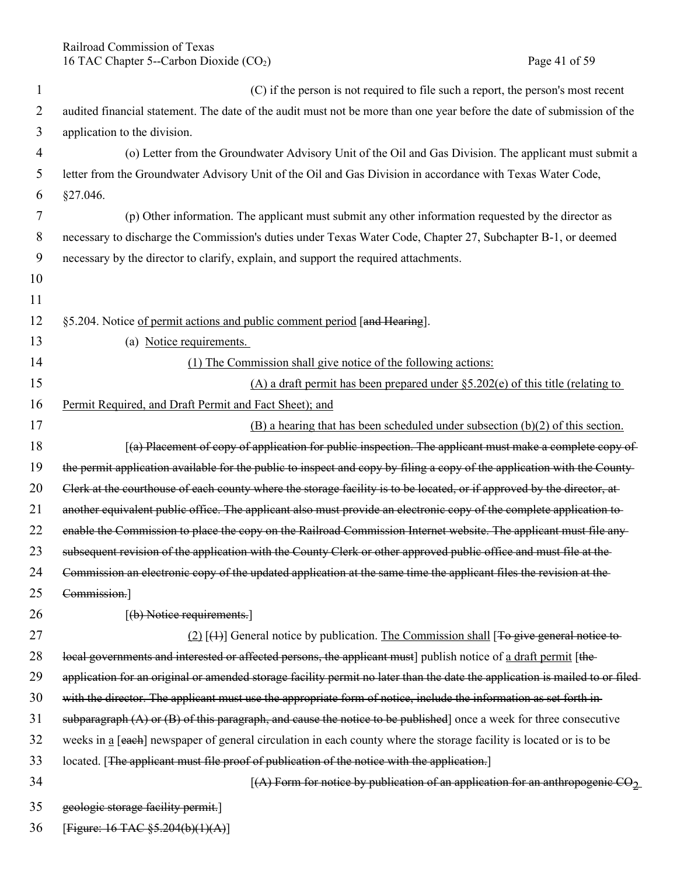Railroad Commission of Texas 16 TAC Chapter 5--Carbon Dioxide (CO<sub>2</sub>) Page 41 of 59

| 1              | (C) if the person is not required to file such a report, the person's most recent                                           |
|----------------|-----------------------------------------------------------------------------------------------------------------------------|
| 2              | audited financial statement. The date of the audit must not be more than one year before the date of submission of the      |
| 3              | application to the division.                                                                                                |
| $\overline{4}$ | (o) Letter from the Groundwater Advisory Unit of the Oil and Gas Division. The applicant must submit a                      |
| 5              | letter from the Groundwater Advisory Unit of the Oil and Gas Division in accordance with Texas Water Code,                  |
| 6              | §27.046.                                                                                                                    |
| 7              | (p) Other information. The applicant must submit any other information requested by the director as                         |
| 8              | necessary to discharge the Commission's duties under Texas Water Code, Chapter 27, Subchapter B-1, or deemed                |
| 9              | necessary by the director to clarify, explain, and support the required attachments.                                        |
| 10             |                                                                                                                             |
| 11             |                                                                                                                             |
| 12             | §5.204. Notice of permit actions and public comment period [and Hearing].                                                   |
| 13             | (a) Notice requirements.                                                                                                    |
| 14             | (1) The Commission shall give notice of the following actions:                                                              |
| 15             | (A) a draft permit has been prepared under $\S$ 5.202(e) of this title (relating to                                         |
| 16             | Permit Required, and Draft Permit and Fact Sheet); and                                                                      |
| 17             | $(B)$ a hearing that has been scheduled under subsection $(b)(2)$ of this section.                                          |
| 18             | [(a) Placement of copy of application for public inspection. The applicant must make a complete copy of                     |
| 19             | the permit application available for the public to inspect and copy by filing a copy of the application with the County-    |
| 20             | Clerk at the courthouse of each county where the storage facility is to be located, or if approved by the director, at      |
| 21             | another equivalent public office. The applicant also must provide an electronic copy of the complete application to-        |
| 22             | enable the Commission to place the copy on the Railroad Commission Internet website. The applicant must file any-           |
| 23             | subsequent revision of the application with the County Clerk or other approved public office and must file at the           |
| 24             | Commission an electronic copy of the updated application at the same time the applicant files the revision at the           |
| 25             | Commission.]                                                                                                                |
| 26             | $[$ (b) Notice requirements.                                                                                                |
| 27             | $(2)$ [ $(4)$ ] General notice by publication. The Commission shall [To give general notice to-                             |
| 28             | local governments and interested or affected persons, the applicant must] publish notice of a draft permit [the-            |
| 29             | application for an original or amended storage facility permit no later than the date the application is mailed to or filed |
| 30             | with the director. The applicant must use the appropriate form of notice, include the information as set forth in-          |
| 31             | subparagraph $(A)$ or $(B)$ of this paragraph, and cause the notice to be published] once a week for three consecutive      |
| 32             | weeks in a [each] newspaper of general circulation in each county where the storage facility is located or is to be         |
| 33             | located. [The applicant must file proof of publication of the notice with the application.]                                 |
| 34             | [(A) Form for notice by publication of an application for an anthropogenic CO <sub>2</sub>                                  |
| 35             | geologic storage facility permit.]                                                                                          |
| 36             | [Figure: $16$ TAC $\S$ 5.204(b)(1)(A)]                                                                                      |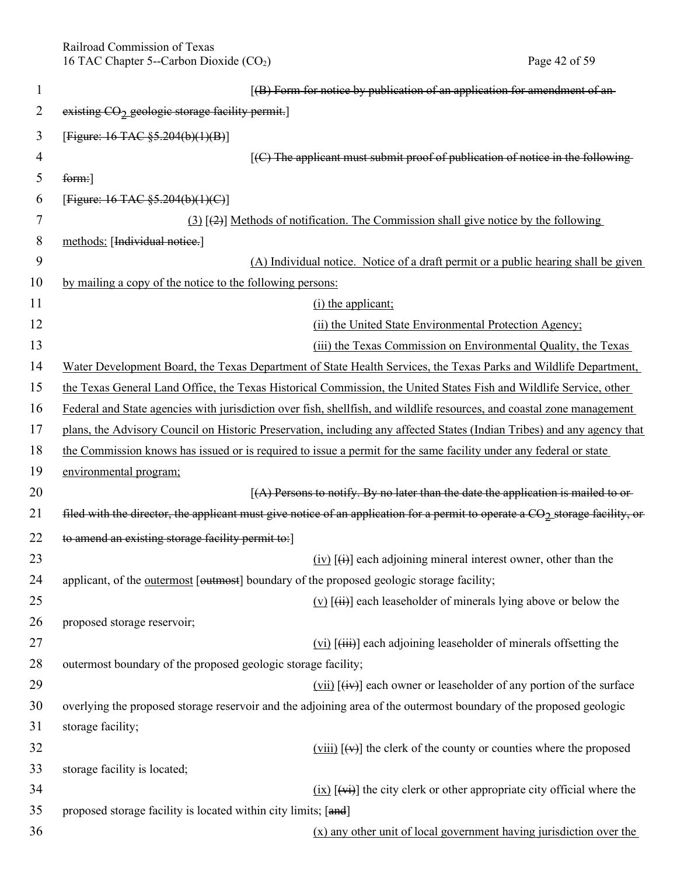Railroad Commission of Texas 16 TAC Chapter 5--Carbon Dioxide (CO<sub>2</sub>) Page 42 of 59

| $\mathbf{1}$ | [(B) Form for notice by publication of an application for amendment of an-                                                               |
|--------------|------------------------------------------------------------------------------------------------------------------------------------------|
| 2            | existing CO <sub>2</sub> geologic storage facility permit.]                                                                              |
| 3            | [Figure: $16$ TAC $\S$ 5.204(b)(1)(B)]                                                                                                   |
| 4            | $[$ (C) The applicant must submit proof of publication of notice in the following-                                                       |
| 5            | form:                                                                                                                                    |
| 6            | [Figure: 16 TAC $\S 5.204(b)(1)(C)$ ]                                                                                                    |
| 7            | $(3)$ [ $(2)$ ] Methods of notification. The Commission shall give notice by the following                                               |
| 8            | methods: [Individual notice.]                                                                                                            |
| 9            | (A) Individual notice. Notice of a draft permit or a public hearing shall be given                                                       |
| 10           | by mailing a copy of the notice to the following persons:                                                                                |
| 11           | $(i)$ the applicant;                                                                                                                     |
| 12           | (ii) the United State Environmental Protection Agency;                                                                                   |
| 13           | (iii) the Texas Commission on Environmental Quality, the Texas                                                                           |
| 14           | Water Development Board, the Texas Department of State Health Services, the Texas Parks and Wildlife Department,                         |
| 15           | the Texas General Land Office, the Texas Historical Commission, the United States Fish and Wildlife Service, other                       |
| 16           | Federal and State agencies with jurisdiction over fish, shellfish, and wildlife resources, and coastal zone management                   |
| 17           | plans, the Advisory Council on Historic Preservation, including any affected States (Indian Tribes) and any agency that                  |
| 18           | the Commission knows has issued or is required to issue a permit for the same facility under any federal or state                        |
| 19           | environmental program;                                                                                                                   |
| 20           | $(A)$ Persons to notify. By no later than the date the application is mailed to or-                                                      |
| 21           | filed with the director, the applicant must give notice of an application for a permit to operate a CO <sub>2</sub> storage facility, or |
| 22           | to amend an existing storage facility permit to:                                                                                         |
| 23           | $(iv)$ $\overline{(ii)}$ each adjoining mineral interest owner, other than the                                                           |
| 24           | applicant, of the outermost [outmost] boundary of the proposed geologic storage facility;                                                |
| 25           | $(v)$ [ $(i)$ ] each leaseholder of minerals lying above or below the                                                                    |
| 26           | proposed storage reservoir;                                                                                                              |
| 27           | $(vi)$ [ $(iii)$ ] each adjoining leaseholder of minerals offsetting the                                                                 |
| 28           | outermost boundary of the proposed geologic storage facility;                                                                            |
| 29           | $(vii)$ $(\overline{iv})$ each owner or leaseholder of any portion of the surface                                                        |
| 30           | overlying the proposed storage reservoir and the adjoining area of the outermost boundary of the proposed geologic                       |
| 31           | storage facility;                                                                                                                        |
| 32           | $(viii)$ [ $(v)$ ] the clerk of the county or counties where the proposed                                                                |
| 33           | storage facility is located;                                                                                                             |
| 34           | $(ix)$ [ $(vi)$ ] the city clerk or other appropriate city official where the                                                            |
| 35           | proposed storage facility is located within city limits; [and]                                                                           |
| 36           | $(x)$ any other unit of local government having jurisdiction over the                                                                    |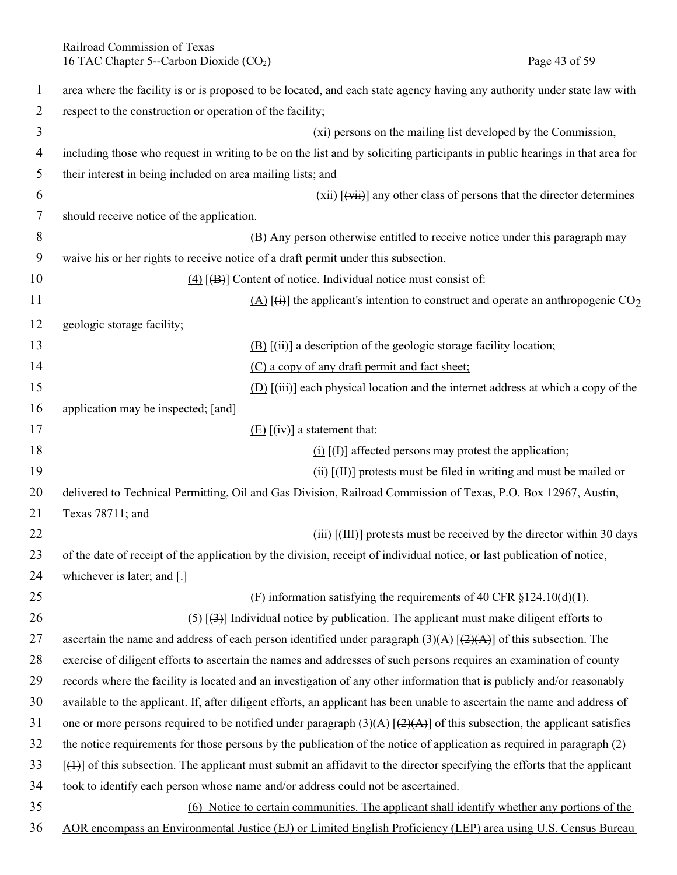Railroad Commission of Texas 16 TAC Chapter 5--Carbon Dioxide (CO<sub>2</sub>) Page 43 of 59

| $\mathbf{1}$ | area where the facility is or is proposed to be located, and each state agency having any authority under state law with      |
|--------------|-------------------------------------------------------------------------------------------------------------------------------|
| 2            | respect to the construction or operation of the facility;                                                                     |
| 3            | (xi) persons on the mailing list developed by the Commission,                                                                 |
| 4            | including those who request in writing to be on the list and by soliciting participants in public hearings in that area for   |
| 5            | their interest in being included on area mailing lists; and                                                                   |
| 6            | $(xii)$ [ $(xii)$ ] any other class of persons that the director determines                                                   |
| 7            | should receive notice of the application.                                                                                     |
| 8            | (B) Any person otherwise entitled to receive notice under this paragraph may                                                  |
| 9            | waive his or her rights to receive notice of a draft permit under this subsection.                                            |
| 10           | $(4)$ [ $(B)$ ] Content of notice. Individual notice must consist of:                                                         |
| 11           | $(A)$ [(ii)] the applicant's intention to construct and operate an anthropogenic CO <sub>2</sub>                              |
| 12           | geologic storage facility;                                                                                                    |
| 13           | $(B)$ $(\ddot{H})$ a description of the geologic storage facility location;                                                   |
| 14           | (C) a copy of any draft permit and fact sheet;                                                                                |
| 15           | $(D)$ [ $(iii)$ ] each physical location and the internet address at which a copy of the                                      |
| 16           | application may be inspected; [and]                                                                                           |
| 17           | $(E)$ $\overline{(iv)}$ a statement that:                                                                                     |
| 18           | $(i)$ [ $(i)$ ] affected persons may protest the application;                                                                 |
| 19           | $(ii)$ $(H)$ protests must be filed in writing and must be mailed or                                                          |
| 20           | delivered to Technical Permitting, Oil and Gas Division, Railroad Commission of Texas, P.O. Box 12967, Austin,                |
| 21           | Texas 78711; and                                                                                                              |
| 22           | $(iii)$ $[(III)]$ protests must be received by the director within 30 days                                                    |
| 23           | of the date of receipt of the application by the division, receipt of individual notice, or last publication of notice,       |
| 24           | whichever is later; and $\lceil$ -                                                                                            |
| 25           | (F) information satisfying the requirements of 40 CFR $\S 124.10(d)(1)$ .                                                     |
| 26           | $(5)$ [ $(3)$ ] Individual notice by publication. The applicant must make diligent efforts to                                 |
| 27           | ascertain the name and address of each person identified under paragraph $(3)(A)$ $(2)(A)$ of this subsection. The            |
| 28           | exercise of diligent efforts to ascertain the names and addresses of such persons requires an examination of county           |
| 29           | records where the facility is located and an investigation of any other information that is publicly and/or reasonably        |
| 30           | available to the applicant. If, after diligent efforts, an applicant has been unable to ascertain the name and address of     |
| 31           | one or more persons required to be notified under paragraph $(3)(A)$ $[(2)(A)]$ of this subsection, the applicant satisfies   |
| 32           | the notice requirements for those persons by the publication of the notice of application as required in paragraph $(2)$      |
| 33           | $[$ (4)] of this subsection. The applicant must submit an affidavit to the director specifying the efforts that the applicant |
| 34           | took to identify each person whose name and/or address could not be ascertained.                                              |
| 35           | (6) Notice to certain communities. The applicant shall identify whether any portions of the                                   |
| 36           | AOR encompass an Environmental Justice (EJ) or Limited English Proficiency (LEP) area using U.S. Census Bureau                |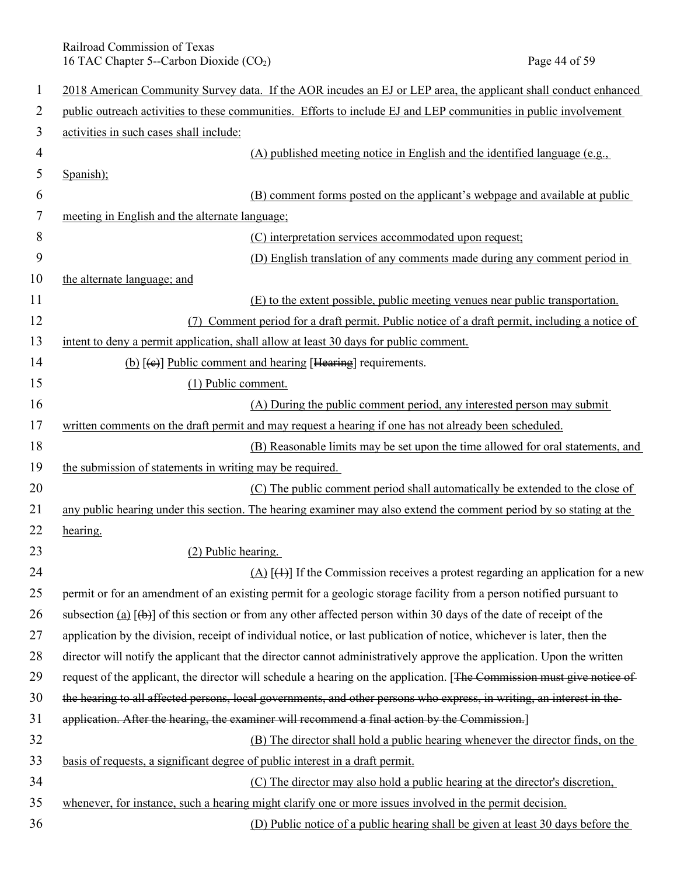Railroad Commission of Texas 16 TAC Chapter 5--Carbon Dioxide (CO<sub>2</sub>) Page 44 of 59

| $\mathbf{1}$   | 2018 American Community Survey data. If the AOR incudes an EJ or LEP area, the applicant shall conduct enhanced          |
|----------------|--------------------------------------------------------------------------------------------------------------------------|
| $\overline{2}$ | public outreach activities to these communities. Efforts to include EJ and LEP communities in public involvement         |
| 3              | activities in such cases shall include:                                                                                  |
| 4              | (A) published meeting notice in English and the identified language (e.g.,                                               |
| 5              | Spanish);                                                                                                                |
| 6              | (B) comment forms posted on the applicant's webpage and available at public                                              |
| 7              | meeting in English and the alternate language;                                                                           |
| 8              | (C) interpretation services accommodated upon request;                                                                   |
| 9              | (D) English translation of any comments made during any comment period in                                                |
| 10             | the alternate language; and                                                                                              |
| 11             | (E) to the extent possible, public meeting venues near public transportation.                                            |
| 12             | Comment period for a draft permit. Public notice of a draft permit, including a notice of<br>(7)                         |
| 13             | intent to deny a permit application, shall allow at least 30 days for public comment.                                    |
| 14             | (b) $[\text{e}]$ Public comment and hearing [Hearing] requirements.                                                      |
| 15             | (1) Public comment.                                                                                                      |
| 16             | (A) During the public comment period, any interested person may submit                                                   |
| 17             | written comments on the draft permit and may request a hearing if one has not already been scheduled.                    |
| 18             | (B) Reasonable limits may be set upon the time allowed for oral statements, and                                          |
| 19             | the submission of statements in writing may be required.                                                                 |
| 20             | (C) The public comment period shall automatically be extended to the close of                                            |
| 21             | any public hearing under this section. The hearing examiner may also extend the comment period by so stating at the      |
| 22             | hearing.                                                                                                                 |
| 23             | (2) Public hearing.                                                                                                      |
| 24             | $(A)$ [ $(1)$ ] If the Commission receives a protest regarding an application for a new                                  |
| 25             | permit or for an amendment of an existing permit for a geologic storage facility from a person notified pursuant to      |
| 26             | subsection (a) $[\theta]$ of this section or from any other affected person within 30 days of the date of receipt of the |
| 27             | application by the division, receipt of individual notice, or last publication of notice, whichever is later, then the   |
| 28             | director will notify the applicant that the director cannot administratively approve the application. Upon the written   |
| 29             | request of the applicant, the director will schedule a hearing on the application. [The Commission must give notice of   |
| 30             | the hearing to all affected persons, local governments, and other persons who express, in writing, an interest in the    |
| 31             | application. After the hearing, the examiner will recommend a final action by the Commission.]                           |
| 32             | (B) The director shall hold a public hearing whenever the director finds, on the                                         |
| 33             | basis of requests, a significant degree of public interest in a draft permit.                                            |
| 34             | (C) The director may also hold a public hearing at the director's discretion,                                            |
| 35             | whenever, for instance, such a hearing might clarify one or more issues involved in the permit decision.                 |
| 36             | (D) Public notice of a public hearing shall be given at least 30 days before the                                         |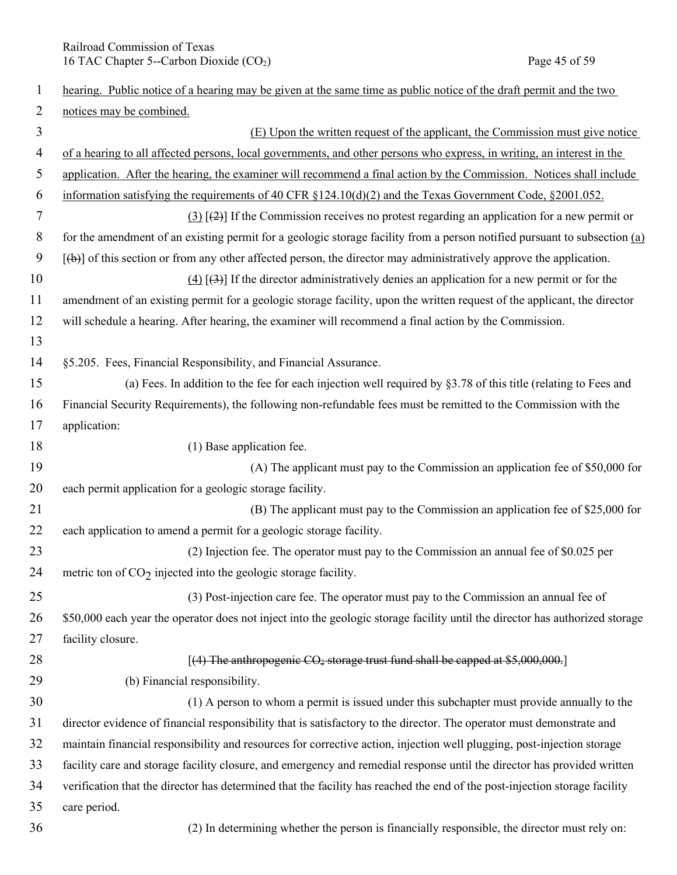Railroad Commission of Texas<br>
16 TAC Chapter 5--Carbon Dioxide (CO<sub>2</sub>) Page 45 of 59 16 TAC Chapter 5--Carbon Dioxide  $(CO<sub>2</sub>)$ 

| 1              | hearing. Public notice of a hearing may be given at the same time as public notice of the draft permit and the two           |
|----------------|------------------------------------------------------------------------------------------------------------------------------|
| $\overline{2}$ | notices may be combined.                                                                                                     |
| 3              | (E) Upon the written request of the applicant, the Commission must give notice                                               |
| 4              | of a hearing to all affected persons, local governments, and other persons who express, in writing, an interest in the       |
| 5              | application. After the hearing, the examiner will recommend a final action by the Commission. Notices shall include          |
| 6              | information satisfying the requirements of 40 CFR §124.10(d)(2) and the Texas Government Code, §2001.052.                    |
| 7              | $(3)$ [ $(2)$ ] If the Commission receives no protest regarding an application for a new permit or                           |
| 8              | for the amendment of an existing permit for a geologic storage facility from a person notified pursuant to subsection (a)    |
| 9              | $[\phi]$ of this section or from any other affected person, the director may administratively approve the application.       |
| 10             | $(4)$ [43] If the director administratively denies an application for a new permit or for the                                |
| 11             | amendment of an existing permit for a geologic storage facility, upon the written request of the applicant, the director     |
| 12             | will schedule a hearing. After hearing, the examiner will recommend a final action by the Commission.                        |
| 13             |                                                                                                                              |
| 14             | §5.205. Fees, Financial Responsibility, and Financial Assurance.                                                             |
| 15             | (a) Fees. In addition to the fee for each injection well required by $\S3.78$ of this title (relating to Fees and            |
| 16             | Financial Security Requirements), the following non-refundable fees must be remitted to the Commission with the              |
| 17             | application:                                                                                                                 |
| 18             | (1) Base application fee.                                                                                                    |
| 19             | (A) The applicant must pay to the Commission an application fee of \$50,000 for                                              |
| 20             | each permit application for a geologic storage facility.                                                                     |
| 21             | (B) The applicant must pay to the Commission an application fee of \$25,000 for                                              |
| 22             | each application to amend a permit for a geologic storage facility.                                                          |
| 23             | (2) Injection fee. The operator must pay to the Commission an annual fee of \$0.025 per                                      |
| 24             | metric ton of $CO2$ injected into the geologic storage facility.                                                             |
| 25             | (3) Post-injection care fee. The operator must pay to the Commission an annual fee of                                        |
| 26             | \$50,000 each year the operator does not inject into the geologic storage facility until the director has authorized storage |
| 27             | facility closure.                                                                                                            |
| 28             | [(4) The anthropogenic CO <sub>2</sub> storage trust fund shall be capped at \$5,000,000.]                                   |
| 29             | (b) Financial responsibility.                                                                                                |
| 30             | (1) A person to whom a permit is issued under this subchapter must provide annually to the                                   |
| 31             | director evidence of financial responsibility that is satisfactory to the director. The operator must demonstrate and        |
| 32             | maintain financial responsibility and resources for corrective action, injection well plugging, post-injection storage       |
| 33             | facility care and storage facility closure, and emergency and remedial response until the director has provided written      |
| 34             | verification that the director has determined that the facility has reached the end of the post-injection storage facility   |
| 35             | care period.                                                                                                                 |
| 36             | (2) In determining whether the person is financially responsible, the director must rely on:                                 |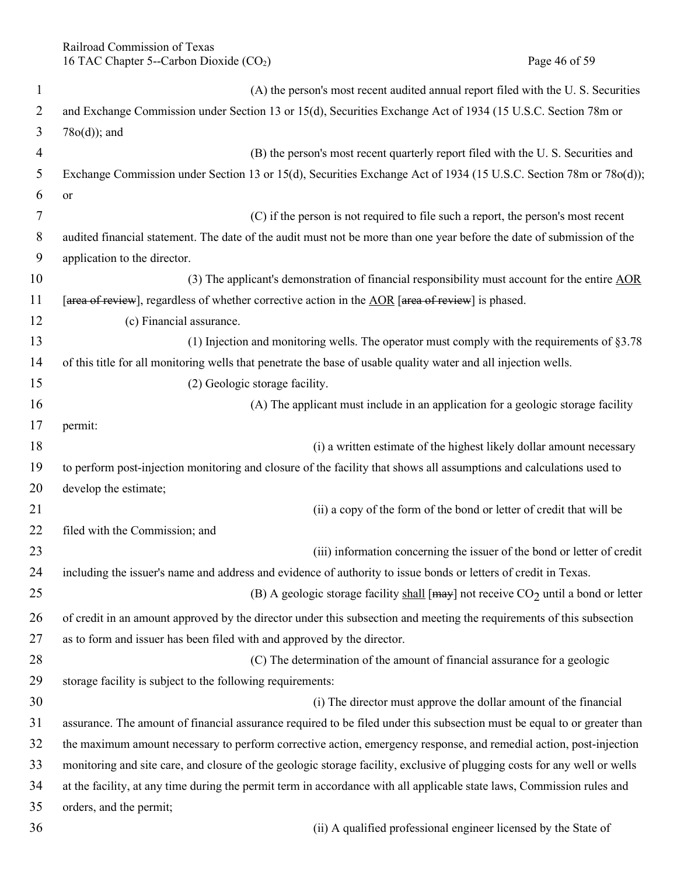Railroad Commission of Texas 16 TAC Chapter 5--Carbon Dioxide (CO<sub>2</sub>) Page 46 of 59

| $\mathbf{1}$   | (A) the person's most recent audited annual report filed with the U.S. Securities                                         |
|----------------|---------------------------------------------------------------------------------------------------------------------------|
| 2              | and Exchange Commission under Section 13 or 15(d), Securities Exchange Act of 1934 (15 U.S.C. Section 78m or              |
| 3              | $78o(d)$ ; and                                                                                                            |
| $\overline{4}$ | (B) the person's most recent quarterly report filed with the U.S. Securities and                                          |
| 5              | Exchange Commission under Section 13 or 15(d), Securities Exchange Act of 1934 (15 U.S.C. Section 78m or 78o(d));         |
| 6              | <b>or</b>                                                                                                                 |
| 7              | (C) if the person is not required to file such a report, the person's most recent                                         |
| 8              | audited financial statement. The date of the audit must not be more than one year before the date of submission of the    |
| 9              | application to the director.                                                                                              |
| 10             | (3) The applicant's demonstration of financial responsibility must account for the entire $\underline{AOR}$               |
| 11             | [area of review], regardless of whether corrective action in the $\triangle$ OR [area of review] is phased.               |
| 12             | (c) Financial assurance.                                                                                                  |
| 13             | (1) Injection and monitoring wells. The operator must comply with the requirements of $\S 3.78$                           |
| 14             | of this title for all monitoring wells that penetrate the base of usable quality water and all injection wells.           |
| 15             | (2) Geologic storage facility.                                                                                            |
| 16             | (A) The applicant must include in an application for a geologic storage facility                                          |
| 17             | permit:                                                                                                                   |
| 18             | (i) a written estimate of the highest likely dollar amount necessary                                                      |
| 19             | to perform post-injection monitoring and closure of the facility that shows all assumptions and calculations used to      |
| 20             | develop the estimate;                                                                                                     |
| 21             | (ii) a copy of the form of the bond or letter of credit that will be                                                      |
| 22             | filed with the Commission; and                                                                                            |
| 23             | (iii) information concerning the issuer of the bond or letter of credit                                                   |
| 24             | including the issuer's name and address and evidence of authority to issue bonds or letters of credit in Texas.           |
| 25             | (B) A geologic storage facility shall [ $\text{may}$ ] not receive CO <sub>2</sub> until a bond or letter                 |
| 26             | of credit in an amount approved by the director under this subsection and meeting the requirements of this subsection     |
| 27             | as to form and issuer has been filed with and approved by the director.                                                   |
| 28             | (C) The determination of the amount of financial assurance for a geologic                                                 |
| 29             | storage facility is subject to the following requirements:                                                                |
| 30             | (i) The director must approve the dollar amount of the financial                                                          |
| 31             | assurance. The amount of financial assurance required to be filed under this subsection must be equal to or greater than  |
| 32             | the maximum amount necessary to perform corrective action, emergency response, and remedial action, post-injection        |
| 33             | monitoring and site care, and closure of the geologic storage facility, exclusive of plugging costs for any well or wells |
| 34             | at the facility, at any time during the permit term in accordance with all applicable state laws, Commission rules and    |
| 35             | orders, and the permit;                                                                                                   |
| 36             | (ii) A qualified professional engineer licensed by the State of                                                           |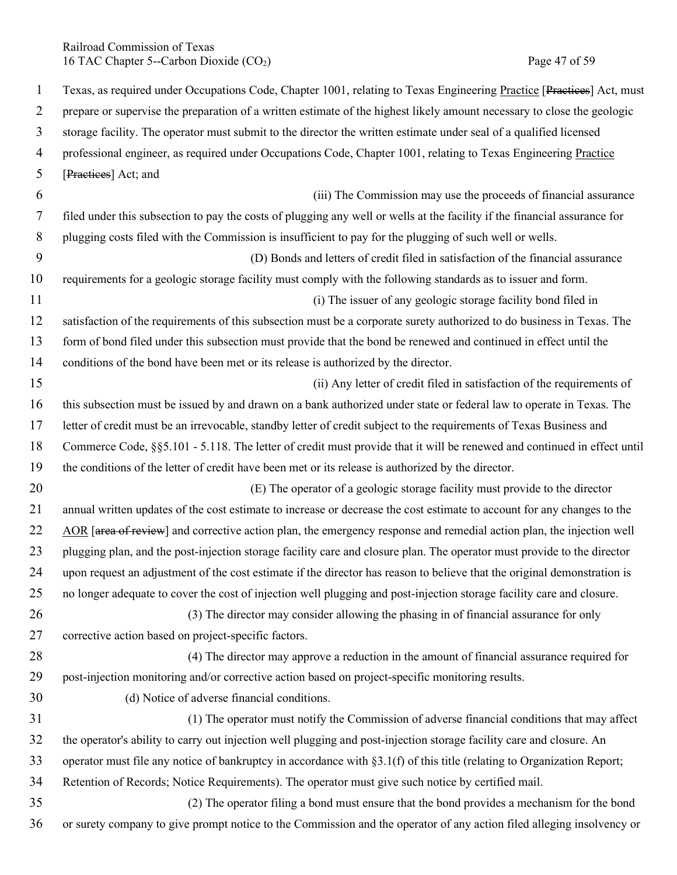Railroad Commission of Texas 16 TAC Chapter 5--Carbon Dioxide (CO<sub>2</sub>) Page 47 of 59

1 Texas, as required under Occupations Code, Chapter 1001, relating to Texas Engineering Practice [Practices] Act, must 2 prepare or supervise the preparation of a written estimate of the highest likely amount necessary to close the geologic 3 storage facility. The operator must submit to the director the written estimate under seal of a qualified licensed 4 professional engineer, as required under Occupations Code, Chapter 1001, relating to Texas Engineering Practice 5 [Practices] Act; and 6 (iii) The Commission may use the proceeds of financial assurance 7 filed under this subsection to pay the costs of plugging any well or wells at the facility if the financial assurance for 8 plugging costs filed with the Commission is insufficient to pay for the plugging of such well or wells. 9 (D) Bonds and letters of credit filed in satisfaction of the financial assurance 10 requirements for a geologic storage facility must comply with the following standards as to issuer and form. 11 (i) The issuer of any geologic storage facility bond filed in 12 satisfaction of the requirements of this subsection must be a corporate surety authorized to do business in Texas. The 13 form of bond filed under this subsection must provide that the bond be renewed and continued in effect until the 14 conditions of the bond have been met or its release is authorized by the director. 15 (ii) Any letter of credit filed in satisfaction of the requirements of 16 this subsection must be issued by and drawn on a bank authorized under state or federal law to operate in Texas. The 17 letter of credit must be an irrevocable, standby letter of credit subject to the requirements of Texas Business and 18 Commerce Code, §§5.101 - 5.118. The letter of credit must provide that it will be renewed and continued in effect until 19 the conditions of the letter of credit have been met or its release is authorized by the director. 20 (E) The operator of a geologic storage facility must provide to the director 21 annual written updates of the cost estimate to increase or decrease the cost estimate to account for any changes to the 22 AOR [area of review] and corrective action plan, the emergency response and remedial action plan, the injection well 23 plugging plan, and the post-injection storage facility care and closure plan. The operator must provide to the director 24 upon request an adjustment of the cost estimate if the director has reason to believe that the original demonstration is 25 no longer adequate to cover the cost of injection well plugging and post-injection storage facility care and closure. 26 (3) The director may consider allowing the phasing in of financial assurance for only 27 corrective action based on project-specific factors. 28 (4) The director may approve a reduction in the amount of financial assurance required for 29 post-injection monitoring and/or corrective action based on project-specific monitoring results. 30 (d) Notice of adverse financial conditions. 31 (1) The operator must notify the Commission of adverse financial conditions that may affect 32 the operator's ability to carry out injection well plugging and post-injection storage facility care and closure. An 33 operator must file any notice of bankruptcy in accordance with §3.1(f) of this title (relating to Organization Report; 34 Retention of Records; Notice Requirements). The operator must give such notice by certified mail. 35 (2) The operator filing a bond must ensure that the bond provides a mechanism for the bond 36 or surety company to give prompt notice to the Commission and the operator of any action filed alleging insolvency or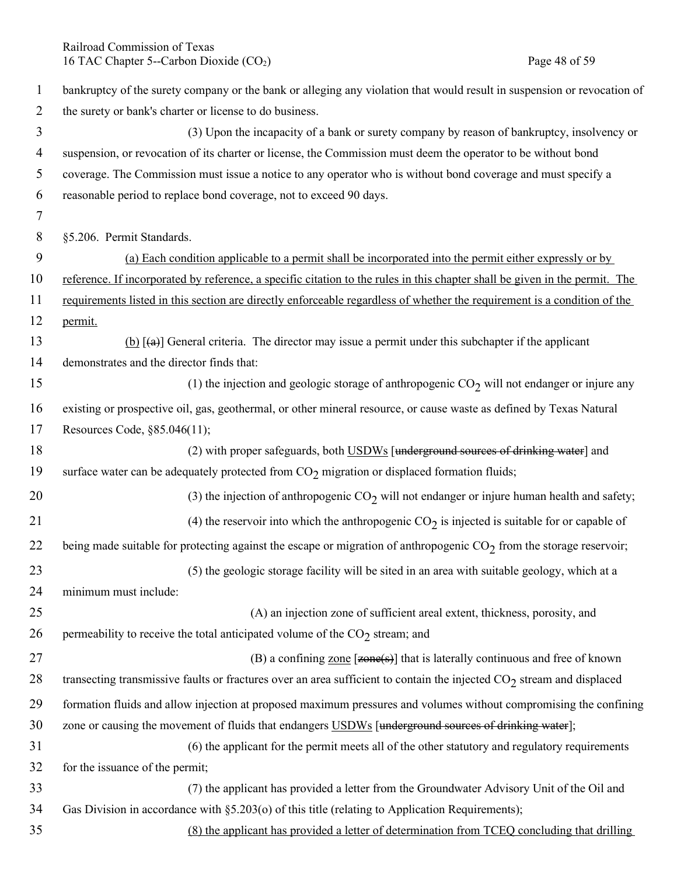Railroad Commission of Texas 16 TAC Chapter 5--Carbon Dioxide (CO<sub>2</sub>) Page 48 of 59

| $\mathbf{1}$ | bankruptcy of the surety company or the bank or alleging any violation that would result in suspension or revocation of           |
|--------------|-----------------------------------------------------------------------------------------------------------------------------------|
| 2            | the surety or bank's charter or license to do business.                                                                           |
| 3            | (3) Upon the incapacity of a bank or surety company by reason of bankruptcy, insolvency or                                        |
| 4            | suspension, or revocation of its charter or license, the Commission must deem the operator to be without bond                     |
| 5            | coverage. The Commission must issue a notice to any operator who is without bond coverage and must specify a                      |
| 6            | reasonable period to replace bond coverage, not to exceed 90 days.                                                                |
| 7            |                                                                                                                                   |
| 8            | §5.206. Permit Standards.                                                                                                         |
| 9            | (a) Each condition applicable to a permit shall be incorporated into the permit either expressly or by                            |
| 10           | reference. If incorporated by reference, a specific citation to the rules in this chapter shall be given in the permit. The       |
| 11           | requirements listed in this section are directly enforceable regardless of whether the requirement is a condition of the          |
| 12           | permit.                                                                                                                           |
| 13           | (b) $\left[\frac{1}{2}\right]$ General criteria. The director may issue a permit under this subchapter if the applicant           |
| 14           | demonstrates and the director finds that:                                                                                         |
| 15           | (1) the injection and geologic storage of anthropogenic $CO2$ will not endanger or injure any                                     |
| 16           | existing or prospective oil, gas, geothermal, or other mineral resource, or cause waste as defined by Texas Natural               |
| 17           | Resources Code, §85.046(11);                                                                                                      |
| 18           | (2) with proper safeguards, both USDWs [underground sources of drinking water] and                                                |
| 19           | surface water can be adequately protected from $CO2$ migration or displaced formation fluids;                                     |
| 20           | (3) the injection of anthropogenic $CO2$ will not endanger or injure human health and safety;                                     |
| 21           | (4) the reservoir into which the anthropogenic $CO2$ is injected is suitable for or capable of                                    |
| 22           | being made suitable for protecting against the escape or migration of anthropogenic $CO2$ from the storage reservoir;             |
| 23           | (5) the geologic storage facility will be sited in an area with suitable geology, which at a                                      |
| 24           | minimum must include:                                                                                                             |
| 25           | (A) an injection zone of sufficient areal extent, thickness, porosity, and                                                        |
| 26           | permeability to receive the total anticipated volume of the $CO2$ stream; and                                                     |
| 27           | (B) a confining zone $[zone(s)]$ that is laterally continuous and free of known                                                   |
| 28           | transecting transmissive faults or fractures over an area sufficient to contain the injected CO <sub>2</sub> stream and displaced |
| 29           | formation fluids and allow injection at proposed maximum pressures and volumes without compromising the confining                 |
| 30           | zone or causing the movement of fluids that endangers USDWs [underground sources of drinking water];                              |
| 31           | (6) the applicant for the permit meets all of the other statutory and regulatory requirements                                     |
| 32           | for the issuance of the permit;                                                                                                   |
| 33           | (7) the applicant has provided a letter from the Groundwater Advisory Unit of the Oil and                                         |
| 34           | Gas Division in accordance with §5.203(o) of this title (relating to Application Requirements);                                   |
| 35           | (8) the applicant has provided a letter of determination from TCEQ concluding that drilling                                       |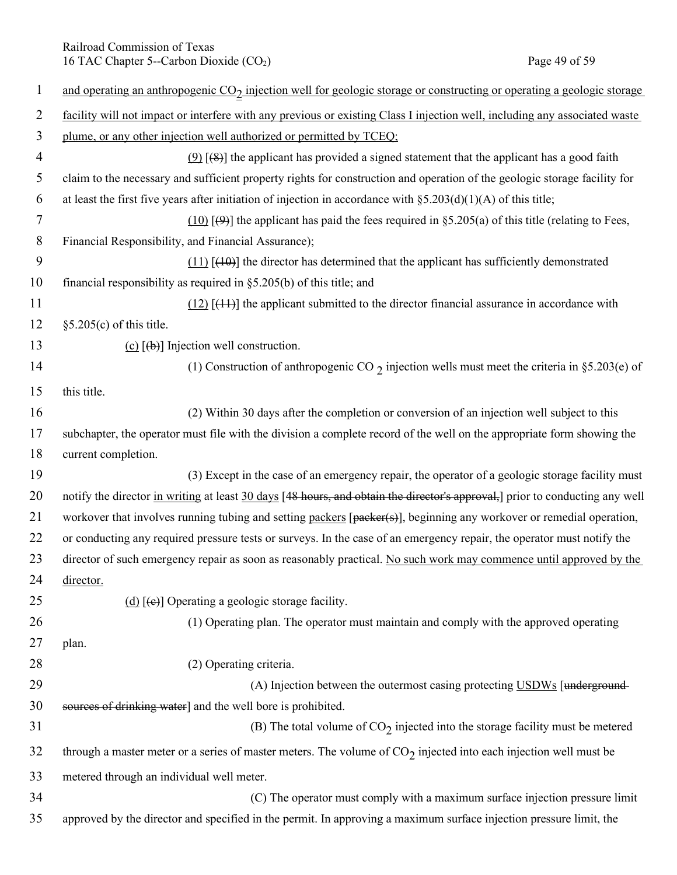Railroad Commission of Texas 16 TAC Chapter 5--Carbon Dioxide (CO<sub>2</sub>) Page 49 of 59

| $\mathbf{1}$   | and operating an anthropogenic CO <sub>2</sub> injection well for geologic storage or constructing or operating a geologic storage |
|----------------|------------------------------------------------------------------------------------------------------------------------------------|
| $\overline{2}$ | facility will not impact or interfere with any previous or existing Class I injection well, including any associated waste         |
| 3              | plume, or any other injection well authorized or permitted by TCEQ;                                                                |
| $\overline{4}$ | $(9)$ [(8)] the applicant has provided a signed statement that the applicant has a good faith                                      |
| 5              | claim to the necessary and sufficient property rights for construction and operation of the geologic storage facility for          |
| 6              | at least the first five years after initiation of injection in accordance with $\S 5.203(d)(1)(A)$ of this title;                  |
| 7              | $(10)$ [ $(9)$ ] the applicant has paid the fees required in §5.205(a) of this title (relating to Fees,                            |
| 8              | Financial Responsibility, and Financial Assurance);                                                                                |
| 9              | $(11)$ [ $(10)$ ] the director has determined that the applicant has sufficiently demonstrated                                     |
| 10             | financial responsibility as required in $\S$ 5.205(b) of this title; and                                                           |
| 11             | $(12)$ [ $(11)$ ] the applicant submitted to the director financial assurance in accordance with                                   |
| 12             | $§5.205(c)$ of this title.                                                                                                         |
| 13             | (c) $[\phi]$ Injection well construction.                                                                                          |
| 14             | (1) Construction of anthropogenic CO $\gamma$ injection wells must meet the criteria in §5.203(e) of                               |
| 15             | this title.                                                                                                                        |
| 16             | (2) Within 30 days after the completion or conversion of an injection well subject to this                                         |
| 17             | subchapter, the operator must file with the division a complete record of the well on the appropriate form showing the             |
| 18             | current completion.                                                                                                                |
| 19             | (3) Except in the case of an emergency repair, the operator of a geologic storage facility must                                    |
| 20             | notify the director in writing at least 30 days [48 hours, and obtain the director's approval,] prior to conducting any well       |
| 21             | workover that involves running tubing and setting packers [packer(s)], beginning any workover or remedial operation,               |
| 22             | or conducting any required pressure tests or surveys. In the case of an emergency repair, the operator must notify the             |
| 23             | director of such emergency repair as soon as reasonably practical. No such work may commence until approved by the                 |
| 24             | director.                                                                                                                          |
| 25             | (d) $[\epsilon e]$ Operating a geologic storage facility.                                                                          |
| 26             | (1) Operating plan. The operator must maintain and comply with the approved operating                                              |
| 27             | plan.                                                                                                                              |
| 28             | (2) Operating criteria.                                                                                                            |
| 29             | (A) Injection between the outermost casing protecting USDWs [underground-                                                          |
| 30             | sources of drinking water] and the well bore is prohibited.                                                                        |
| 31             | (B) The total volume of $CO2$ injected into the storage facility must be metered                                                   |
| 32             | through a master meter or a series of master meters. The volume of $CO2$ injected into each injection well must be                 |
| 33             | metered through an individual well meter.                                                                                          |
| 34             | (C) The operator must comply with a maximum surface injection pressure limit                                                       |
| 35             | approved by the director and specified in the permit. In approving a maximum surface injection pressure limit, the                 |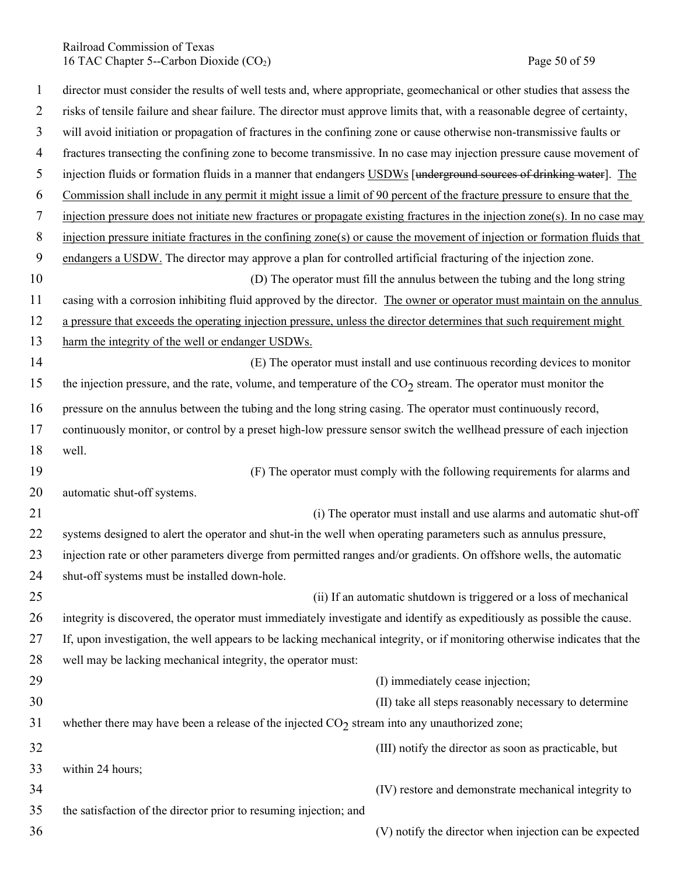Railroad Commission of Texas 16 TAC Chapter 5--Carbon Dioxide (CO<sub>2</sub>) Page 50 of 59

| $\mathbf{1}$   | director must consider the results of well tests and, where appropriate, geomechanical or other studies that assess the     |
|----------------|-----------------------------------------------------------------------------------------------------------------------------|
| $\overline{2}$ | risks of tensile failure and shear failure. The director must approve limits that, with a reasonable degree of certainty,   |
| 3              | will avoid initiation or propagation of fractures in the confining zone or cause otherwise non-transmissive faults or       |
| $\overline{4}$ | fractures transecting the confining zone to become transmissive. In no case may injection pressure cause movement of        |
| 5              | injection fluids or formation fluids in a manner that endangers USDWs [underground sources of drinking water]. The          |
| 6              | Commission shall include in any permit it might issue a limit of 90 percent of the fracture pressure to ensure that the     |
| $\tau$         | injection pressure does not initiate new fractures or propagate existing fractures in the injection zone(s). In no case may |
| 8              | injection pressure initiate fractures in the confining zone(s) or cause the movement of injection or formation fluids that  |
| 9              | endangers a USDW. The director may approve a plan for controlled artificial fracturing of the injection zone.               |
| 10             | (D) The operator must fill the annulus between the tubing and the long string                                               |
| 11             | casing with a corrosion inhibiting fluid approved by the director. The owner or operator must maintain on the annulus       |
| 12             | a pressure that exceeds the operating injection pressure, unless the director determines that such requirement might        |
| 13             | harm the integrity of the well or endanger USDWs.                                                                           |
| 14             | (E) The operator must install and use continuous recording devices to monitor                                               |
| 15             | the injection pressure, and the rate, volume, and temperature of the $CO2$ stream. The operator must monitor the            |
| 16             | pressure on the annulus between the tubing and the long string casing. The operator must continuously record,               |
| 17             | continuously monitor, or control by a preset high-low pressure sensor switch the wellhead pressure of each injection        |
| 18             | well.                                                                                                                       |
| 19             | (F) The operator must comply with the following requirements for alarms and                                                 |
| 20             | automatic shut-off systems.                                                                                                 |
| 21             | (i) The operator must install and use alarms and automatic shut-off                                                         |
| 22             | systems designed to alert the operator and shut-in the well when operating parameters such as annulus pressure,             |
| 23             | injection rate or other parameters diverge from permitted ranges and/or gradients. On offshore wells, the automatic         |
| 24             | shut-off systems must be installed down-hole.                                                                               |
| 25             | (ii) If an automatic shutdown is triggered or a loss of mechanical                                                          |
| 26             | integrity is discovered, the operator must immediately investigate and identify as expeditiously as possible the cause.     |
| 27             | If, upon investigation, the well appears to be lacking mechanical integrity, or if monitoring otherwise indicates that the  |
| 28             | well may be lacking mechanical integrity, the operator must:                                                                |
| 29             | (I) immediately cease injection;                                                                                            |
| 30             | (II) take all steps reasonably necessary to determine                                                                       |
| 31             | whether there may have been a release of the injected $CO2$ stream into any unauthorized zone;                              |
| 32             | (III) notify the director as soon as practicable, but                                                                       |
| 33             | within 24 hours;                                                                                                            |
| 34             | (IV) restore and demonstrate mechanical integrity to                                                                        |
| 35             | the satisfaction of the director prior to resuming injection; and                                                           |
| 36             | (V) notify the director when injection can be expected                                                                      |
|                |                                                                                                                             |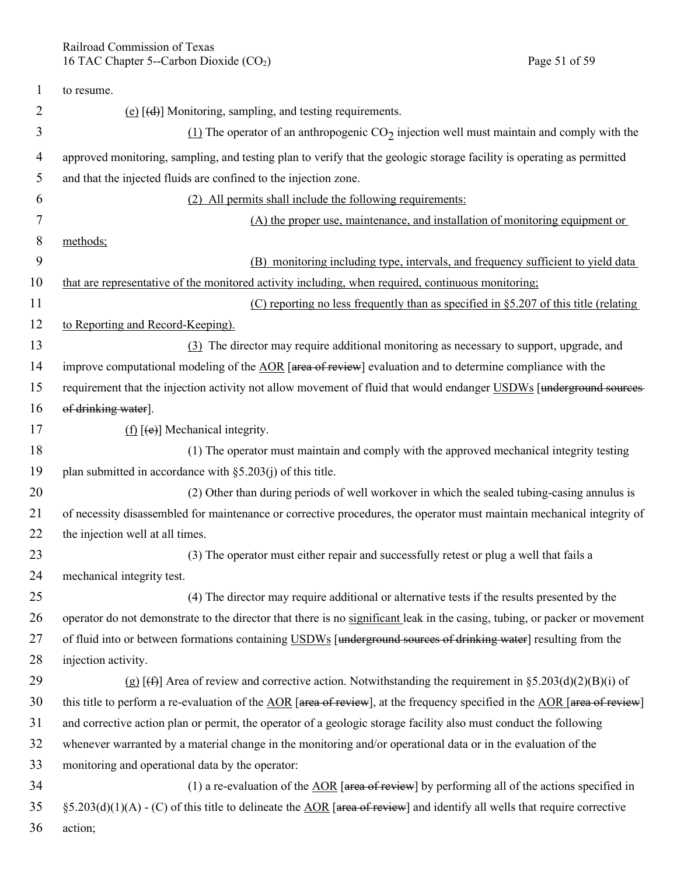| 1  | to resume.                                                                                                                   |
|----|------------------------------------------------------------------------------------------------------------------------------|
| 2  | (e) $[(d)]$ Monitoring, sampling, and testing requirements.                                                                  |
| 3  | $(1)$ The operator of an anthropogenic CO <sub>2</sub> injection well must maintain and comply with the                      |
| 4  | approved monitoring, sampling, and testing plan to verify that the geologic storage facility is operating as permitted       |
| 5  | and that the injected fluids are confined to the injection zone.                                                             |
| 6  | (2) All permits shall include the following requirements:                                                                    |
| 7  | (A) the proper use, maintenance, and installation of monitoring equipment or                                                 |
| 8  | methods;                                                                                                                     |
| 9  | (B) monitoring including type, intervals, and frequency sufficient to yield data                                             |
| 10 | that are representative of the monitored activity including, when required, continuous monitoring;                           |
| 11 | (C) reporting no less frequently than as specified in $\S 5.207$ of this title (relating                                     |
| 12 | to Reporting and Record-Keeping).                                                                                            |
| 13 | (3) The director may require additional monitoring as necessary to support, upgrade, and                                     |
| 14 | improve computational modeling of the AOR [area of review] evaluation and to determine compliance with the                   |
| 15 | requirement that the injection activity not allow movement of fluid that would endanger USDWs [underground sources-          |
| 16 | of drinking water].                                                                                                          |
| 17 | $(f)$ [(e)] Mechanical integrity.                                                                                            |
| 18 | (1) The operator must maintain and comply with the approved mechanical integrity testing                                     |
| 19 | plan submitted in accordance with $\S$ 5.203(j) of this title.                                                               |
| 20 | (2) Other than during periods of well workover in which the sealed tubing-casing annulus is                                  |
| 21 | of necessity disassembled for maintenance or corrective procedures, the operator must maintain mechanical integrity of       |
| 22 | the injection well at all times.                                                                                             |
| 23 | (3) The operator must either repair and successfully retest or plug a well that fails a                                      |
| 24 | mechanical integrity test.                                                                                                   |
| 25 | (4) The director may require additional or alternative tests if the results presented by the                                 |
| 26 | operator do not demonstrate to the director that there is no significant leak in the casing, tubing, or packer or movement   |
| 27 | of fluid into or between formations containing USDWs [underground sources of drinking water] resulting from the              |
| 28 | injection activity.                                                                                                          |
| 29 | (g) [ $\leftrightarrow$ ] Area of review and corrective action. Notwithstanding the requirement in §5.203(d)(2)(B)(i) of     |
| 30 | this title to perform a re-evaluation of the AOR [area of review], at the frequency specified in the AOR [area of review]    |
| 31 | and corrective action plan or permit, the operator of a geologic storage facility also must conduct the following            |
| 32 | whenever warranted by a material change in the monitoring and/or operational data or in the evaluation of the                |
| 33 | monitoring and operational data by the operator:                                                                             |
| 34 | (1) a re-evaluation of the $\triangle$ OR [area of review] by performing all of the actions specified in                     |
| 35 | $\S$ 5.203(d)(1)(A) - (C) of this title to delineate the AOR [area of review] and identify all wells that require corrective |
| 36 | action;                                                                                                                      |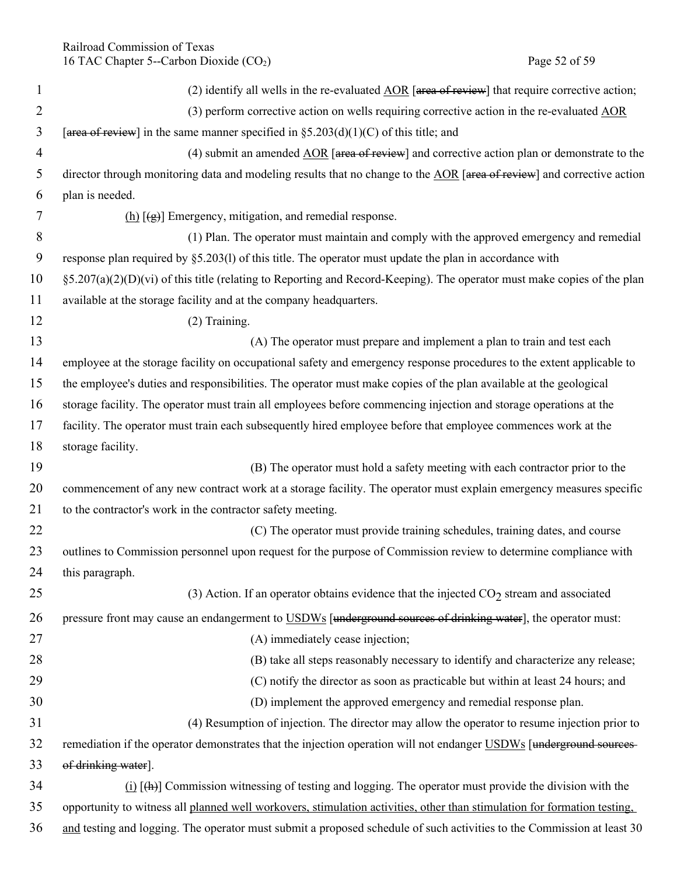| 1              | (2) identify all wells in the re-evaluated $\underline{AOR}$ [area of review] that require corrective action;            |
|----------------|--------------------------------------------------------------------------------------------------------------------------|
| $\overline{2}$ | (3) perform corrective action on wells requiring corrective action in the re-evaluated AOR                               |
| 3              | [area of review] in the same manner specified in $\S 5.203(d)(1)(C)$ of this title; and                                  |
| $\overline{4}$ | (4) submit an amended $\underline{AOR}$ [area of review] and corrective action plan or demonstrate to the                |
| 5              | director through monitoring data and modeling results that no change to the AOR [area of review] and corrective action   |
| 6              | plan is needed.                                                                                                          |
| 7              | $(h)$ [ $(g)$ ] Emergency, mitigation, and remedial response.                                                            |
| 8              | (1) Plan. The operator must maintain and comply with the approved emergency and remedial                                 |
| 9              | response plan required by §5.203(1) of this title. The operator must update the plan in accordance with                  |
| 10             | §5.207(a)(2)(D)(vi) of this title (relating to Reporting and Record-Keeping). The operator must make copies of the plan  |
| 11             | available at the storage facility and at the company headquarters.                                                       |
| 12             | (2) Training.                                                                                                            |
| 13             | (A) The operator must prepare and implement a plan to train and test each                                                |
| 14             | employee at the storage facility on occupational safety and emergency response procedures to the extent applicable to    |
| 15             | the employee's duties and responsibilities. The operator must make copies of the plan available at the geological        |
| 16             | storage facility. The operator must train all employees before commencing injection and storage operations at the        |
| 17             | facility. The operator must train each subsequently hired employee before that employee commences work at the            |
| 18             | storage facility.                                                                                                        |
| 19             | (B) The operator must hold a safety meeting with each contractor prior to the                                            |
| 20             | commencement of any new contract work at a storage facility. The operator must explain emergency measures specific       |
| 21             | to the contractor's work in the contractor safety meeting.                                                               |
| 22             | (C) The operator must provide training schedules, training dates, and course                                             |
| 23             | outlines to Commission personnel upon request for the purpose of Commission review to determine compliance with          |
| 24             | this paragraph.                                                                                                          |
| 25             | (3) Action. If an operator obtains evidence that the injected $CO2$ stream and associated                                |
| 26             | pressure front may cause an endangerment to USDWs [underground sources of drinking water], the operator must:            |
| 27             | (A) immediately cease injection;                                                                                         |
| 28             | (B) take all steps reasonably necessary to identify and characterize any release;                                        |
| 29             | (C) notify the director as soon as practicable but within at least 24 hours; and                                         |
| 30             | (D) implement the approved emergency and remedial response plan.                                                         |
| 31             | (4) Resumption of injection. The director may allow the operator to resume injection prior to                            |
| 32             | remediation if the operator demonstrates that the injection operation will not endanger USDWs [underground sources-      |
| 33             | of drinking water].                                                                                                      |
| 34             | $(i)$ $[\frac{h}{h}]$ Commission witnessing of testing and logging. The operator must provide the division with the      |
| 35             | opportunity to witness all planned well workovers, stimulation activities, other than stimulation for formation testing, |
| 36             | and testing and logging. The operator must submit a proposed schedule of such activities to the Commission at least 30   |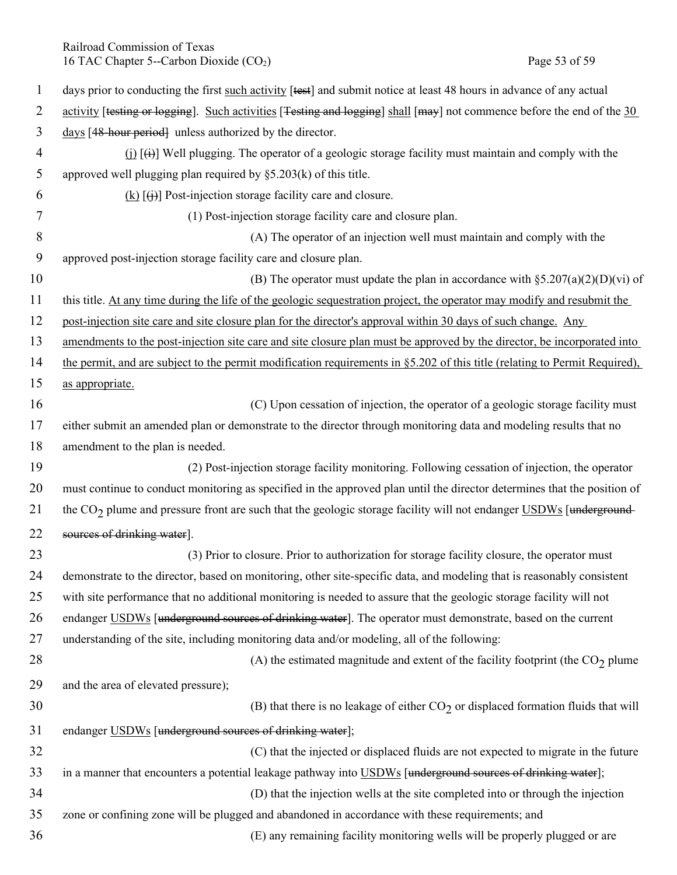Railroad Commission of Texas 16 TAC Chapter 5--Carbon Dioxide (CO<sub>2</sub>) Page 53 of 59

| $\mathbf{1}$   | days prior to conducting the first such activity [test] and submit notice at least 48 hours in advance of any actual           |
|----------------|--------------------------------------------------------------------------------------------------------------------------------|
| $\overline{2}$ | activity [testing or logging]. Such activities [Testing and logging] shall [may] not commence before the end of the 30         |
| 3              | days [48-hour period] unless authorized by the director.                                                                       |
| $\overline{4}$ | $(i)$ [ $(i)$ ] Well plugging. The operator of a geologic storage facility must maintain and comply with the                   |
| 5              | approved well plugging plan required by $\S5.203(k)$ of this title.                                                            |
| 6              | $(k)$ $(\dagger)$ Post-injection storage facility care and closure.                                                            |
| 7              | (1) Post-injection storage facility care and closure plan.                                                                     |
| 8              | (A) The operator of an injection well must maintain and comply with the                                                        |
| 9              | approved post-injection storage facility care and closure plan.                                                                |
| 10             | (B) The operator must update the plan in accordance with $\S 5.207(a)(2)(D)(vi)$ of                                            |
| 11             | this title. At any time during the life of the geologic sequestration project, the operator may modify and resubmit the        |
| 12             | post-injection site care and site closure plan for the director's approval within 30 days of such change. Any                  |
| 13             | amendments to the post-injection site care and site closure plan must be approved by the director, be incorporated into        |
| 14             | the permit, and are subject to the permit modification requirements in §5.202 of this title (relating to Permit Required),     |
| 15             | as appropriate.                                                                                                                |
| 16             | (C) Upon cessation of injection, the operator of a geologic storage facility must                                              |
| 17             | either submit an amended plan or demonstrate to the director through monitoring data and modeling results that no              |
| 18             | amendment to the plan is needed.                                                                                               |
| 19             | (2) Post-injection storage facility monitoring. Following cessation of injection, the operator                                 |
| 20             | must continue to conduct monitoring as specified in the approved plan until the director determines that the position of       |
| 21             | the CO <sub>2</sub> plume and pressure front are such that the geologic storage facility will not endanger USDWs [underground- |
| 22             | sources of drinking water].                                                                                                    |
| 23             | (3) Prior to closure. Prior to authorization for storage facility closure, the operator must                                   |
| 24             | demonstrate to the director, based on monitoring, other site-specific data, and modeling that is reasonably consistent         |
| 25             | with site performance that no additional monitoring is needed to assure that the geologic storage facility will not            |
| 26             | endanger USDWs [underground sources of drinking water]. The operator must demonstrate, based on the current                    |
| 27             | understanding of the site, including monitoring data and/or modeling, all of the following:                                    |
| 28             | (A) the estimated magnitude and extent of the facility footprint (the $CO2$ plume                                              |
| 29             | and the area of elevated pressure);                                                                                            |
| 30             | (B) that there is no leakage of either $CO2$ or displaced formation fluids that will                                           |
| 31             | endanger USDWs [underground sources of drinking water];                                                                        |
| 32             | (C) that the injected or displaced fluids are not expected to migrate in the future                                            |
| 33             | in a manner that encounters a potential leakage pathway into USDWs [underground sources of drinking water];                    |
| 34             | (D) that the injection wells at the site completed into or through the injection                                               |
| 35             | zone or confining zone will be plugged and abandoned in accordance with these requirements; and                                |
| 36             | (E) any remaining facility monitoring wells will be properly plugged or are                                                    |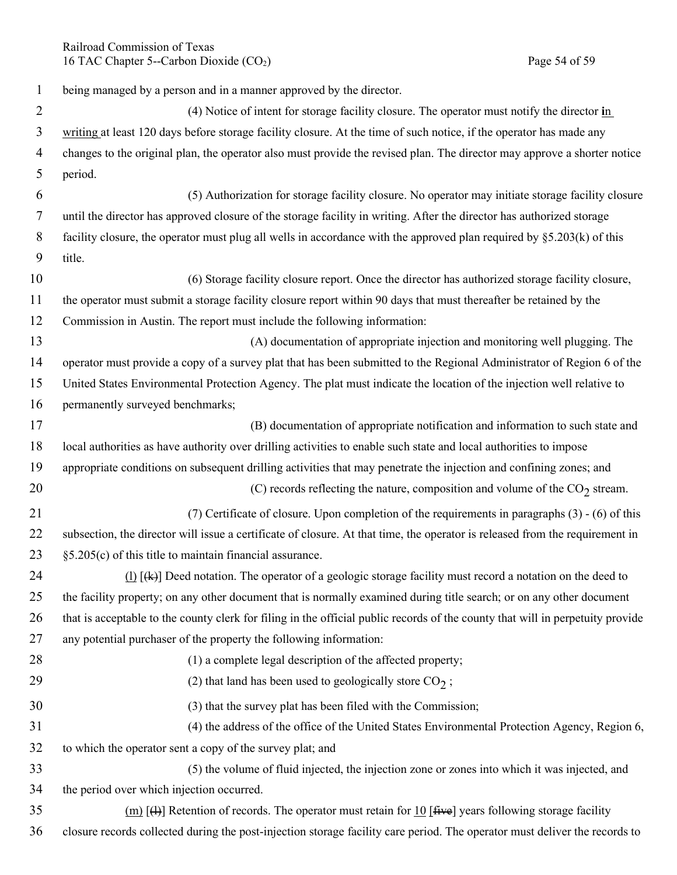Railroad Commission of Texas 16 TAC Chapter 5--Carbon Dioxide (CO<sub>2</sub>) Page 54 of 59

| $\mathbf{1}$   | being managed by a person and in a manner approved by the director.                                                            |
|----------------|--------------------------------------------------------------------------------------------------------------------------------|
| $\overline{2}$ | (4) Notice of intent for storage facility closure. The operator must notify the director in                                    |
| 3              | writing at least 120 days before storage facility closure. At the time of such notice, if the operator has made any            |
| 4              | changes to the original plan, the operator also must provide the revised plan. The director may approve a shorter notice       |
| 5              | period.                                                                                                                        |
| 6              | (5) Authorization for storage facility closure. No operator may initiate storage facility closure                              |
| 7              | until the director has approved closure of the storage facility in writing. After the director has authorized storage          |
| 8              | facility closure, the operator must plug all wells in accordance with the approved plan required by §5.203(k) of this          |
| 9              | title.                                                                                                                         |
| 10             | (6) Storage facility closure report. Once the director has authorized storage facility closure,                                |
| 11             | the operator must submit a storage facility closure report within 90 days that must thereafter be retained by the              |
| 12             | Commission in Austin. The report must include the following information:                                                       |
| 13             | (A) documentation of appropriate injection and monitoring well plugging. The                                                   |
| 14             | operator must provide a copy of a survey plat that has been submitted to the Regional Administrator of Region 6 of the         |
| 15             | United States Environmental Protection Agency. The plat must indicate the location of the injection well relative to           |
| 16             | permanently surveyed benchmarks;                                                                                               |
| 17             | (B) documentation of appropriate notification and information to such state and                                                |
| 18             | local authorities as have authority over drilling activities to enable such state and local authorities to impose              |
| 19             | appropriate conditions on subsequent drilling activities that may penetrate the injection and confining zones; and             |
| 20             | (C) records reflecting the nature, composition and volume of the $CO2$ stream.                                                 |
| 21             | (7) Certificate of closure. Upon completion of the requirements in paragraphs $(3)$ - $(6)$ of this                            |
| 22             | subsection, the director will issue a certificate of closure. At that time, the operator is released from the requirement in   |
| 23             | $\S5.205(c)$ of this title to maintain financial assurance.                                                                    |
| 24             | $(1)$ [ $(k)$ ] Deed notation. The operator of a geologic storage facility must record a notation on the deed to               |
| 25             | the facility property; on any other document that is normally examined during title search; or on any other document           |
| 26             | that is acceptable to the county clerk for filing in the official public records of the county that will in perpetuity provide |
| 27             | any potential purchaser of the property the following information:                                                             |
| 28             | (1) a complete legal description of the affected property;                                                                     |
| 29             | (2) that land has been used to geologically store $CO2$ ;                                                                      |
| 30             | (3) that the survey plat has been filed with the Commission;                                                                   |
| 31             | (4) the address of the office of the United States Environmental Protection Agency, Region 6,                                  |
| 32             | to which the operator sent a copy of the survey plat; and                                                                      |
| 33             | (5) the volume of fluid injected, the injection zone or zones into which it was injected, and                                  |
| 34             | the period over which injection occurred.                                                                                      |
| 35             | (m) [4+] Retention of records. The operator must retain for 10 [ $\text{five}$ ] years following storage facility              |
| 36             | closure records collected during the post-injection storage facility care period. The operator must deliver the records to     |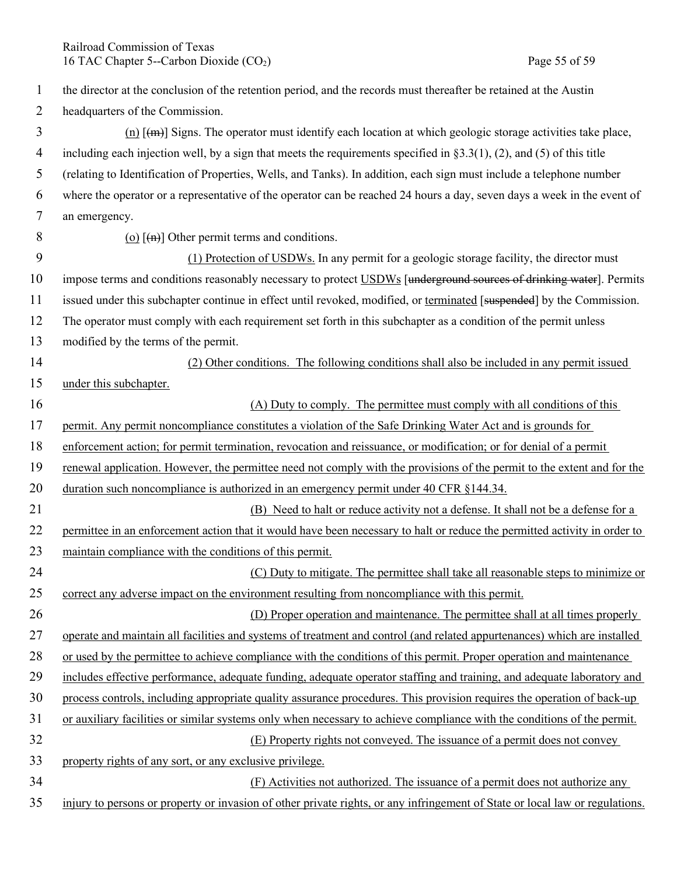Railroad Commission of Texas 16 TAC Chapter 5--Carbon Dioxide (CO<sub>2</sub>) Page 55 of 59

| 1              | the director at the conclusion of the retention period, and the records must thereafter be retained at the Austin            |
|----------------|------------------------------------------------------------------------------------------------------------------------------|
| $\overline{2}$ | headquarters of the Commission.                                                                                              |
| 3              | $(n)$ [ $(\text{m})$ ] Signs. The operator must identify each location at which geologic storage activities take place,      |
| $\overline{4}$ | including each injection well, by a sign that meets the requirements specified in $\S 3.3(1)$ , (2), and (5) of this title   |
| 5              | (relating to Identification of Properties, Wells, and Tanks). In addition, each sign must include a telephone number         |
| 6              | where the operator or a representative of the operator can be reached 24 hours a day, seven days a week in the event of      |
| $\tau$         | an emergency.                                                                                                                |
| 8              | (o) $\left[\left(\text{H}\right)\right]$ Other permit terms and conditions.                                                  |
| 9              | (1) Protection of USDWs. In any permit for a geologic storage facility, the director must                                    |
| 10             | impose terms and conditions reasonably necessary to protect USDWs [underground sources of drinking water]. Permits           |
| 11             | issued under this subchapter continue in effect until revoked, modified, or terminated [suspended] by the Commission.        |
| 12             | The operator must comply with each requirement set forth in this subchapter as a condition of the permit unless              |
| 13             | modified by the terms of the permit.                                                                                         |
| 14             | (2) Other conditions. The following conditions shall also be included in any permit issued                                   |
| 15             | under this subchapter.                                                                                                       |
| 16             | (A) Duty to comply. The permittee must comply with all conditions of this                                                    |
| 17             | permit. Any permit noncompliance constitutes a violation of the Safe Drinking Water Act and is grounds for                   |
| 18             | enforcement action; for permit termination, revocation and reissuance, or modification; or for denial of a permit            |
| 19             | renewal application. However, the permittee need not comply with the provisions of the permit to the extent and for the      |
| 20             | duration such noncompliance is authorized in an emergency permit under 40 CFR §144.34.                                       |
| 21             | (B) Need to halt or reduce activity not a defense. It shall not be a defense for a                                           |
| 22             | permittee in an enforcement action that it would have been necessary to halt or reduce the permitted activity in order to    |
| 23             | maintain compliance with the conditions of this permit.                                                                      |
| 24             | (C) Duty to mitigate. The permittee shall take all reasonable steps to minimize or                                           |
| 25             | correct any adverse impact on the environment resulting from noncompliance with this permit.                                 |
| 26             | (D) Proper operation and maintenance. The permittee shall at all times properly                                              |
| 27             | operate and maintain all facilities and systems of treatment and control (and related appurtenances) which are installed     |
| 28             | or used by the permittee to achieve compliance with the conditions of this permit. Proper operation and maintenance          |
| 29             | includes effective performance, adequate funding, adequate operator staffing and training, and adequate laboratory and       |
| 30             | process controls, including appropriate quality assurance procedures. This provision requires the operation of back-up       |
| 31             | or auxiliary facilities or similar systems only when necessary to achieve compliance with the conditions of the permit.      |
| 32             | (E) Property rights not conveyed. The issuance of a permit does not convey                                                   |
| 33             | property rights of any sort, or any exclusive privilege.                                                                     |
| 34             | (F) Activities not authorized. The issuance of a permit does not authorize any                                               |
| 35             | injury to persons or property or invasion of other private rights, or any infringement of State or local law or regulations. |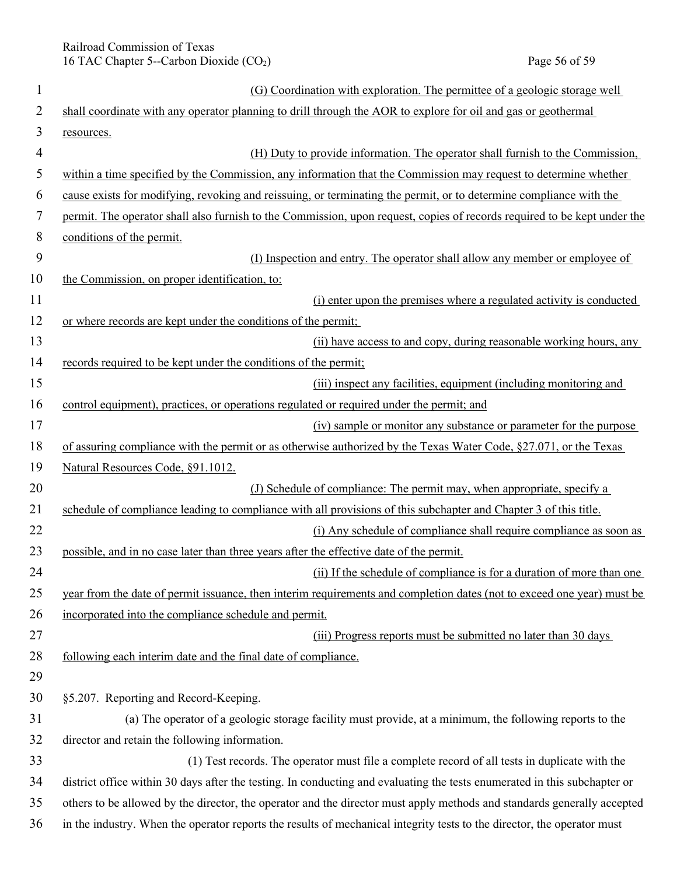Railroad Commission of Texas 16 TAC Chapter 5--Carbon Dioxide (CO<sub>2</sub>) Page 56 of 59

| $\mathbf{1}$   | (G) Coordination with exploration. The permittee of a geologic storage well                                               |
|----------------|---------------------------------------------------------------------------------------------------------------------------|
| 2              | shall coordinate with any operator planning to drill through the AOR to explore for oil and gas or geothermal             |
| 3              | resources.                                                                                                                |
| $\overline{4}$ | (H) Duty to provide information. The operator shall furnish to the Commission,                                            |
| 5              | within a time specified by the Commission, any information that the Commission may request to determine whether           |
| 6              | cause exists for modifying, revoking and reissuing, or terminating the permit, or to determine compliance with the        |
| 7              | permit. The operator shall also furnish to the Commission, upon request, copies of records required to be kept under the  |
| $8\,$          | conditions of the permit.                                                                                                 |
| 9              | (I) Inspection and entry. The operator shall allow any member or employee of                                              |
| 10             | the Commission, on proper identification, to:                                                                             |
| 11             | (i) enter upon the premises where a regulated activity is conducted                                                       |
| 12             | or where records are kept under the conditions of the permit;                                                             |
| 13             | (ii) have access to and copy, during reasonable working hours, any                                                        |
| 14             | records required to be kept under the conditions of the permit;                                                           |
| 15             | (iii) inspect any facilities, equipment (including monitoring and                                                         |
| 16             | control equipment), practices, or operations regulated or required under the permit; and                                  |
| 17             | (iv) sample or monitor any substance or parameter for the purpose                                                         |
| 18             | of assuring compliance with the permit or as otherwise authorized by the Texas Water Code, $\S27.071$ , or the Texas      |
| 19             | Natural Resources Code, §91.1012.                                                                                         |
| 20             | (J) Schedule of compliance: The permit may, when appropriate, specify a                                                   |
| 21             | schedule of compliance leading to compliance with all provisions of this subchapter and Chapter 3 of this title.          |
| 22             | (i) Any schedule of compliance shall require compliance as soon as                                                        |
| 23             | possible, and in no case later than three years after the effective date of the permit.                                   |
| 24             | (ii) If the schedule of compliance is for a duration of more than one                                                     |
| 25             | year from the date of permit issuance, then interim requirements and completion dates (not to exceed one year) must be    |
| 26             | incorporated into the compliance schedule and permit.                                                                     |
| 27             | (iii) Progress reports must be submitted no later than 30 days                                                            |
| 28             | following each interim date and the final date of compliance.                                                             |
| 29             |                                                                                                                           |
| 30             | §5.207. Reporting and Record-Keeping.                                                                                     |
| 31             | (a) The operator of a geologic storage facility must provide, at a minimum, the following reports to the                  |
| 32             | director and retain the following information.                                                                            |
| 33             | (1) Test records. The operator must file a complete record of all tests in duplicate with the                             |
| 34             | district office within 30 days after the testing. In conducting and evaluating the tests enumerated in this subchapter or |
| 35             | others to be allowed by the director, the operator and the director must apply methods and standards generally accepted   |
| 36             | in the industry. When the operator reports the results of mechanical integrity tests to the director, the operator must   |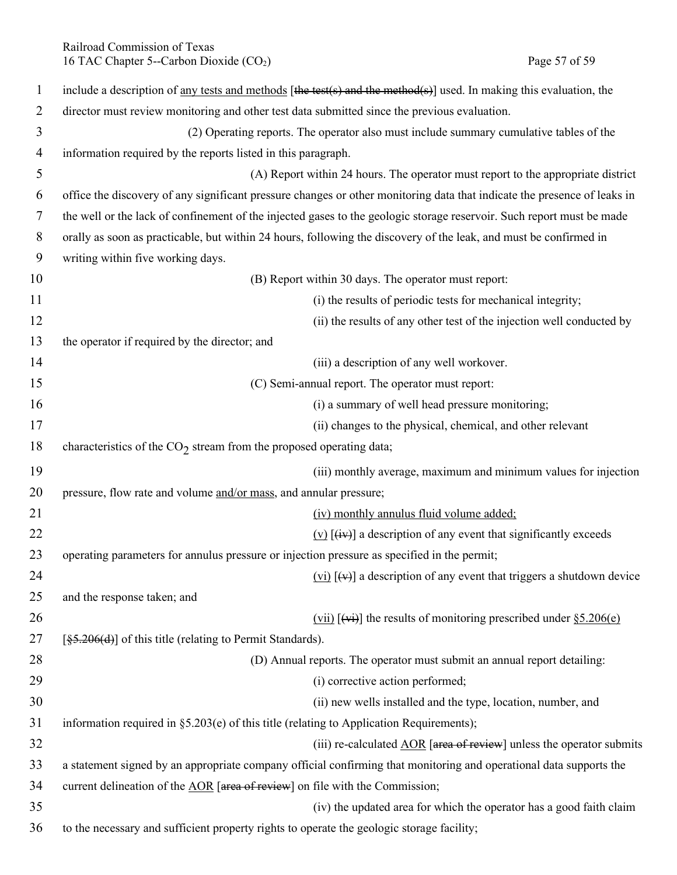| 1  | include a description of <u>any tests and methods</u> [the test(s) and the method(s)] used. In making this evaluation, the |
|----|----------------------------------------------------------------------------------------------------------------------------|
| 2  | director must review monitoring and other test data submitted since the previous evaluation.                               |
| 3  | (2) Operating reports. The operator also must include summary cumulative tables of the                                     |
| 4  | information required by the reports listed in this paragraph.                                                              |
| 5  | (A) Report within 24 hours. The operator must report to the appropriate district                                           |
| 6  | office the discovery of any significant pressure changes or other monitoring data that indicate the presence of leaks in   |
| 7  | the well or the lack of confinement of the injected gases to the geologic storage reservoir. Such report must be made      |
| 8  | orally as soon as practicable, but within 24 hours, following the discovery of the leak, and must be confirmed in          |
| 9  | writing within five working days.                                                                                          |
| 10 | (B) Report within 30 days. The operator must report:                                                                       |
| 11 | (i) the results of periodic tests for mechanical integrity;                                                                |
| 12 | (ii) the results of any other test of the injection well conducted by                                                      |
| 13 | the operator if required by the director; and                                                                              |
| 14 | (iii) a description of any well workover.                                                                                  |
| 15 | (C) Semi-annual report. The operator must report:                                                                          |
| 16 | (i) a summary of well head pressure monitoring;                                                                            |
| 17 | (ii) changes to the physical, chemical, and other relevant                                                                 |
| 18 | characteristics of the $CO2$ stream from the proposed operating data;                                                      |
| 19 | (iii) monthly average, maximum and minimum values for injection                                                            |
| 20 | pressure, flow rate and volume and/or mass, and annular pressure;                                                          |
| 21 | (iv) monthly annulus fluid volume added;                                                                                   |
| 22 | $(v)$ [ $(iv)$ ] a description of any event that significantly exceeds                                                     |
| 23 | operating parameters for annulus pressure or injection pressure as specified in the permit;                                |
| 24 | $(vi)$ [ $(v)$ ] a description of any event that triggers a shutdown device                                                |
| 25 | and the response taken; and                                                                                                |
| 26 | $(vii)$ [ $(viii)$ ] the results of monitoring prescribed under $\S 5.206(e)$                                              |
| 27 | $\left[\frac{85.206(d)}{85.206(d)}\right]$ of this title (relating to Permit Standards).                                   |
| 28 | (D) Annual reports. The operator must submit an annual report detailing:                                                   |
| 29 | (i) corrective action performed;                                                                                           |
| 30 | (ii) new wells installed and the type, location, number, and                                                               |
| 31 | information required in $\S$ 5.203(e) of this title (relating to Application Requirements);                                |
| 32 | (iii) re-calculated $\angle AOR$ [area of review] unless the operator submits                                              |
| 33 | a statement signed by an appropriate company official confirming that monitoring and operational data supports the         |
| 34 | current delineation of the AOR [area of review] on file with the Commission;                                               |
| 35 | (iv) the updated area for which the operator has a good faith claim                                                        |
| 36 | to the necessary and sufficient property rights to operate the geologic storage facility;                                  |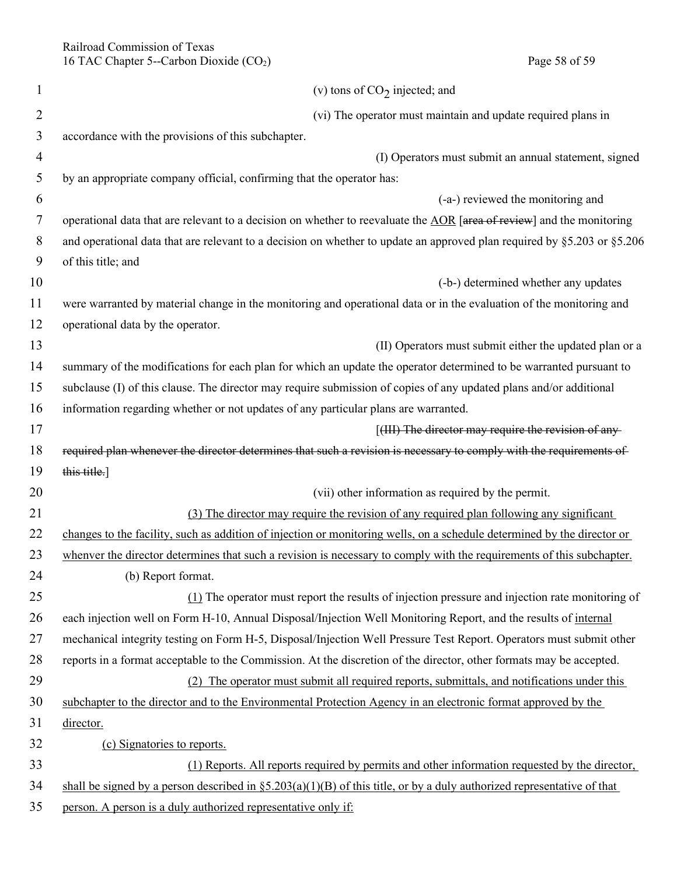Railroad Commission of Texas 16 TAC Chapter 5--Carbon Dioxide (CO<sub>2</sub>) Page 58 of 59

| $\mathbf{1}$   | (v) tons of $CO2$ injected; and                                                                                            |
|----------------|----------------------------------------------------------------------------------------------------------------------------|
| $\overline{2}$ | (vi) The operator must maintain and update required plans in                                                               |
| 3              | accordance with the provisions of this subchapter.                                                                         |
| $\overline{4}$ | (I) Operators must submit an annual statement, signed                                                                      |
| 5              | by an appropriate company official, confirming that the operator has:                                                      |
| 6              | (-a-) reviewed the monitoring and                                                                                          |
| 7              | operational data that are relevant to a decision on whether to reevaluate the AOR [area of review] and the monitoring      |
| 8              | and operational data that are relevant to a decision on whether to update an approved plan required by §5.203 or §5.206    |
| 9              | of this title; and                                                                                                         |
| 10             | (-b-) determined whether any updates                                                                                       |
| 11             | were warranted by material change in the monitoring and operational data or in the evaluation of the monitoring and        |
| 12             | operational data by the operator.                                                                                          |
| 13             | (II) Operators must submit either the updated plan or a                                                                    |
| 14             | summary of the modifications for each plan for which an update the operator determined to be warranted pursuant to         |
| 15             | subclause (I) of this clause. The director may require submission of copies of any updated plans and/or additional         |
| 16             | information regarding whether or not updates of any particular plans are warranted.                                        |
| 17             | [(III) The director may require the revision of any-                                                                       |
| 18             | required plan whenever the director determines that such a revision is necessary to comply with the requirements of        |
| 19             | this title.]                                                                                                               |
| 20             | (vii) other information as required by the permit.                                                                         |
| 21             | (3) The director may require the revision of any required plan following any significant                                   |
| 22             | changes to the facility, such as addition of injection or monitoring wells, on a schedule determined by the director or    |
| 23             | whenver the director determines that such a revision is necessary to comply with the requirements of this subchapter.      |
| 24             | (b) Report format.                                                                                                         |
| 25             | $(1)$ The operator must report the results of injection pressure and injection rate monitoring of                          |
| 26             | each injection well on Form H-10, Annual Disposal/Injection Well Monitoring Report, and the results of internal            |
| 27             | mechanical integrity testing on Form H-5, Disposal/Injection Well Pressure Test Report. Operators must submit other        |
| 28             | reports in a format acceptable to the Commission. At the discretion of the director, other formats may be accepted.        |
| 29             | (2) The operator must submit all required reports, submittals, and notifications under this                                |
| 30             | subchapter to the director and to the Environmental Protection Agency in an electronic format approved by the              |
| 31             | director.                                                                                                                  |
| 32             | (c) Signatories to reports.                                                                                                |
| 33             | (1) Reports. All reports required by permits and other information requested by the director,                              |
| 34             | shall be signed by a person described in $\S 5.203(a)(1)(B)$ of this title, or by a duly authorized representative of that |
| 35             | person. A person is a duly authorized representative only if:                                                              |